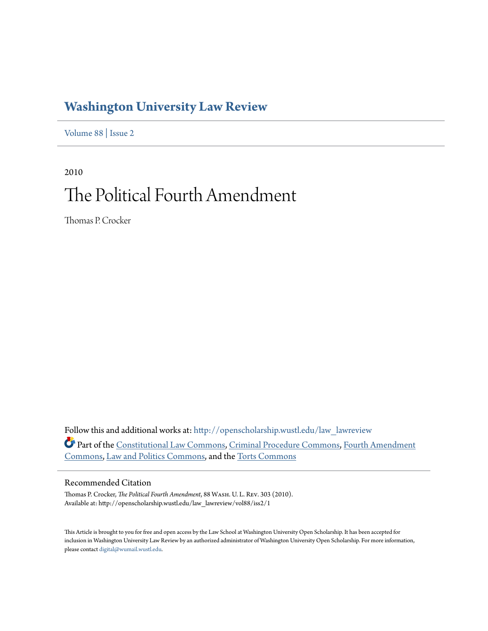## **[Washington University Law Review](http://openscholarship.wustl.edu/law_lawreview?utm_source=openscholarship.wustl.edu%2Flaw_lawreview%2Fvol88%2Fiss2%2F1&utm_medium=PDF&utm_campaign=PDFCoverPages)**

[Volume 88](http://openscholarship.wustl.edu/law_lawreview/vol88?utm_source=openscholarship.wustl.edu%2Flaw_lawreview%2Fvol88%2Fiss2%2F1&utm_medium=PDF&utm_campaign=PDFCoverPages) | [Issue 2](http://openscholarship.wustl.edu/law_lawreview/vol88/iss2?utm_source=openscholarship.wustl.edu%2Flaw_lawreview%2Fvol88%2Fiss2%2F1&utm_medium=PDF&utm_campaign=PDFCoverPages)

2010 The Political Fourth Amendment

Thomas P. Crocker

Follow this and additional works at: [http://openscholarship.wustl.edu/law\\_lawreview](http://openscholarship.wustl.edu/law_lawreview?utm_source=openscholarship.wustl.edu%2Flaw_lawreview%2Fvol88%2Fiss2%2F1&utm_medium=PDF&utm_campaign=PDFCoverPages) Part of the [Constitutional Law Commons,](http://network.bepress.com/hgg/discipline/589?utm_source=openscholarship.wustl.edu%2Flaw_lawreview%2Fvol88%2Fiss2%2F1&utm_medium=PDF&utm_campaign=PDFCoverPages) [Criminal Procedure Commons](http://network.bepress.com/hgg/discipline/1073?utm_source=openscholarship.wustl.edu%2Flaw_lawreview%2Fvol88%2Fiss2%2F1&utm_medium=PDF&utm_campaign=PDFCoverPages), [Fourth Amendment](http://network.bepress.com/hgg/discipline/1180?utm_source=openscholarship.wustl.edu%2Flaw_lawreview%2Fvol88%2Fiss2%2F1&utm_medium=PDF&utm_campaign=PDFCoverPages) [Commons,](http://network.bepress.com/hgg/discipline/1180?utm_source=openscholarship.wustl.edu%2Flaw_lawreview%2Fvol88%2Fiss2%2F1&utm_medium=PDF&utm_campaign=PDFCoverPages) [Law and Politics Commons](http://network.bepress.com/hgg/discipline/867?utm_source=openscholarship.wustl.edu%2Flaw_lawreview%2Fvol88%2Fiss2%2F1&utm_medium=PDF&utm_campaign=PDFCoverPages), and the [Torts Commons](http://network.bepress.com/hgg/discipline/913?utm_source=openscholarship.wustl.edu%2Flaw_lawreview%2Fvol88%2Fiss2%2F1&utm_medium=PDF&utm_campaign=PDFCoverPages)

#### Recommended Citation

Thomas P. Crocker, *The Political Fourth Amendment*, 88 Wash. U. L. Rev. 303 (2010). Available at: http://openscholarship.wustl.edu/law\_lawreview/vol88/iss2/1

This Article is brought to you for free and open access by the Law School at Washington University Open Scholarship. It has been accepted for inclusion in Washington University Law Review by an authorized administrator of Washington University Open Scholarship. For more information, please contact [digital@wumail.wustl.edu.](mailto:digital@wumail.wustl.edu)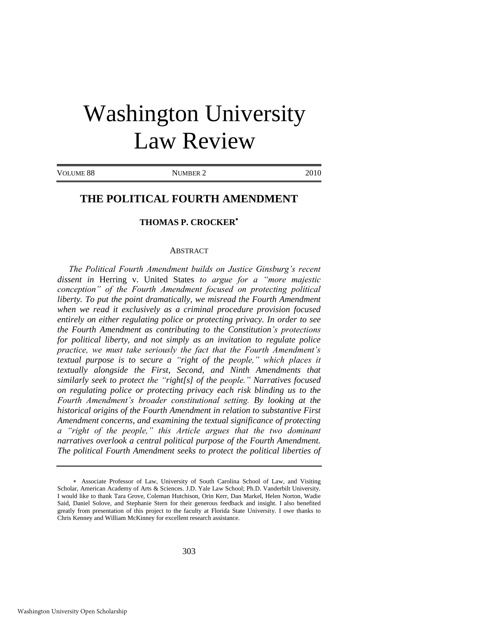# Washington University Law Review

VOLUME 88 NUMBER 2 2010

### **THE POLITICAL FOURTH AMENDMENT**

#### **THOMAS P. CROCKER**

#### ABSTRACT

*The Political Fourth Amendment builds on Justice Ginsburg's recent dissent in* Herring v. United States *to argue for a "more majestic conception" of the Fourth Amendment focused on protecting political liberty. To put the point dramatically, we misread the Fourth Amendment when we read it exclusively as a criminal procedure provision focused entirely on either regulating police or protecting privacy. In order to see the Fourth Amendment as contributing to the Constitution's protections for political liberty, and not simply as an invitation to regulate police practice, we must take seriously the fact that the Fourth Amendment's textual purpose is to secure a "right of the people," which places it textually alongside the First, Second, and Ninth Amendments that similarly seek to protect the "right[s] of the people." Narratives focused on regulating police or protecting privacy each risk blinding us to the Fourth Amendment's broader constitutional setting. By looking at the historical origins of the Fourth Amendment in relation to substantive First Amendment concerns, and examining the textual significance of protecting a "right of the people," this Article argues that the two dominant narratives overlook a central political purpose of the Fourth Amendment. The political Fourth Amendment seeks to protect the political liberties of* 

Associate Professor of Law, University of South Carolina School of Law, and Visiting Scholar, American Academy of Arts & Sciences. J.D. Yale Law School; Ph.D. Vanderbilt University. I would like to thank Tara Grove, Coleman Hutchison, Orin Kerr, Dan Markel, Helen Norton, Wadie Said, Daniel Solove, and Stephanie Stern for their generous feedback and insight. I also benefited greatly from presentation of this project to the faculty at Florida State University. I owe thanks to Chris Kenney and William McKinney for excellent research assistance.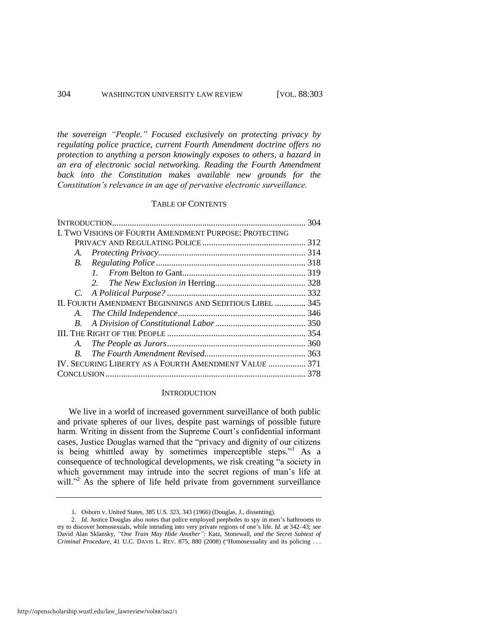*the sovereign "People." Focused exclusively on protecting privacy by regulating police practice, current Fourth Amendment doctrine offers no protection to anything a person knowingly exposes to others, a hazard in an era of electronic social networking. Reading the Fourth Amendment back into the Constitution makes available new grounds for the Constitution's relevance in an age of pervasive electronic surveillance.*

#### TABLE OF CONTENTS

| I. TWO VISIONS OF FOURTH AMENDMENT PURPOSE: PROTECTING   |  |
|----------------------------------------------------------|--|
|                                                          |  |
|                                                          |  |
|                                                          |  |
|                                                          |  |
|                                                          |  |
|                                                          |  |
| II. FOURTH AMENDMENT BEGINNINGS AND SEDITIOUS LIBEL  345 |  |
|                                                          |  |
|                                                          |  |
|                                                          |  |
| A.                                                       |  |
| $B_{\cdot}$                                              |  |
| IV. SECURING LIBERTY AS A FOURTH AMENDMENT VALUE  371    |  |
|                                                          |  |

#### **INTRODUCTION**

We live in a world of increased government surveillance of both public and private spheres of our lives, despite past warnings of possible future harm. Writing in dissent from the Supreme Court's confidential informant cases, Justice Douglas warned that the "privacy and dignity of our citizens is being whittled away by sometimes imperceptible steps."<sup>1</sup> As a consequence of technological developments, we risk creating "a society in which government may intrude into the secret regions of man's life at will."<sup>2</sup> As the sphere of life held private from government surveillance

<sup>1.</sup> Osborn v. United States, 385 U.S. 323, 343 (1966) (Douglas, J., dissenting).

<sup>2</sup>*. Id.* Justice Douglas also notes that police employed peepholes to spy in men's bathrooms to try to discover homosexuals, while intruding into very private regions of one's life. *Id.* at 342–43; *see* David Alan Sklansky, *"One Train May Hide Another":* Katz*,* Stonewall*, and the Secret Subtext of Criminal Procedure*, 41 U.C. DAVIS L. REV. 875, 880 (2008) ("Homosexuality and its policing . . .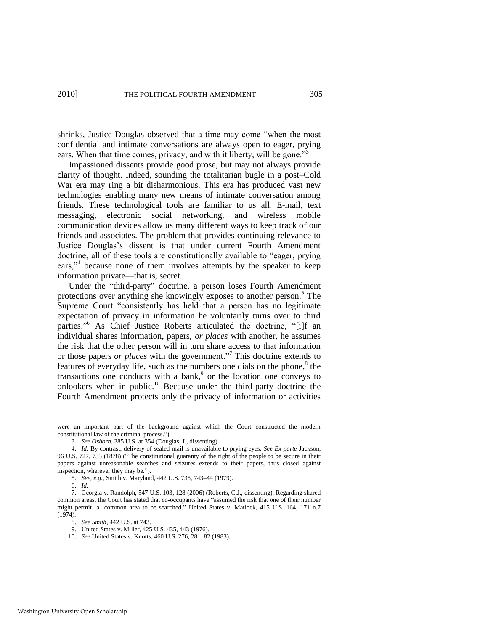shrinks, Justice Douglas observed that a time may come "when the most confidential and intimate conversations are always open to eager, prying ears. When that time comes, privacy, and with it liberty, will be gone.<sup>33</sup>

Impassioned dissents provide good prose, but may not always provide clarity of thought. Indeed, sounding the totalitarian bugle in a post–Cold War era may ring a bit disharmonious. This era has produced vast new technologies enabling many new means of intimate conversation among friends. These technological tools are familiar to us all. E-mail, text messaging, electronic social networking, and wireless mobile communication devices allow us many different ways to keep track of our friends and associates. The problem that provides continuing relevance to Justice Douglas's dissent is that under current Fourth Amendment doctrine, all of these tools are constitutionally available to "eager, prying ears,"<sup>4</sup> because none of them involves attempts by the speaker to keep information private—that is, secret.

Under the "third-party" doctrine, a person loses Fourth Amendment protections over anything she knowingly exposes to another person.<sup>5</sup> The Supreme Court "consistently has held that a person has no legitimate expectation of privacy in information he voluntarily turns over to third parties."<sup>6</sup> As Chief Justice Roberts articulated the doctrine, "[i]f an individual shares information, papers, *or places* with another, he assumes the risk that the other person will in turn share access to that information or those papers *or places* with the government."<sup>7</sup> This doctrine extends to features of everyday life, such as the numbers one dials on the phone, $8$  the transactions one conducts with a bank, $9$  or the location one conveys to onlookers when in public.<sup>10</sup> Because under the third-party doctrine the Fourth Amendment protects only the privacy of information or activities

were an important part of the background against which the Court constructed the modern constitutional law of the criminal process.").

<sup>3</sup>*. See Osborn*, 385 U.S. at 354 (Douglas, J., dissenting).

<sup>4.</sup> *Id.* By contrast, delivery of sealed mail is unavailable to prying eyes. *See Ex parte* Jackson, 96 U.S. 727, 733 (1878) ("The constitutional guaranty of the right of the people to be secure in their papers against unreasonable searches and seizures extends to their papers, thus closed against inspection, wherever they may be.").

<sup>5.</sup> *See, e.g.*, Smith v. Maryland, 442 U.S. 735, 743–44 (1979).

<sup>6.</sup> *Id.*

<sup>7.</sup> Georgia v. Randolph, 547 U.S. 103, 128 (2006) (Roberts, C.J., dissenting). Regarding shared common areas, the Court has stated that co-occupants have "assumed the risk that one of their number might permit [a] common area to be searched.<sup>7</sup> United States v. Matlock, 415 U.S. 164, 171 n.7 (1974).

<sup>8.</sup> *See Smith*, 442 U.S. at 743.

<sup>9.</sup> United States v. Miller, 425 U.S. 435, 443 (1976).

<sup>10.</sup> *See* United States v. Knotts, 460 U.S. 276, 281–82 (1983).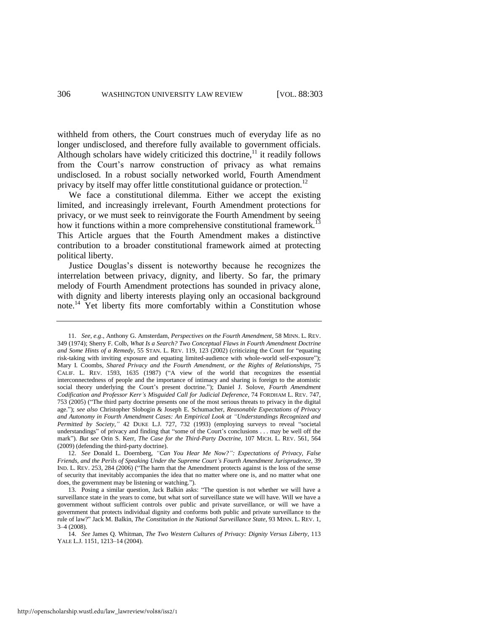withheld from others, the Court construes much of everyday life as no longer undisclosed, and therefore fully available to government officials. Although scholars have widely criticized this doctrine, $11$  it readily follows from the Court's narrow construction of privacy as what remains undisclosed. In a robust socially networked world, Fourth Amendment privacy by itself may offer little constitutional guidance or protection.<sup>12</sup>

We face a constitutional dilemma. Either we accept the existing limited, and increasingly irrelevant, Fourth Amendment protections for privacy, or we must seek to reinvigorate the Fourth Amendment by seeing how it functions within a more comprehensive constitutional framework.<sup>13</sup> This Article argues that the Fourth Amendment makes a distinctive contribution to a broader constitutional framework aimed at protecting political liberty.

Justice Douglas's dissent is noteworthy because he recognizes the interrelation between privacy, dignity, and liberty. So far, the primary melody of Fourth Amendment protections has sounded in privacy alone, with dignity and liberty interests playing only an occasional background note.<sup>14</sup> Yet liberty fits more comfortably within a Constitution whose

<sup>11.</sup> *See, e.g*., Anthony G. Amsterdam, *Perspectives on the Fourth Amendment*, 58 MINN. L. REV. 349 (1974); Sherry F. Colb, *What Is a Search? Two Conceptual Flaws in Fourth Amendment Doctrine and Some Hints of a Remedy*, 55 STAN. L. REV. 119, 123 (2002) (criticizing the Court for "equating risk-taking with inviting exposure and equating limited-audience with whole-world self-exposure"); Mary I. Coombs, *Shared Privacy and the Fourth Amendment, or the Rights of Relationships*, 75 CALIF. L. REV. 1593, 1635 (1987) ("A view of the world that recognizes the essential interconnectedness of people and the importance of intimacy and sharing is foreign to the atomistic social theory underlying the Court's present doctrine."); Daniel J. Solove, *Fourth Amendment Codification and Professor Kerr's Misguided Call for Judicial Deference*, 74 FORDHAM L. REV. 747, 753 (2005) ("The third party doctrine presents one of the most serious threats to privacy in the digital age.‖); *see also* Christopher Slobogin & Joseph E. Schumacher, *Reasonable Expectations of Privacy and Autonomy in Fourth Amendment Cases: An Empirical Look at "Understandings Recognized and Permitted by Society,"* 42 DUKE L.J. 727, 732 (1993) (employing surveys to reveal "societal understandings" of privacy and finding that "some of the Court's conclusions . . . may be well off the mark‖). *But see* Orin S. Kerr, *The Case for the Third-Party Doctrine*, 107 MICH. L. REV. 561, 564 (2009) (defending the third-party doctrine).

<sup>12.</sup> *See* Donald L. Doernberg, *"Can You Hear Me Now?": Expectations of Privacy, False Friends, and the Perils of Speaking Under the Supreme Court's Fourth Amendment Jurisprudence*, 39 IND. L. REV. 253, 284 (2006) ("The harm that the Amendment protects against is the loss of the sense of security that inevitably accompanies the idea that no matter where one is, and no matter what one does, the government may be listening or watching.").

<sup>13.</sup> Posing a similar question, Jack Balkin asks: "The question is not whether we will have a surveillance state in the years to come, but what sort of surveillance state we will have. Will we have a government without sufficient controls over public and private surveillance, or will we have a government that protects individual dignity and conforms both public and private surveillance to the rule of law?‖ Jack M. Balkin, *The Constitution in the National Surveillance State*, 93 MINN. L. REV. 1, 3–4 (2008).

<sup>14.</sup> *See* James Q. Whitman, *The Two Western Cultures of Privacy: Dignity Versus Liberty*, 113 YALE L.J. 1151, 1213–14 (2004).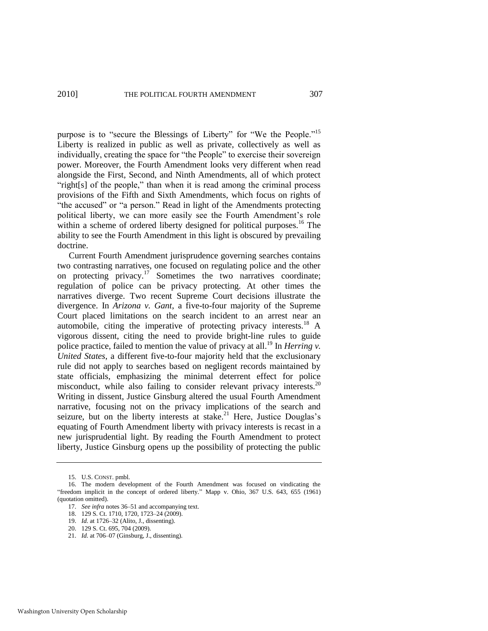#### 2010] THE POLITICAL FOURTH AMENDMENT 307

purpose is to "secure the Blessings of Liberty" for "We the People."<sup>15</sup> Liberty is realized in public as well as private, collectively as well as individually, creating the space for "the People" to exercise their sovereign power. Moreover, the Fourth Amendment looks very different when read alongside the First, Second, and Ninth Amendments, all of which protect "right[s] of the people," than when it is read among the criminal process provisions of the Fifth and Sixth Amendments, which focus on rights of "the accused" or "a person." Read in light of the Amendments protecting political liberty, we can more easily see the Fourth Amendment's role within a scheme of ordered liberty designed for political purposes.<sup>16</sup> The ability to see the Fourth Amendment in this light is obscured by prevailing doctrine.

Current Fourth Amendment jurisprudence governing searches contains two contrasting narratives, one focused on regulating police and the other on protecting privacy.<sup>17</sup> Sometimes the two narratives coordinate; regulation of police can be privacy protecting. At other times the narratives diverge. Two recent Supreme Court decisions illustrate the divergence. In *Arizona v. Gant*, a five-to-four majority of the Supreme Court placed limitations on the search incident to an arrest near an automobile, citing the imperative of protecting privacy interests.<sup>18</sup> A vigorous dissent, citing the need to provide bright-line rules to guide police practice, failed to mention the value of privacy at all.<sup>19</sup> In *Herring v*. *United States*, a different five-to-four majority held that the exclusionary rule did not apply to searches based on negligent records maintained by state officials, emphasizing the minimal deterrent effect for police misconduct, while also failing to consider relevant privacy interests.<sup>20</sup> Writing in dissent, Justice Ginsburg altered the usual Fourth Amendment narrative, focusing not on the privacy implications of the search and seizure, but on the liberty interests at stake.<sup>21</sup> Here, Justice Douglas's equating of Fourth Amendment liberty with privacy interests is recast in a new jurisprudential light. By reading the Fourth Amendment to protect liberty, Justice Ginsburg opens up the possibility of protecting the public

<sup>15.</sup> U.S. CONST. pmbl.

<sup>16.</sup> The modern development of the Fourth Amendment was focused on vindicating the "freedom implicit in the concept of ordered liberty." Mapp v. Ohio, 367 U.S. 643, 655 (1961) (quotation omitted).

<sup>17.</sup> *See infra* notes [36–](#page-9-0)[51 a](#page-11-0)nd accompanying text.

<sup>18. 129</sup> S. Ct. 1710, 1720, 1723–24 (2009).

<sup>19.</sup> *Id.* at 1726–32 (Alito, J., dissenting).

<sup>20. 129</sup> S. Ct. 695, 704 (2009).

<sup>21.</sup> *Id.* at 706–07 (Ginsburg, J., dissenting).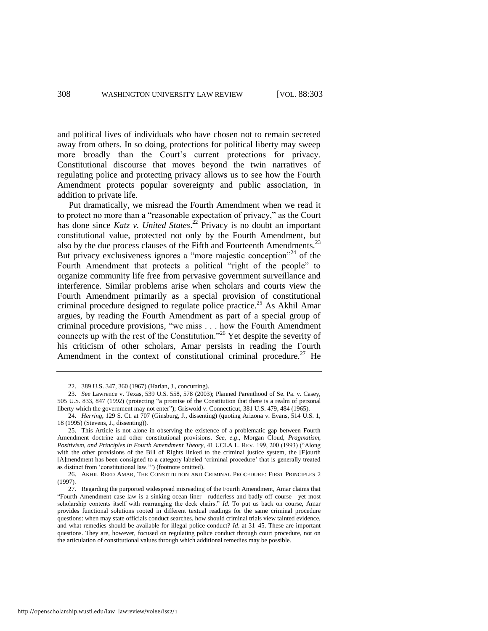and political lives of individuals who have chosen not to remain secreted away from others. In so doing, protections for political liberty may sweep more broadly than the Court's current protections for privacy. Constitutional discourse that moves beyond the twin narratives of regulating police and protecting privacy allows us to see how the Fourth Amendment protects popular sovereignty and public association, in addition to private life.

Put dramatically, we misread the Fourth Amendment when we read it to protect no more than a "reasonable expectation of privacy," as the Court has done since *Katz v. United States*. <sup>22</sup> Privacy is no doubt an important constitutional value, protected not only by the Fourth Amendment, but also by the due process clauses of the Fifth and Fourteenth Amendments.<sup>23</sup> But privacy exclusiveness ignores a "more majestic conception"<sup>24</sup> of the Fourth Amendment that protects a political "right of the people" to organize community life free from pervasive government surveillance and interference. Similar problems arise when scholars and courts view the Fourth Amendment primarily as a special provision of constitutional criminal procedure designed to regulate police practice.<sup>25</sup> As Akhil Amar argues, by reading the Fourth Amendment as part of a special group of criminal procedure provisions, "we miss . . . how the Fourth Amendment connects up with the rest of the Constitution."<sup>26</sup> Yet despite the severity of his criticism of other scholars, Amar persists in reading the Fourth Amendment in the context of constitutional criminal procedure.<sup>27</sup> He

<span id="page-6-0"></span><sup>22. 389</sup> U.S. 347, 360 (1967) (Harlan, J., concurring).

<sup>23.</sup> *See* Lawrence v. Texas, 539 U.S. 558, 578 (2003); Planned Parenthood of Se. Pa. v. Casey, 505 U.S. 833, 847 (1992) (protecting "a promise of the Constitution that there is a realm of personal liberty which the government may not enter"); Griswold v. Connecticut, 381 U.S. 479, 484 (1965).

<sup>24.</sup> *Herring*, 129 S. Ct. at 707 (Ginsburg, J., dissenting) (quoting Arizona v. Evans, 514 U.S. 1, 18 (1995) (Stevens, J., dissenting)).

<sup>25.</sup> This Article is not alone in observing the existence of a problematic gap between Fourth Amendment doctrine and other constitutional provisions. *See, e.g*., Morgan Cloud, *Pragmatism, Positivism, and Principles in Fourth Amendment Theory*, 41 UCLA L. REV. 199, 200 (1993) ("Along with the other provisions of the Bill of Rights linked to the criminal justice system, the [F]ourth [A]mendment has been consigned to a category labeled 'criminal procedure' that is generally treated as distinct from 'constitutional law.'") (footnote omitted).

<sup>26.</sup> AKHIL REED AMAR, THE CONSTITUTION AND CRIMINAL PROCEDURE: FIRST PRINCIPLES 2 (1997).

<sup>27.</sup> Regarding the purported widespread misreading of the Fourth Amendment, Amar claims that ―Fourth Amendment case law is a sinking ocean liner—rudderless and badly off course—yet most scholarship contents itself with rearranging the deck chairs." *Id*. To put us back on course, Amar provides functional solutions rooted in different textual readings for the same criminal procedure questions: when may state officials conduct searches, how should criminal trials view tainted evidence, and what remedies should be available for illegal police conduct? *Id*. at 31–45. These are important questions. They are, however, focused on regulating police conduct through court procedure, not on the articulation of constitutional values through which additional remedies may be possible.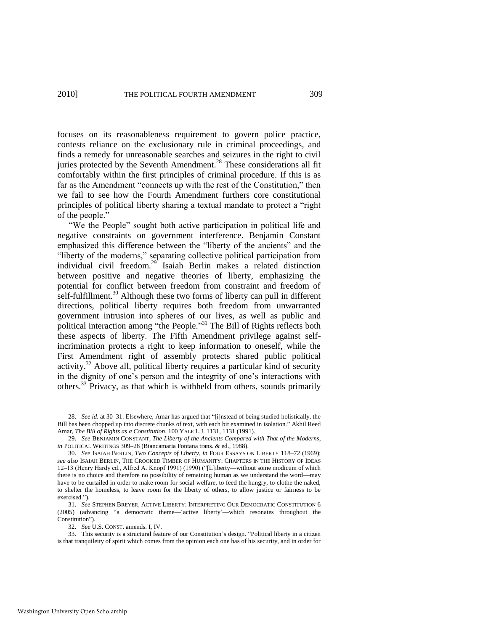focuses on its reasonableness requirement to govern police practice, contests reliance on the exclusionary rule in criminal proceedings, and finds a remedy for unreasonable searches and seizures in the right to civil juries protected by the Seventh Amendment.<sup>28</sup> These considerations all fit comfortably within the first principles of criminal procedure. If this is as far as the Amendment "connects up with the rest of the Constitution," then we fail to see how the Fourth Amendment furthers core constitutional principles of political liberty sharing a textual mandate to protect a "right" of the people."

"We the People" sought both active participation in political life and negative constraints on government interference. Benjamin Constant emphasized this difference between the "liberty of the ancients" and the "liberty of the moderns," separating collective political participation from individual civil freedom.<sup>29</sup> Isaiah Berlin makes a related distinction between positive and negative theories of liberty, emphasizing the potential for conflict between freedom from constraint and freedom of self-fulfillment.<sup>30</sup> Although these two forms of liberty can pull in different directions, political liberty requires both freedom from unwarranted government intrusion into spheres of our lives, as well as public and political interaction among "the People."<sup>31</sup> The Bill of Rights reflects both these aspects of liberty. The Fifth Amendment privilege against selfincrimination protects a right to keep information to oneself, while the First Amendment right of assembly protects shared public political activity.<sup>32</sup> Above all, political liberty requires a particular kind of security in the dignity of one's person and the integrity of one's interactions with others.<sup>33</sup> Privacy, as that which is withheld from others, sounds primarily

<sup>28.</sup> *See id.* at 30–31. Elsewhere, Amar has argued that "[i]nstead of being studied holistically, the Bill has been chopped up into discrete chunks of text, with each bit examined in isolation." Akhil Reed Amar, *The Bill of Rights as a Constitution*, 100 YALE L.J. 1131, 1131 (1991).

<sup>29.</sup> *See* BENJAMIN CONSTANT, *The Liberty of the Ancients Compared with That of the Moderns*, *in* POLITICAL WRITINGS 309–28 (Biancamaria Fontana trans. & ed., 1988).

<sup>30.</sup> *See* ISAIAH BERLIN, *Two Concepts of Liberty*, *in* FOUR ESSAYS ON LIBERTY 118–72 (1969); *see also* ISAIAH BERLIN, THE CROOKED TIMBER OF HUMANITY: CHAPTERS IN THE HISTORY OF IDEAS 12–13 (Henry Hardy ed., Alfred A. Knopf 1991) (1990) ("[L]iberty—without some modicum of which there is no choice and therefore no possibility of remaining human as we understand the word—may have to be curtailed in order to make room for social welfare, to feed the hungry, to clothe the naked, to shelter the homeless, to leave room for the liberty of others, to allow justice or fairness to be exercised.").

<sup>31.</sup> *See* STEPHEN BREYER, ACTIVE LIBERTY: INTERPRETING OUR DEMOCRATIC CONSTITUTION 6 (2005) (advancing "a democratic theme— 'active liberty'—which resonates throughout the Constitution").

<sup>32.</sup> *See* U.S. CONST. amends. I, IV.

<sup>33.</sup> This security is a structural feature of our Constitution's design. "Political liberty in a citizen is that tranquileity of spirit which comes from the opinion each one has of his security, and in order for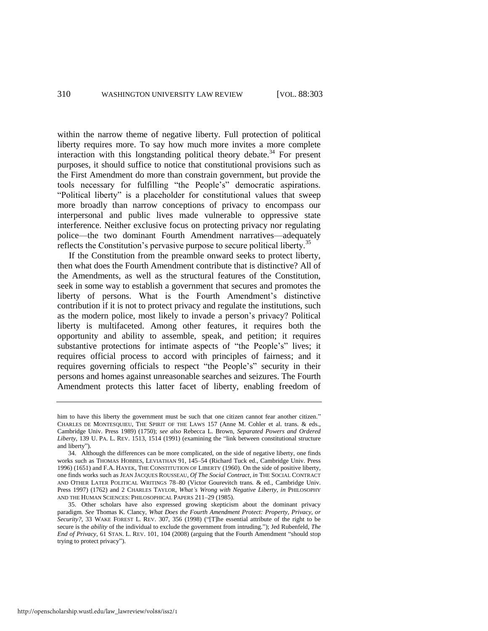within the narrow theme of negative liberty. Full protection of political liberty requires more. To say how much more invites a more complete interaction with this longstanding political theory debate.<sup>34</sup> For present purposes, it should suffice to notice that constitutional provisions such as the First Amendment do more than constrain government, but provide the tools necessary for fulfilling "the People's" democratic aspirations. "Political liberty" is a placeholder for constitutional values that sweep more broadly than narrow conceptions of privacy to encompass our interpersonal and public lives made vulnerable to oppressive state interference. Neither exclusive focus on protecting privacy nor regulating police—the two dominant Fourth Amendment narratives—adequately reflects the Constitution's pervasive purpose to secure political liberty.<sup>35</sup>

If the Constitution from the preamble onward seeks to protect liberty, then what does the Fourth Amendment contribute that is distinctive? All of the Amendments, as well as the structural features of the Constitution, seek in some way to establish a government that secures and promotes the liberty of persons. What is the Fourth Amendment's distinctive contribution if it is not to protect privacy and regulate the institutions, such as the modern police, most likely to invade a person's privacy? Political liberty is multifaceted. Among other features, it requires both the opportunity and ability to assemble, speak, and petition; it requires substantive protections for intimate aspects of "the People's" lives; it requires official process to accord with principles of fairness; and it requires governing officials to respect "the People's" security in their persons and homes against unreasonable searches and seizures. The Fourth Amendment protects this latter facet of liberty, enabling freedom of

him to have this liberty the government must be such that one citizen cannot fear another citizen." CHARLES DE MONTESQUIEU, THE SPIRIT OF THE LAWS 157 (Anne M. Cohler et al. trans. & eds., Cambridge Univ. Press 1989) (1750); *see also* Rebecca L. Brown, *Separated Powers and Ordered*  Liberty, 139 U. PA. L. REV. 1513, 1514 (1991) (examining the "link between constitutional structure and liberty").

<sup>34.</sup> Although the differences can be more complicated, on the side of negative liberty, one finds works such as THOMAS HOBBES, LEVIATHAN 91, 145–54 (Richard Tuck ed., Cambridge Univ. Press 1996) (1651) and F.A. HAYEK, THE CONSTITUTION OF LIBERTY (1960). On the side of positive liberty, one finds works such as JEAN JACQUES ROUSSEAU, *Of The Social Contract*, *in* THE SOCIAL CONTRACT AND OTHER LATER POLITICAL WRITINGS 78–80 (Victor Gourevitch trans. & ed., Cambridge Univ. Press 1997) (1762) and 2 CHARLES TAYLOR, *What's Wrong with Negative Liberty*, *in* PHILOSOPHY AND THE HUMAN SCIENCES: PHILOSOPHICAL PAPERS 211–29 (1985).

<sup>35.</sup> Other scholars have also expressed growing skepticism about the dominant privacy paradigm. *See* Thomas K. Clancy, *What Does the Fourth Amendment Protect: Property, Privacy, or Security?*, 33 WAKE FOREST L. REV. 307, 356 (1998) ("[T]he essential attribute of the right to be secure is the *ability* of the individual to exclude the government from intruding."); Jed Rubenfeld, *The End of Privacy*, 61 STAN. L. REV. 101, 104 (2008) (arguing that the Fourth Amendment "should stop trying to protect privacy").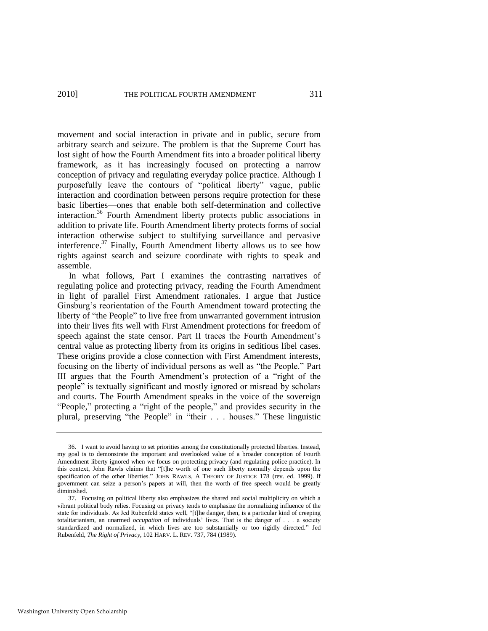movement and social interaction in private and in public, secure from arbitrary search and seizure. The problem is that the Supreme Court has lost sight of how the Fourth Amendment fits into a broader political liberty framework, as it has increasingly focused on protecting a narrow conception of privacy and regulating everyday police practice. Although I purposefully leave the contours of "political liberty" vague, public interaction and coordination between persons require protection for these basic liberties—ones that enable both self-determination and collective interaction.<sup>36</sup> Fourth Amendment liberty protects public associations in addition to private life. Fourth Amendment liberty protects forms of social interaction otherwise subject to stultifying surveillance and pervasive interference.<sup>37</sup> Finally, Fourth Amendment liberty allows us to see how rights against search and seizure coordinate with rights to speak and assemble.

<span id="page-9-0"></span>In what follows, Part I examines the contrasting narratives of regulating police and protecting privacy, reading the Fourth Amendment in light of parallel First Amendment rationales. I argue that Justice Ginsburg's reorientation of the Fourth Amendment toward protecting the liberty of "the People" to live free from unwarranted government intrusion into their lives fits well with First Amendment protections for freedom of speech against the state censor. Part II traces the Fourth Amendment's central value as protecting liberty from its origins in seditious libel cases. These origins provide a close connection with First Amendment interests, focusing on the liberty of individual persons as well as "the People." Part III argues that the Fourth Amendment's protection of a "right of the people" is textually significant and mostly ignored or misread by scholars and courts. The Fourth Amendment speaks in the voice of the sovereign "People," protecting a "right of the people," and provides security in the plural, preserving "the People" in "their . . . houses." These linguistic

<sup>36.</sup> I want to avoid having to set priorities among the constitutionally protected liberties. Instead, my goal is to demonstrate the important and overlooked value of a broader conception of Fourth Amendment liberty ignored when we focus on protecting privacy (and regulating police practice). In this context, John Rawls claims that "[t]he worth of one such liberty normally depends upon the specification of the other liberties." JOHN RAWLS, A THEORY OF JUSTICE 178 (rev. ed. 1999). If government can seize a person's papers at will, then the worth of free speech would be greatly diminished.

<sup>37.</sup> Focusing on political liberty also emphasizes the shared and social multiplicity on which a vibrant political body relies. Focusing on privacy tends to emphasize the normalizing influence of the state for individuals. As Jed Rubenfeld states well, "[t]he danger, then, is a particular kind of creeping totalitarianism, an unarmed *occupation* of individuals' lives. That is the danger of . . . a society standardized and normalized, in which lives are too substantially or too rigidly directed." Jed Rubenfeld, *The Right of Privacy*, 102 HARV. L. REV. 737, 784 (1989).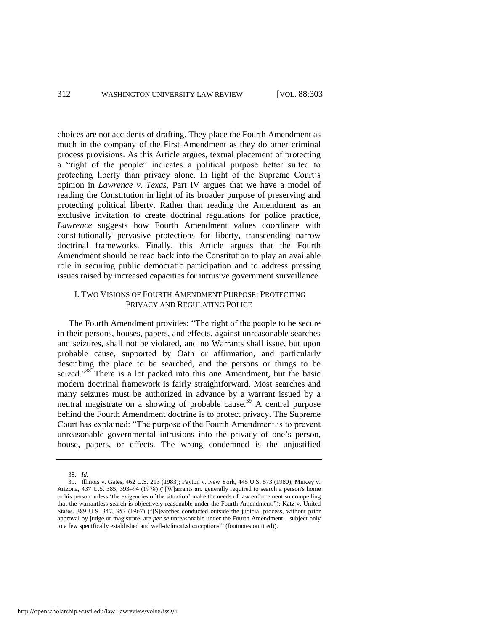choices are not accidents of drafting. They place the Fourth Amendment as much in the company of the First Amendment as they do other criminal process provisions. As this Article argues, textual placement of protecting a "right of the people" indicates a political purpose better suited to protecting liberty than privacy alone. In light of the Supreme Court's opinion in *Lawrence v. Texas*, Part IV argues that we have a model of reading the Constitution in light of its broader purpose of preserving and protecting political liberty. Rather than reading the Amendment as an exclusive invitation to create doctrinal regulations for police practice, *Lawrence* suggests how Fourth Amendment values coordinate with constitutionally pervasive protections for liberty, transcending narrow doctrinal frameworks. Finally, this Article argues that the Fourth Amendment should be read back into the Constitution to play an available role in securing public democratic participation and to address pressing issues raised by increased capacities for intrusive government surveillance.

#### I. TWO VISIONS OF FOURTH AMENDMENT PURPOSE: PROTECTING PRIVACY AND REGULATING POLICE

The Fourth Amendment provides: "The right of the people to be secure in their persons, houses, papers, and effects, against unreasonable searches and seizures, shall not be violated, and no Warrants shall issue, but upon probable cause, supported by Oath or affirmation, and particularly describing the place to be searched, and the persons or things to be seized."<sup>38</sup> There is a lot packed into this one Amendment, but the basic modern doctrinal framework is fairly straightforward. Most searches and many seizures must be authorized in advance by a warrant issued by a neutral magistrate on a showing of probable cause.<sup>39</sup> A central purpose behind the Fourth Amendment doctrine is to protect privacy. The Supreme Court has explained: "The purpose of the Fourth Amendment is to prevent unreasonable governmental intrusions into the privacy of one's person, house, papers, or effects. The wrong condemned is the unjustified

<sup>38.</sup> *Id.*

<sup>39.</sup> Illinois v. Gates, 462 U.S. 213 (1983); Payton v. New York, 445 U.S. 573 (1980); Mincey v. Arizona, 437 U.S. 385, 393-94 (1978) ("[W]arrants are generally required to search a person's home or his person unless ‗the exigencies of the situation' make the needs of law enforcement so compelling that the warrantless search is objectively reasonable under the Fourth Amendment."); Katz v. United States, 389 U.S. 347, 357 (1967) ("[S]earches conducted outside the judicial process, without prior approval by judge or magistrate, are *per se* unreasonable under the Fourth Amendment—subject only to a few specifically established and well-delineated exceptions." (footnotes omitted)).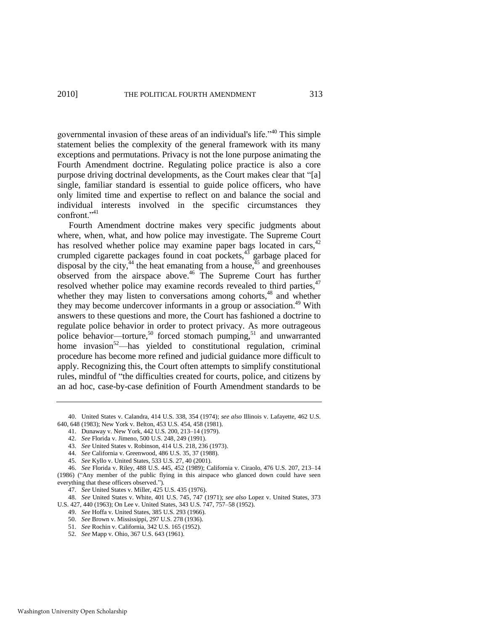governmental invasion of these areas of an individual's life.<sup> $40$ </sup> This simple statement belies the complexity of the general framework with its many exceptions and permutations. Privacy is not the lone purpose animating the Fourth Amendment doctrine. Regulating police practice is also a core purpose driving doctrinal developments, as the Court makes clear that "[a] single, familiar standard is essential to guide police officers, who have only limited time and expertise to reflect on and balance the social and individual interests involved in the specific circumstances they confront."<sup>41</sup>

Fourth Amendment doctrine makes very specific judgments about where, when, what, and how police may investigate. The Supreme Court has resolved whether police may examine paper bags located in cars, $42$ crumpled cigarette packages found in coat pockets, $43$  garbage placed for disposal by the city,<sup>44</sup> the heat emanating from a house,<sup> $45$ </sup> and greenhouses observed from the airspace above.<sup>46</sup> The Supreme Court has further resolved whether police may examine records revealed to third parties,<sup>47</sup> whether they may listen to conversations among cohorts,<sup>48</sup> and whether they may become undercover informants in a group or association.<sup>49</sup> With answers to these questions and more, the Court has fashioned a doctrine to regulate police behavior in order to protect privacy. As more outrageous police behavior—torture,<sup>50</sup> forced stomach pumping,<sup>51</sup> and unwarranted home invasion<sup>52</sup>—has yielded to constitutional regulation, criminal procedure has become more refined and judicial guidance more difficult to apply. Recognizing this, the Court often attempts to simplify constitutional rules, mindful of "the difficulties created for courts, police, and citizens by an ad hoc, case-by-case definition of Fourth Amendment standards to be

- <span id="page-11-0"></span>41. Dunaway v. New York, 442 U.S. 200, 213–14 (1979).
- 42. *See* Florida v. Jimeno, 500 U.S. 248, 249 (1991).
- 43. *See* United States v. Robinson, 414 U.S. 218, 236 (1973).
- 44. *See* California v. Greenwood, 486 U.S. 35, 37 (1988).
- 45. *See* Kyllo v. United States, 533 U.S. 27, 40 (2001).
- 46. *See* Florida v. Riley, 488 U.S. 445, 452 (1989); California v. Ciraolo, 476 U.S. 207, 213–14 (1986) ("Any member of the public flying in this airspace who glanced down could have seen everything that these officers observed.").
	- 47. *See* United States v. Miller, 425 U.S. 435 (1976).

48. *See* United States v. White, 401 U.S. 745, 747 (1971); *see also* Lopez v. United States, 373 U.S. 427, 440 (1963); On Lee v. United States, 343 U.S. 747, 757–58 (1952).

- 49. *See* Hoffa v. United States, 385 U.S. 293 (1966).
- 50. *See* Brown v. Mississippi, 297 U.S. 278 (1936).
- 51. *See* Rochin v. California, 342 U.S. 165 (1952).
- 52. *See* Mapp v. Ohio, 367 U.S. 643 (1961).

<sup>40.</sup> United States v. Calandra, 414 U.S. 338, 354 (1974); *see also* Illinois v. Lafayette, 462 U.S. 640, 648 (1983); New York v. Belton, 453 U.S. 454, 458 (1981).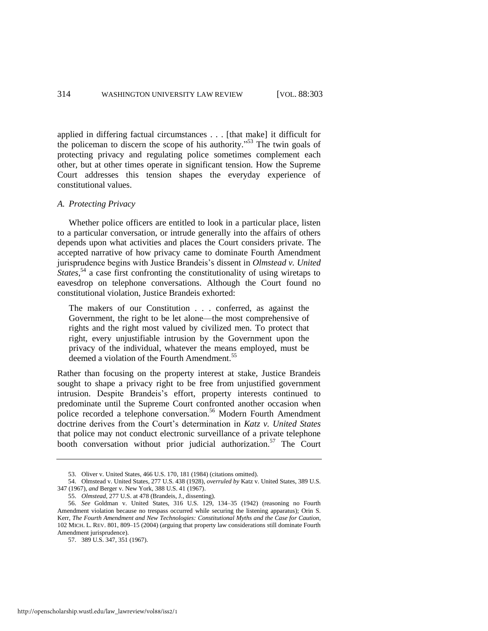applied in differing factual circumstances . . . [that make] it difficult for the policeman to discern the scope of his authority."<sup>53</sup> The twin goals of protecting privacy and regulating police sometimes complement each other, but at other times operate in significant tension. How the Supreme Court addresses this tension shapes the everyday experience of constitutional values.

#### *A. Protecting Privacy*

Whether police officers are entitled to look in a particular place, listen to a particular conversation, or intrude generally into the affairs of others depends upon what activities and places the Court considers private. The accepted narrative of how privacy came to dominate Fourth Amendment jurisprudence begins with Justice Brandeis's dissent in *Olmstead v. United*  States,<sup>54</sup> a case first confronting the constitutionality of using wiretaps to eavesdrop on telephone conversations. Although the Court found no constitutional violation, Justice Brandeis exhorted:

The makers of our Constitution . . . conferred, as against the Government, the right to be let alone—the most comprehensive of rights and the right most valued by civilized men. To protect that right, every unjustifiable intrusion by the Government upon the privacy of the individual, whatever the means employed, must be deemed a violation of the Fourth Amendment.<sup>55</sup>

Rather than focusing on the property interest at stake, Justice Brandeis sought to shape a privacy right to be free from unjustified government intrusion. Despite Brandeis's effort, property interests continued to predominate until the Supreme Court confronted another occasion when police recorded a telephone conversation.<sup>56</sup> Modern Fourth Amendment doctrine derives from the Court's determination in *Katz v. United States* that police may not conduct electronic surveillance of a private telephone booth conversation without prior judicial authorization.<sup>57</sup> The Court

<sup>53.</sup> Oliver v. United States, 466 U.S. 170, 181 (1984) (citations omitted).

<sup>54.</sup> Olmstead v. United States, 277 U.S. 438 (1928), *overruled by* Katz v. United States, 389 U.S. 347 (1967), *and* Berger v. New York, 388 U.S. 41 (1967).

<sup>55.</sup> *Olmstead*, 277 U.S. at 478 (Brandeis, J., dissenting).

<sup>56.</sup> *See* Goldman v. United States, 316 U.S. 129, 134–35 (1942) (reasoning no Fourth Amendment violation because no trespass occurred while securing the listening apparatus); Orin S. Kerr, *The Fourth Amendment and New Technologies: Constitutional Myths and the Case for Caution*, 102 MICH. L. REV. 801, 809–15 (2004) (arguing that property law considerations still dominate Fourth Amendment jurisprudence).

<sup>57. 389</sup> U.S. 347, 351 (1967).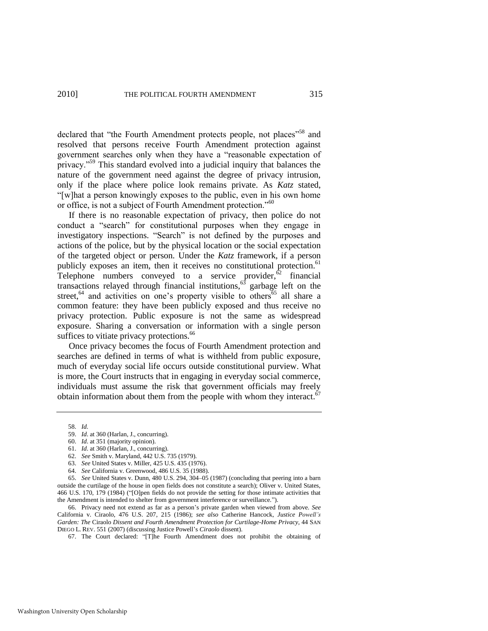declared that "the Fourth Amendment protects people, not places"<sup>58</sup> and resolved that persons receive Fourth Amendment protection against government searches only when they have a "reasonable expectation of privacy.<sup>59</sup> This standard evolved into a judicial inquiry that balances the nature of the government need against the degree of privacy intrusion, only if the place where police look remains private. As *Katz* stated, ―[w]hat a person knowingly exposes to the public, even in his own home or office, is not a subject of Fourth Amendment protection."<sup>60</sup>

If there is no reasonable expectation of privacy, then police do not conduct a "search" for constitutional purposes when they engage in investigatory inspections. "Search" is not defined by the purposes and actions of the police, but by the physical location or the social expectation of the targeted object or person. Under the *Katz* framework, if a person publicly exposes an item, then it receives no constitutional protection.<sup>61</sup> Telephone numbers conveyed to a service provider, $62$  financial transactions relayed through financial institutions,<sup>63</sup> garbage left on the street,<sup>64</sup> and activities on one's property visible to others<sup>65</sup> all share a common feature: they have been publicly exposed and thus receive no privacy protection. Public exposure is not the same as widespread exposure. Sharing a conversation or information with a single person suffices to vitiate privacy protections.<sup>66</sup>

Once privacy becomes the focus of Fourth Amendment protection and searches are defined in terms of what is withheld from public exposure, much of everyday social life occurs outside constitutional purview. What is more, the Court instructs that in engaging in everyday social commerce, individuals must assume the risk that government officials may freely obtain information about them from the people with whom they interact.<sup>67</sup>

- 60. *Id*. at 351 (majority opinion).
- 61. *Id*. at 360 (Harlan, J., concurring).
- 62. *See* Smith v. Maryland, 442 U.S. 735 (1979).
- 63. *See* United States v. Miller, 425 U.S. 435 (1976).
- 64. *See* California v. Greenwood, 486 U.S. 35 (1988).

65. *See* United States v. Dunn, 480 U.S. 294, 304–05 (1987) (concluding that peering into a barn outside the curtilage of the house in open fields does not constitute a search); Oliver v. United States, 466 U.S. 170, 179 (1984) ("[O]pen fields do not provide the setting for those intimate activities that the Amendment is intended to shelter from government interference or surveillance.").

66. Privacy need not extend as far as a person's private garden when viewed from above. *See* California v. Ciraolo, 476 U.S. 207, 215 (1986); *see also* Catherine Hancock, *Justice Powell's Garden: The* Ciraolo *Dissent and Fourth Amendment Protection for Curtilage-Home Privacy*, 44 SAN DIEGO L. REV. 551 (2007) (discussing Justice Powell's *Ciraolo* dissent).

67. The Court declared: "[T]he Fourth Amendment does not prohibit the obtaining of

<sup>58.</sup> *Id.*

<sup>59.</sup> *Id*. at 360 (Harlan, J., concurring).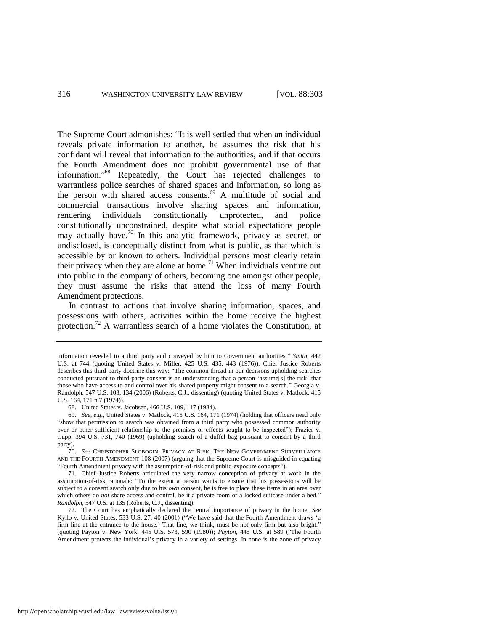The Supreme Court admonishes: "It is well settled that when an individual reveals private information to another, he assumes the risk that his confidant will reveal that information to the authorities, and if that occurs the Fourth Amendment does not prohibit governmental use of that information."<sup>68</sup> Repeatedly, the Court has rejected challenges to warrantless police searches of shared spaces and information, so long as the person with shared access consents.<sup>69</sup> A multitude of social and commercial transactions involve sharing spaces and information, rendering individuals constitutionally unprotected, and police constitutionally unconstrained, despite what social expectations people may actually have.<sup>70</sup> In this analytic framework, privacy as secret, or undisclosed, is conceptually distinct from what is public, as that which is accessible by or known to others. Individual persons most clearly retain their privacy when they are alone at home.<sup>71</sup> When individuals venture out into public in the company of others, becoming one amongst other people, they must assume the risks that attend the loss of many Fourth Amendment protections.

In contrast to actions that involve sharing information, spaces, and possessions with others, activities within the home receive the highest protection.<sup>72</sup> A warrantless search of a home violates the Constitution, at

68. United States v. Jacobsen, 466 U.S. 109, 117 (1984).

information revealed to a third party and conveyed by him to Government authorities." *Smith*, 442 U.S. at 744 (quoting United States v. Miller, 425 U.S. 435, 443 (1976)). Chief Justice Roberts describes this third-party doctrine this way: "The common thread in our decisions upholding searches conducted pursuant to third-party consent is an understanding that a person 'assume[s] the risk' that those who have access to and control over his shared property might consent to a search." Georgia v. Randolph, 547 U.S. 103, 134 (2006) (Roberts, C.J., dissenting) (quoting United States v. Matlock, 415 U.S. 164, 171 n.7 (1974)).

<sup>69.</sup> *See, e.g*., United States v. Matlock, 415 U.S. 164, 171 (1974) (holding that officers need only "show that permission to search was obtained from a third party who possessed common authority over or other sufficient relationship to the premises or effects sought to be inspected‖); Frazier v. Cupp, 394 U.S. 731, 740 (1969) (upholding search of a duffel bag pursuant to consent by a third party).

<sup>70.</sup> *See* CHRISTOPHER SLOBOGIN, PRIVACY AT RISK: THE NEW GOVERNMENT SURVEILLANCE AND THE FOURTH AMENDMENT 108 (2007) (arguing that the Supreme Court is misguided in equating "Fourth Amendment privacy with the assumption-of-risk and public-exposure concepts").

<sup>71.</sup> Chief Justice Roberts articulated the very narrow conception of privacy at work in the assumption-of-risk rationale: "To the extent a person wants to ensure that his possessions will be subject to a consent search only due to his *own* consent, he is free to place these items in an area over which others do *not* share access and control, be it a private room or a locked suitcase under a bed.' *Randolph*, 547 U.S. at 135 (Roberts, C.J., dissenting).

<sup>72.</sup> The Court has emphatically declared the central importance of privacy in the home. *See* Kyllo v. United States, 533 U.S. 27, 40 (2001) ("We have said that the Fourth Amendment draws 'a firm line at the entrance to the house.' That line, we think, must be not only firm but also bright." (quoting Payton v. New York, 445 U.S. 573, 590 (1980)); *Payton*, 445 U.S. at 589 ("The Fourth Amendment protects the individual's privacy in a variety of settings. In none is the zone of privacy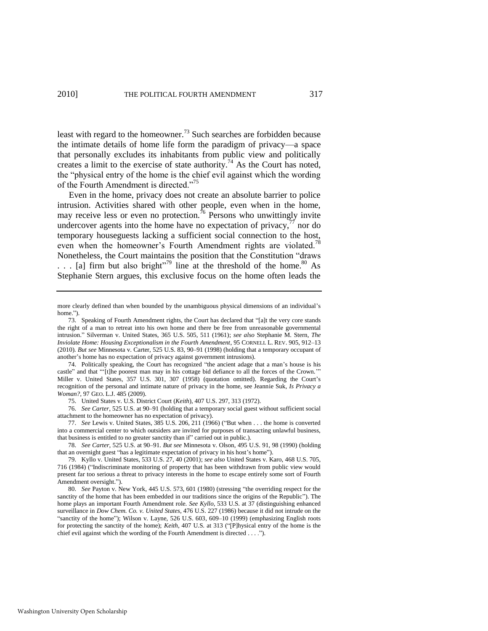<span id="page-15-0"></span>least with regard to the homeowner.<sup>73</sup> Such searches are forbidden because the intimate details of home life form the paradigm of privacy—a space that personally excludes its inhabitants from public view and politically creates a limit to the exercise of state authority.<sup>74</sup> As the Court has noted, the "physical entry of the home is the chief evil against which the wording of the Fourth Amendment is directed."<sup>75</sup>

Even in the home, privacy does not create an absolute barrier to police intrusion. Activities shared with other people, even when in the home, may receive less or even no protection.<sup>76</sup> Persons who unwittingly invite undercover agents into the home have no expectation of privacy, $\frac{7}{7}$  nor do temporary houseguests lacking a sufficient social connection to the host, even when the homeowner's Fourth Amendment rights are violated.<sup>78</sup> Nonetheless, the Court maintains the position that the Constitution "draws"  $\ldots$  [a] firm but also bright<sup>379</sup> line at the threshold of the home.<sup>80</sup> As Stephanie Stern argues, this exclusive focus on the home often leads the

75. United States v. U.S. District Court (*Keith*), 407 U.S. 297, 313 (1972).

76. *See Carter*, 525 U.S. at 90–91 (holding that a temporary social guest without sufficient social attachment to the homeowner has no expectation of privacy).

77. *See* Lewis v. United States, 385 U.S. 206, 211 (1966) ("But when . . . the home is converted into a commercial center to which outsiders are invited for purposes of transacting unlawful business, that business is entitled to no greater sanctity than if" carried out in public.).

more clearly defined than when bounded by the unambiguous physical dimensions of an individual's home.")

<sup>73.</sup> Speaking of Fourth Amendment rights, the Court has declared that "[a]t the very core stands the right of a man to retreat into his own home and there be free from unreasonable governmental intrusion.‖ Silverman v. United States, 365 U.S. 505, 511 (1961); *see also* Stephanie M. Stern, *The Inviolate Home: Housing Exceptionalism in the Fourth Amendment*, 95 CORNELL L. REV. 905, 912–13 (2010). *But see* Minnesota v. Carter, 525 U.S. 83, 90–91 (1998) (holding that a temporary occupant of another's home has no expectation of privacy against government intrusions).

<sup>74.</sup> Politically speaking, the Court has recognized "the ancient adage that a man's house is his castle" and that "'[t]he poorest man may in his cottage bid defiance to all the forces of the Crown." Miller v. United States, 357 U.S. 301, 307 (1958) (quotation omitted). Regarding the Court's recognition of the personal and intimate nature of privacy in the home, see Jeannie Suk, *Is Privacy a Woman?*, 97 GEO. L.J. 485 (2009).

<sup>78.</sup> *See Carter*, 525 U.S. at 90–91. *But see* Minnesota v. Olson, 495 U.S. 91, 98 (1990) (holding that an overnight guest "has a legitimate expectation of privacy in his host's home").

<sup>79.</sup> Kyllo v. United States, 533 U.S. 27, 40 (2001); *see also* United States v. Karo, 468 U.S. 705, 716 (1984) ("Indiscriminate monitoring of property that has been withdrawn from public view would present far too serious a threat to privacy interests in the home to escape entirely some sort of Fourth Amendment oversight.").

<sup>80.</sup> *See* Payton v. New York, 445 U.S. 573, 601 (1980) (stressing "the overriding respect for the sanctity of the home that has been embedded in our traditions since the origins of the Republic"). The home plays an important Fourth Amendment role. *See Kyllo*, 533 U.S. at 37 (distinguishing enhanced surveillance in *Dow Chem. Co. v. United States*, 476 U.S. 227 (1986) because it did not intrude on the ―sanctity of the home‖); Wilson v. Layne, 526 U.S. 603, 609–10 (1999) (emphasizing English roots for protecting the sanctity of the home); *Keith*, 407 U.S. at 313 ("[P]hysical entry of the home is the chief evil against which the wording of the Fourth Amendment is directed . . . .").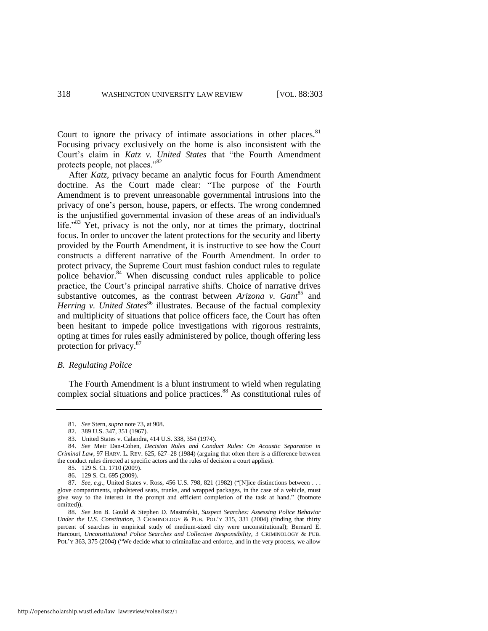Court to ignore the privacy of intimate associations in other places. $81$ Focusing privacy exclusively on the home is also inconsistent with the Court's claim in *Katz v. United States* that "the Fourth Amendment protects people, not places."<sup>82</sup>

After *Katz*, privacy became an analytic focus for Fourth Amendment doctrine. As the Court made clear: "The purpose of the Fourth Amendment is to prevent unreasonable governmental intrusions into the privacy of one's person, house, papers, or effects. The wrong condemned is the unjustified governmental invasion of these areas of an individual's life.<sup> $383$ </sup> Yet, privacy is not the only, nor at times the primary, doctrinal focus. In order to uncover the latent protections for the security and liberty provided by the Fourth Amendment, it is instructive to see how the Court constructs a different narrative of the Fourth Amendment. In order to protect privacy, the Supreme Court must fashion conduct rules to regulate police behavior.<sup>84</sup> When discussing conduct rules applicable to police practice, the Court's principal narrative shifts. Choice of narrative drives substantive outcomes, as the contrast between *Arizona v. Gant*<sup>85</sup> and *Herring v. United States*<sup>86</sup> illustrates. Because of the factual complexity and multiplicity of situations that police officers face, the Court has often been hesitant to impede police investigations with rigorous restraints, opting at times for rules easily administered by police, though offering less protection for privacy.<sup>87</sup>

#### <span id="page-16-0"></span>*B. Regulating Police*

The Fourth Amendment is a blunt instrument to wield when regulating complex social situations and police practices. $88$  As constitutional rules of

<sup>81.</sup> *See* Stern, *supra* not[e 73,](#page-15-0) at 908.

<sup>82. 389</sup> U.S. 347, 351 (1967).

<sup>83.</sup> United States v. Calandra, 414 U.S. 338, 354 (1974).

<sup>84.</sup> *See* Meir Dan-Cohen, *Decision Rules and Conduct Rules: On Acoustic Separation in Criminal Law*, 97 HARV. L. REV. 625, 627–28 (1984) (arguing that often there is a difference between the conduct rules directed at specific actors and the rules of decision a court applies).

<sup>85. 129</sup> S. Ct. 1710 (2009).

<sup>86. 129</sup> S. Ct. 695 (2009).

<sup>87.</sup> *See, e.g.*, United States v. Ross, 456 U.S. 798, 821 (1982) ("[N]ice distinctions between . . . glove compartments, upholstered seats, trunks, and wrapped packages, in the case of a vehicle, must give way to the interest in the prompt and efficient completion of the task at hand." (footnote omitted)).

<sup>88.</sup> *See* Jon B. Gould & Stephen D. Mastrofski, *Suspect Searches: Assessing Police Behavior Under the U.S. Constitution*, 3 CRIMINOLOGY & PUB. POL'Y 315, 331 (2004) (finding that thirty percent of searches in empirical study of medium-sized city were unconstitutional); Bernard E. Harcourt, *Unconstitutional Police Searches and Collective Responsibility*, 3 CRIMINOLOGY & PUB. POL'Y 363, 375 (2004) ("We decide what to criminalize and enforce, and in the very process, we allow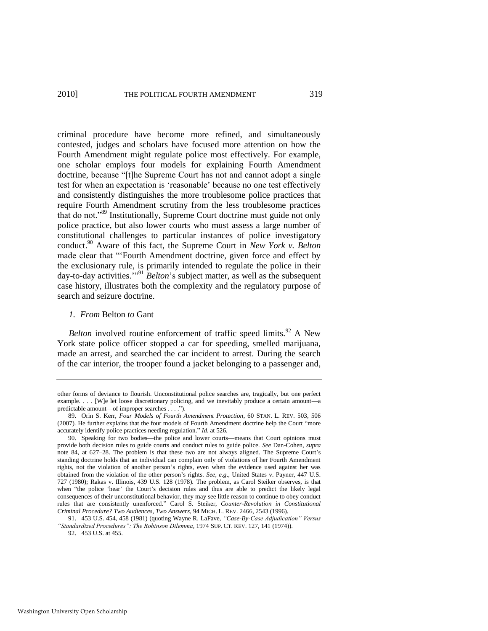criminal procedure have become more refined, and simultaneously contested, judges and scholars have focused more attention on how the Fourth Amendment might regulate police most effectively. For example, one scholar employs four models for explaining Fourth Amendment doctrine, because "[t]he Supreme Court has not and cannot adopt a single test for when an expectation is 'reasonable' because no one test effectively and consistently distinguishes the more troublesome police practices that require Fourth Amendment scrutiny from the less troublesome practices that do not."<sup>89</sup> Institutionally, Supreme Court doctrine must guide not only police practice, but also lower courts who must assess a large number of constitutional challenges to particular instances of police investigatory conduct.<sup>90</sup> Aware of this fact, the Supreme Court in *New York v. Belton* made clear that "Fourth Amendment doctrine, given force and effect by the exclusionary rule, is primarily intended to regulate the police in their day-to-day activities."<sup>91</sup> *Belton*'s subject matter, as well as the subsequent case history, illustrates both the complexity and the regulatory purpose of search and seizure doctrine.

#### *1. From* Belton *to* Gant

Washington University Open Scholarship

*Belton* involved routine enforcement of traffic speed limits.<sup>92</sup> A New York state police officer stopped a car for speeding, smelled marijuana, made an arrest, and searched the car incident to arrest. During the search of the car interior, the trooper found a jacket belonging to a passenger and,

other forms of deviance to flourish. Unconstitutional police searches are, tragically, but one perfect example. . . . [W]e let loose discretionary policing, and we inevitably produce a certain amount—a predictable amount—of improper searches . . . .").

<sup>89.</sup> Orin S. Kerr, *Four Models of Fourth Amendment Protection*, 60 STAN. L. REV. 503, 506 (2007). He further explains that the four models of Fourth Amendment doctrine help the Court "more accurately identify police practices needing regulation." *Id.* at 526.

<sup>90.</sup> Speaking for two bodies—the police and lower courts—means that Court opinions must provide both decision rules to guide courts and conduct rules to guide police. *See* Dan-Cohen, *supra* note [84,](#page-16-0) at 627–28. The problem is that these two are not always aligned. The Supreme Court's standing doctrine holds that an individual can complain only of violations of her Fourth Amendment rights, not the violation of another person's rights, even when the evidence used against her was obtained from the violation of the other person's rights. *See, e.g*., United States v. Payner, 447 U.S. 727 (1980); Rakas v. Illinois, 439 U.S. 128 (1978). The problem, as Carol Steiker observes, is that when "the police 'hear' the Court's decision rules and thus are able to predict the likely legal consequences of their unconstitutional behavior, they may see little reason to continue to obey conduct rules that are consistently unenforced.‖ Carol S. Steiker, *Counter-Revolution in Constitutional Criminal Procedure? Two Audiences, Two Answers*, 94 MICH. L. REV. 2466, 2543 (1996).

<sup>91. 453</sup> U.S. 454, 458 (1981) (quoting Wayne R. LaFave, *"Case-By-Case Adjudication" Versus "Standardized Procedures": The Robinson Dilemma*, 1974 SUP. CT. REV. 127, 141 (1974)). 92. 453 U.S. at 455.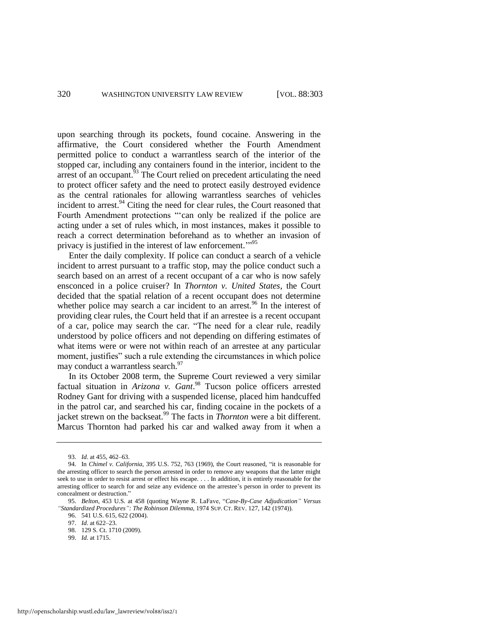upon searching through its pockets, found cocaine. Answering in the affirmative, the Court considered whether the Fourth Amendment permitted police to conduct a warrantless search of the interior of the stopped car, including any containers found in the interior, incident to the arrest of an occupant. $53$  The Court relied on precedent articulating the need to protect officer safety and the need to protect easily destroyed evidence as the central rationales for allowing warrantless searches of vehicles incident to arrest. $94$  Citing the need for clear rules, the Court reasoned that Fourth Amendment protections "'can only be realized if the police are acting under a set of rules which, in most instances, makes it possible to reach a correct determination beforehand as to whether an invasion of privacy is justified in the interest of law enforcement."<sup>95</sup>

Enter the daily complexity. If police can conduct a search of a vehicle incident to arrest pursuant to a traffic stop, may the police conduct such a search based on an arrest of a recent occupant of a car who is now safely ensconced in a police cruiser? In *Thornton v. United States*, the Court decided that the spatial relation of a recent occupant does not determine whether police may search a car incident to an arrest.<sup>96</sup> In the interest of providing clear rules, the Court held that if an arrestee is a recent occupant of a car, police may search the car. "The need for a clear rule, readily understood by police officers and not depending on differing estimates of what items were or were not within reach of an arrestee at any particular moment, justifies" such a rule extending the circumstances in which police may conduct a warrantless search.<sup>97</sup>

In its October 2008 term, the Supreme Court reviewed a very similar factual situation in *Arizona v. Gant*. <sup>98</sup> Tucson police officers arrested Rodney Gant for driving with a suspended license, placed him handcuffed in the patrol car, and searched his car, finding cocaine in the pockets of a jacket strewn on the backseat.<sup>99</sup> The facts in *Thornton* were a bit different. Marcus Thornton had parked his car and walked away from it when a

<sup>93.</sup> *Id*. at 455, 462–63.

<sup>94.</sup> In *Chimel v. California*, 395 U.S. 752, 763 (1969), the Court reasoned, "it is reasonable for the arresting officer to search the person arrested in order to remove any weapons that the latter might seek to use in order to resist arrest or effect his escape. . . . In addition, it is entirely reasonable for the arresting officer to search for and seize any evidence on the arrestee's person in order to prevent its concealment or destruction."

<sup>95.</sup> *Belton*, 453 U.S. at 458 (quoting Wayne R. LaFave, "Case-By-Case Adjudication" Versus *"Standardized Procedures": The Robinson Dilemma*, 1974 SUP. CT. REV. 127, 142 (1974)).

<sup>96. 541</sup> U.S. 615, 622 (2004).

<sup>97.</sup> *Id*. at 622–23.

<sup>98. 129</sup> S. Ct. 1710 (2009).

<sup>99.</sup> *Id.* at 1715.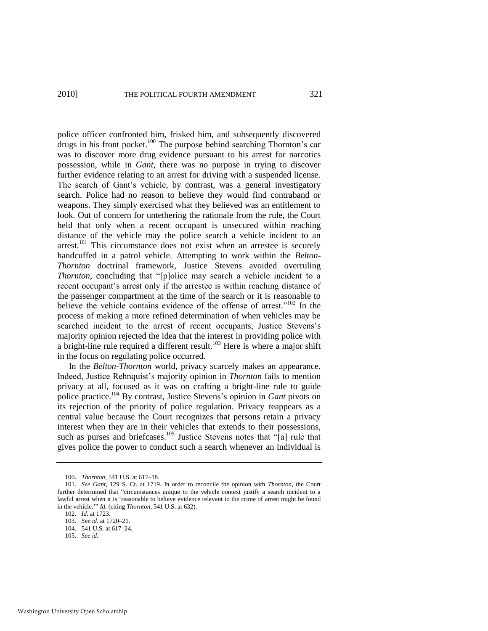police officer confronted him, frisked him, and subsequently discovered drugs in his front pocket.<sup>100</sup> The purpose behind searching Thornton's car was to discover more drug evidence pursuant to his arrest for narcotics possession, while in *Gant*, there was no purpose in trying to discover further evidence relating to an arrest for driving with a suspended license. The search of Gant's vehicle, by contrast, was a general investigatory search. Police had no reason to believe they would find contraband or weapons. They simply exercised what they believed was an entitlement to look. Out of concern for untethering the rationale from the rule, the Court held that only when a recent occupant is unsecured within reaching distance of the vehicle may the police search a vehicle incident to an arrest.<sup>101</sup> This circumstance does not exist when an arrestee is securely handcuffed in a patrol vehicle. Attempting to work within the *Belton*-*Thornton* doctrinal framework, Justice Stevens avoided overruling *Thornton*, concluding that "[p]olice may search a vehicle incident to a recent occupant's arrest only if the arrestee is within reaching distance of the passenger compartment at the time of the search or it is reasonable to believe the vehicle contains evidence of the offense of arrest."<sup>102</sup> In the process of making a more refined determination of when vehicles may be searched incident to the arrest of recent occupants, Justice Stevens's majority opinion rejected the idea that the interest in providing police with a bright-line rule required a different result.<sup>103</sup> Here is where a major shift in the focus on regulating police occurred.

In the *Belton*-*Thornton* world, privacy scarcely makes an appearance. Indeed, Justice Rehnquist's majority opinion in *Thornton* fails to mention privacy at all, focused as it was on crafting a bright-line rule to guide police practice.<sup>104</sup> By contrast, Justice Stevens's opinion in *Gant* pivots on its rejection of the priority of police regulation. Privacy reappears as a central value because the Court recognizes that persons retain a privacy interest when they are in their vehicles that extends to their possessions, such as purses and briefcases.<sup>105</sup> Justice Stevens notes that "[a] rule that gives police the power to conduct such a search whenever an individual is

<sup>100.</sup> *Thornton*, 541 U.S. at 617–18.

<sup>101.</sup> *See Gant*, 129 S. Ct. at 1719. In order to reconcile the opinion with *Thornton*, the Court further determined that "circumstances unique to the vehicle context justify a search incident to a lawful arrest when it is 'reasonable to believe evidence relevant to the crime of arrest might be found in the vehicle.'" *Id.* (citing *Thornton*, 541 U.S. at 632).

<sup>102.</sup> *Id*. at 1723.

<sup>103.</sup> *See id.* at 1720–21.

<sup>104. 541</sup> U.S. at 617–24.

<sup>105.</sup> *See id.*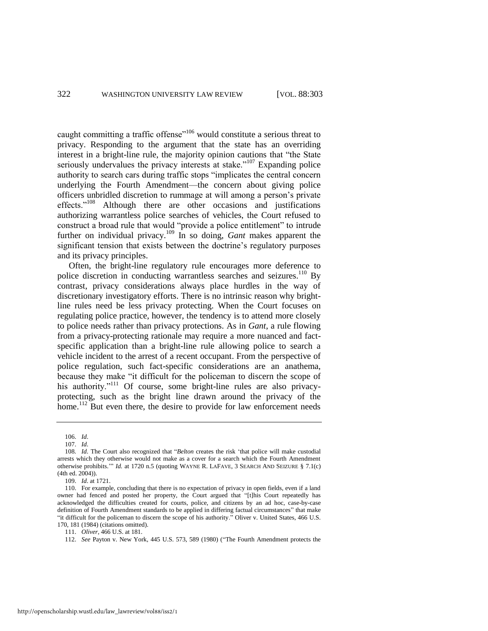caught committing a traffic offense<sup> $106$ </sup> would constitute a serious threat to privacy. Responding to the argument that the state has an overriding interest in a bright-line rule, the majority opinion cautions that "the State" seriously undervalues the privacy interests at stake.<sup> $107$ </sup> Expanding police authority to search cars during traffic stops "implicates the central concern underlying the Fourth Amendment—the concern about giving police officers unbridled discretion to rummage at will among a person's private effects."<sup>108</sup> Although there are other occasions and justifications authorizing warrantless police searches of vehicles, the Court refused to construct a broad rule that would "provide a police entitlement" to intrude further on individual privacy.<sup>109</sup> In so doing, *Gant* makes apparent the significant tension that exists between the doctrine's regulatory purposes and its privacy principles.

Often, the bright-line regulatory rule encourages more deference to police discretion in conducting warrantless searches and seizures.<sup>110</sup> By contrast, privacy considerations always place hurdles in the way of discretionary investigatory efforts. There is no intrinsic reason why brightline rules need be less privacy protecting. When the Court focuses on regulating police practice, however, the tendency is to attend more closely to police needs rather than privacy protections. As in *Gant*, a rule flowing from a privacy-protecting rationale may require a more nuanced and factspecific application than a bright-line rule allowing police to search a vehicle incident to the arrest of a recent occupant. From the perspective of police regulation, such fact-specific considerations are an anathema, because they make "it difficult for the policeman to discern the scope of his authority."<sup>111</sup> Of course, some bright-line rules are also privacyprotecting, such as the bright line drawn around the privacy of the home.<sup>112</sup> But even there, the desire to provide for law enforcement needs

<sup>106.</sup> *Id*.

<sup>107.</sup> *Id*.

<sup>108.</sup> Id. The Court also recognized that "Belton creates the risk 'that police will make custodial arrests which they otherwise would not make as a cover for a search which the Fourth Amendment otherwise prohibits." *Id.* at 1720 n.5 (quoting WAYNE R. LAFAVE, 3 SEARCH AND SEIZURE § 7.1(c) (4th ed. 2004)).

<sup>109.</sup> *Id*. at 1721.

<sup>110.</sup> For example, concluding that there is no expectation of privacy in open fields, even if a land owner had fenced and posted her property, the Court argued that "[t]his Court repeatedly has acknowledged the difficulties created for courts, police, and citizens by an ad hoc, case-by-case definition of Fourth Amendment standards to be applied in differing factual circumstances" that make "it difficult for the policeman to discern the scope of his authority." Oliver v. United States, 466 U.S. 170, 181 (1984) (citations omitted).

<sup>111.</sup> *Oliver*, 466 U.S. at 181.

<sup>112.</sup> *See* Payton v. New York, 445 U.S. 573, 589 (1980) ("The Fourth Amendment protects the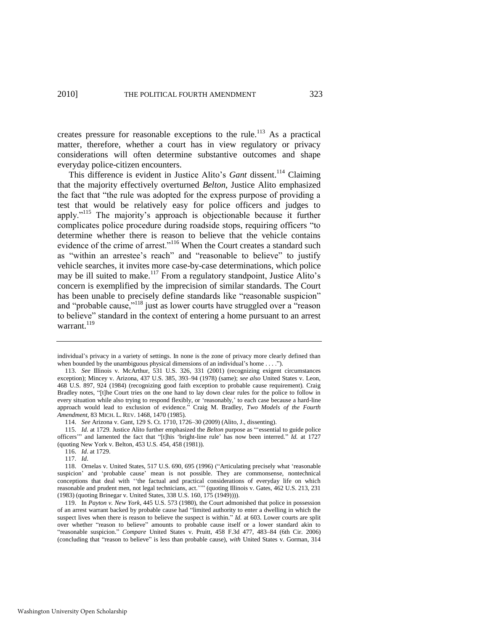creates pressure for reasonable exceptions to the rule.<sup>113</sup> As a practical matter, therefore, whether a court has in view regulatory or privacy considerations will often determine substantive outcomes and shape everyday police-citizen encounters.

This difference is evident in Justice Alito's *Gant* dissent.<sup>114</sup> Claiming that the majority effectively overturned *Belton*, Justice Alito emphasized the fact that "the rule was adopted for the express purpose of providing a test that would be relatively easy for police officers and judges to apply."<sup>115</sup> The majority's approach is objectionable because it further complicates police procedure during roadside stops, requiring officers "to determine whether there is reason to believe that the vehicle contains evidence of the crime of arrest."<sup>116</sup> When the Court creates a standard such as "within an arrestee's reach" and "reasonable to believe" to justify vehicle searches, it invites more case-by-case determinations, which police may be ill suited to make.<sup>117</sup> From a regulatory standpoint, Justice Alito's concern is exemplified by the imprecision of similar standards. The Court has been unable to precisely define standards like "reasonable suspicion" and "probable cause,"<sup>118</sup> just as lower courts have struggled over a "reason to believe" standard in the context of entering a home pursuant to an arrest warrant. $^{119}$ 

117. *Id*.

individual's privacy in a variety of settings. In none is the zone of privacy more clearly defined than when bounded by the unambiguous physical dimensions of an individual's home . . . .").

<sup>113.</sup> *See* Illinois v. McArthur, 531 U.S. 326, 331 (2001) (recognizing exigent circumstances exception); Mincey v. Arizona, 437 U.S. 385, 393–94 (1978) (same); *see also* United States v. Leon, 468 U.S. 897, 924 (1984) (recognizing good faith exception to probable cause requirement). Craig Bradley notes, "[t]he Court tries on the one hand to lay down clear rules for the police to follow in every situation while also trying to respond flexibly, or 'reasonably,' to each case because a hard-line approach would lead to exclusion of evidence.‖ Craig M. Bradley, *Two Models of the Fourth Amendment*, 83 MICH. L. REV. 1468, 1470 (1985).

<sup>114.</sup> *See* Arizona v. Gant, 129 S. Ct. 1710, 1726–30 (2009) (Alito, J., dissenting).

<sup>115.</sup> *Id.* at 1729. Justice Alito further emphasized the *Belton* purpose as "essential to guide police officers'" and lamented the fact that "[t]his 'bright-line rule' has now been interred." *Id.* at 1727 (quoting New York v. Belton, 453 U.S. 454, 458 (1981)).

<sup>116.</sup> *Id*. at 1729.

<sup>118.</sup> Ornelas v. United States, 517 U.S. 690, 695 (1996) ("Articulating precisely what 'reasonable suspicion' and 'probable cause' mean is not possible. They are commonsense, nontechnical conceptions that deal with "the factual and practical considerations of everyday life on which reasonable and prudent men, not legal technicians, act.''" (quoting Illinois v. Gates, 462 U.S. 213, 231 (1983) (quoting Brinegar v. United States, 338 U.S. 160, 175 (1949)))).

<sup>119.</sup> In *Payton v. New York*, 445 U.S. 573 (1980), the Court admonished that police in possession of an arrest warrant backed by probable cause had "limited authority to enter a dwelling in which the suspect lives when there is reason to believe the suspect is within." *Id.* at 603. Lower courts are split over whether "reason to believe" amounts to probable cause itself or a lower standard akin to ―reasonable suspicion.‖ *Compare* United States v. Pruitt, 458 F.3d 477, 483–84 (6th Cir. 2006) (concluding that "reason to believe" is less than probable cause), with United States v. Gorman, 314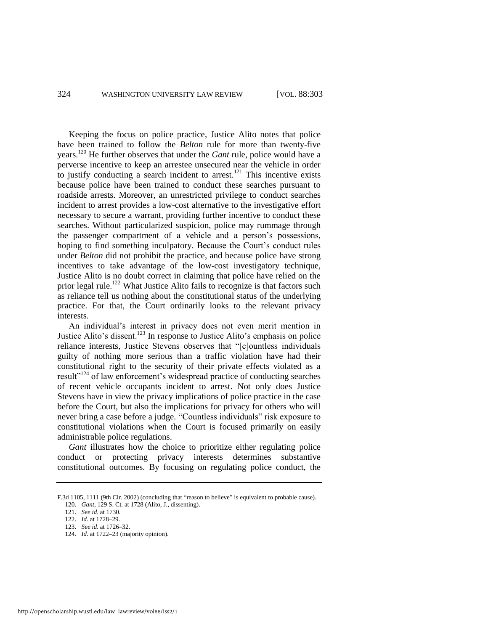Keeping the focus on police practice, Justice Alito notes that police have been trained to follow the *Belton* rule for more than twenty-five years.<sup>120</sup> He further observes that under the *Gant* rule, police would have a perverse incentive to keep an arrestee unsecured near the vehicle in order to justify conducting a search incident to arrest.<sup>121</sup> This incentive exists because police have been trained to conduct these searches pursuant to roadside arrests. Moreover, an unrestricted privilege to conduct searches incident to arrest provides a low-cost alternative to the investigative effort necessary to secure a warrant, providing further incentive to conduct these searches. Without particularized suspicion, police may rummage through the passenger compartment of a vehicle and a person's possessions, hoping to find something inculpatory. Because the Court's conduct rules under *Belton* did not prohibit the practice, and because police have strong incentives to take advantage of the low-cost investigatory technique, Justice Alito is no doubt correct in claiming that police have relied on the prior legal rule.<sup>122</sup> What Justice Alito fails to recognize is that factors such as reliance tell us nothing about the constitutional status of the underlying practice. For that, the Court ordinarily looks to the relevant privacy interests.

An individual's interest in privacy does not even merit mention in Justice Alito's dissent.<sup>123</sup> In response to Justice Alito's emphasis on police reliance interests, Justice Stevens observes that "[c]ountless individuals guilty of nothing more serious than a traffic violation have had their constitutional right to the security of their private effects violated as a result<sup>"124</sup> of law enforcement's widespread practice of conducting searches of recent vehicle occupants incident to arrest. Not only does Justice Stevens have in view the privacy implications of police practice in the case before the Court, but also the implications for privacy for others who will never bring a case before a judge. "Countless individuals" risk exposure to constitutional violations when the Court is focused primarily on easily administrable police regulations.

*Gant* illustrates how the choice to prioritize either regulating police conduct or protecting privacy interests determines substantive constitutional outcomes. By focusing on regulating police conduct, the

F.3d 1105, 1111 (9th Cir. 2002) (concluding that "reason to believe" is equivalent to probable cause).

<sup>120.</sup> *Gant*, 129 S. Ct. at 1728 (Alito, J., dissenting). 121. *See id*. at 1730.

<sup>122.</sup> *Id.* at 1728–29. 123. *See id*. at 1726–32.

<sup>124.</sup> *Id*. at 1722–23 (majority opinion).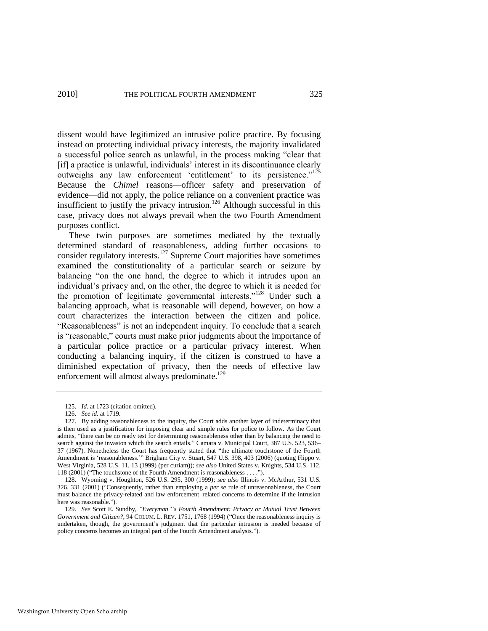dissent would have legitimized an intrusive police practice. By focusing instead on protecting individual privacy interests, the majority invalidated a successful police search as unlawful, in the process making "clear that [if] a practice is unlawful, individuals' interest in its discontinuance clearly outweighs any law enforcement 'entitlement' to its persistence."<sup>125</sup> Because the *Chimel* reasons—officer safety and preservation of evidence—did not apply, the police reliance on a convenient practice was insufficient to justify the privacy intrusion.<sup>126</sup> Although successful in this case, privacy does not always prevail when the two Fourth Amendment purposes conflict.

These twin purposes are sometimes mediated by the textually determined standard of reasonableness, adding further occasions to consider regulatory interests.<sup>127</sup> Supreme Court majorities have sometimes examined the constitutionality of a particular search or seizure by balancing "on the one hand, the degree to which it intrudes upon an individual's privacy and, on the other, the degree to which it is needed for the promotion of legitimate governmental interests."<sup>128</sup> Under such a balancing approach, what is reasonable will depend, however, on how a court characterizes the interaction between the citizen and police. ―Reasonableness‖ is not an independent inquiry. To conclude that a search is "reasonable," courts must make prior judgments about the importance of a particular police practice or a particular privacy interest. When conducting a balancing inquiry, if the citizen is construed to have a diminished expectation of privacy, then the needs of effective law enforcement will almost always predominate.<sup>129</sup>

<sup>125.</sup> *Id*. at 1723 (citation omitted).

<sup>126.</sup> *See id.* at 1719.

<sup>127.</sup> By adding reasonableness to the inquiry, the Court adds another layer of indeterminacy that is then used as a justification for imposing clear and simple rules for police to follow. As the Court admits, "there can be no ready test for determining reasonableness other than by balancing the need to search against the invasion which the search entails." Camara v. Municipal Court, 387 U.S. 523, 536– 37 (1967). Nonetheless the Court has frequently stated that "the ultimate touchstone of the Fourth Amendment is 'reasonableness.'" Brigham City v. Stuart, 547 U.S. 398, 403 (2006) (quoting Flippo v. West Virginia, 528 U.S. 11, 13 (1999) (per curiam)); *see also* United States v. Knights, 534 U.S. 112, 118 (2001) ("The touchstone of the Fourth Amendment is reasonableness . . . .").

<sup>128.</sup> Wyoming v. Houghton, 526 U.S. 295, 300 (1999); *see also* Illinois v. McArthur, 531 U.S. 326, 331 (2001) ("Consequently, rather than employing a *per se* rule of unreasonableness, the Court must balance the privacy-related and law enforcement–related concerns to determine if the intrusion here was reasonable.").

<sup>129.</sup> *See* Scott E. Sundby, *"Everyman"'s Fourth Amendment: Privacy or Mutual Trust Between Government and Citizen?*, 94 COLUM. L. REV. 1751, 1768 (1994) ("Once the reasonableness inquiry is undertaken, though, the government's judgment that the particular intrusion is needed because of policy concerns becomes an integral part of the Fourth Amendment analysis.").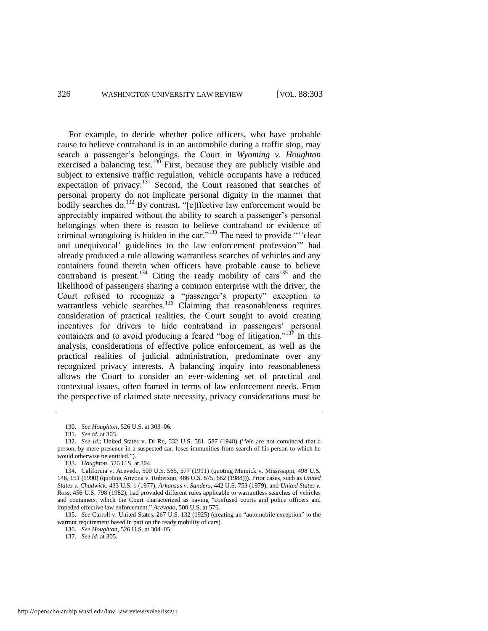For example, to decide whether police officers, who have probable cause to believe contraband is in an automobile during a traffic stop, may search a passenger's belongings, the Court in *Wyoming v. Houghton* exercised a balancing test.<sup>130</sup> First, because they are publicly visible and subject to extensive traffic regulation, vehicle occupants have a reduced expectation of privacy.<sup>131</sup> Second, the Court reasoned that searches of personal property do not implicate personal dignity in the manner that bodily searches do.<sup>132</sup> By contrast, "[e]ffective law enforcement would be appreciably impaired without the ability to search a passenger's personal belongings when there is reason to believe contraband or evidence of criminal wrongdoing is hidden in the car."<sup>133</sup> The need to provide ""clear and unequivocal' guidelines to the law enforcement profession" had already produced a rule allowing warrantless searches of vehicles and any containers found therein when officers have probable cause to believe contraband is present.<sup>134</sup> Citing the ready mobility of cars<sup>135</sup> and the likelihood of passengers sharing a common enterprise with the driver, the Court refused to recognize a "passenger's property" exception to warrantless vehicle searches.<sup>136</sup> Claiming that reasonableness requires consideration of practical realities, the Court sought to avoid creating incentives for drivers to hide contraband in passengers' personal containers and to avoid producing a feared "bog of litigation."<sup>137</sup> In this analysis, considerations of effective police enforcement, as well as the practical realities of judicial administration, predominate over any recognized privacy interests. A balancing inquiry into reasonableness allows the Court to consider an ever-widening set of practical and contextual issues, often framed in terms of law enforcement needs. From the perspective of claimed state necessity, privacy considerations must be

<sup>130.</sup> *See Houghton*, 526 U.S. at 303–06.

<sup>131.</sup> *See id.* at 303.

<sup>132.</sup> *See id.*; United States v. Di Re, 332 U.S. 581, 587 (1948) ("We are not convinced that a person, by mere presence in a suspected car, loses immunities from search of his person to which he would otherwise be entitled.").

<sup>133.</sup> *Houghton*, 526 U.S. at 304.

<sup>134.</sup> California v. Acevedo, 500 U.S. 565, 577 (1991) (quoting Minnick v. Mississippi, 498 U.S. 146, 151 (1990) (quoting Arizona v. Roberson, 486 U.S. 675, 682 (1988))). Prior cases, such as *United States v. Chadwick*, 433 U.S. 1 (1977), *Arkansas v. Sanders*, 442 U.S. 753 (1979), and *United States v. Ross*, 456 U.S. 798 (1982), had provided different rules applicable to warrantless searches of vehicles and containers, which the Court characterized as having "confused courts and police officers and impeded effective law enforcement.‖ *Acevado*, 500 U.S. at 576.

<sup>135.</sup> *See* Carroll v. United States, 267 U.S. 132 (1925) (creating an "automobile exception" to the warrant requirement based in part on the ready mobility of cars).

<sup>136.</sup> *See Houghton*, 526 U.S. at 304–05.

<sup>137.</sup> *See id.* at 305.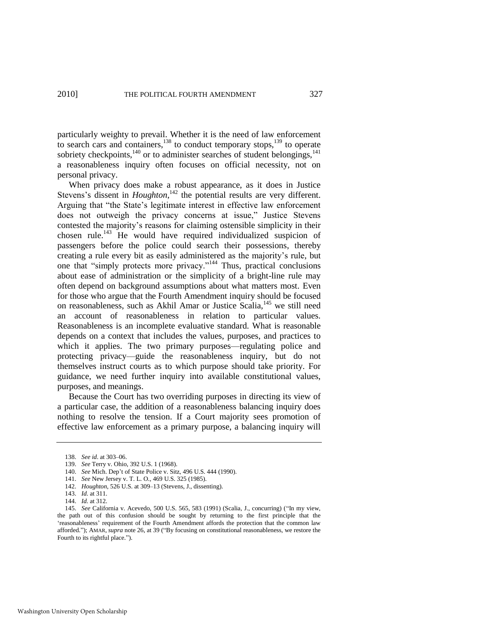particularly weighty to prevail. Whether it is the need of law enforcement to search cars and containers,<sup>138</sup> to conduct temporary stops,<sup>139</sup> to operate sobriety checkpoints, $140$  or to administer searches of student belongings, $141$ a reasonableness inquiry often focuses on official necessity, not on personal privacy.

When privacy does make a robust appearance, as it does in Justice Stevens's dissent in *Houghton*,<sup>142</sup> the potential results are very different. Arguing that "the State's legitimate interest in effective law enforcement does not outweigh the privacy concerns at issue," Justice Stevens contested the majority's reasons for claiming ostensible simplicity in their chosen rule.<sup>143</sup> He would have required individualized suspicion of passengers before the police could search their possessions, thereby creating a rule every bit as easily administered as the majority's rule, but one that "simply protects more privacy."<sup>144</sup> Thus, practical conclusions about ease of administration or the simplicity of a bright-line rule may often depend on background assumptions about what matters most. Even for those who argue that the Fourth Amendment inquiry should be focused on reasonableness, such as Akhil Amar or Justice Scalia, $^{145}$  we still need an account of reasonableness in relation to particular values. Reasonableness is an incomplete evaluative standard. What is reasonable depends on a context that includes the values, purposes, and practices to which it applies. The two primary purposes—regulating police and protecting privacy—guide the reasonableness inquiry, but do not themselves instruct courts as to which purpose should take priority. For guidance, we need further inquiry into available constitutional values, purposes, and meanings.

Because the Court has two overriding purposes in directing its view of a particular case, the addition of a reasonableness balancing inquiry does nothing to resolve the tension. If a Court majority sees promotion of effective law enforcement as a primary purpose, a balancing inquiry will

<sup>138.</sup> *See id*. at 303–06.

<sup>139.</sup> *See* Terry v. Ohio, 392 U.S. 1 (1968).

<sup>140.</sup> *See* Mich. Dep't of State Police v. Sitz, 496 U.S. 444 (1990).

<sup>141.</sup> *See* New Jersey v. T. L. O., 469 U.S. 325 (1985).

<sup>142.</sup> *Houghton*, 526 U.S. at 309–13 (Stevens, J., dissenting).

<sup>143.</sup> *Id.* at 311.

<sup>144.</sup> *Id.* at 312.

<sup>145.</sup> *See* California v. Acevedo, 500 U.S. 565, 583 (1991) (Scalia, J., concurring) ("In my view, the path out of this confusion should be sought by returning to the first principle that the ‗reasonableness' requirement of the Fourth Amendment affords the protection that the common law afforded."); AMAR, *supra* not[e 26,](#page-6-0) at 39 ("By focusing on constitutional reasonableness, we restore the Fourth to its rightful place.").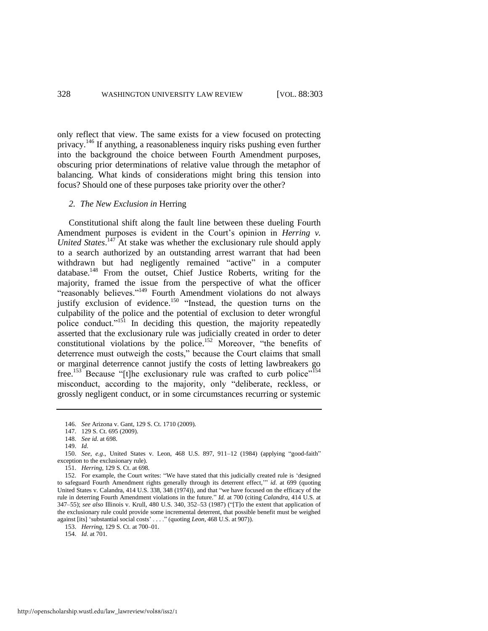only reflect that view. The same exists for a view focused on protecting privacy.<sup>146</sup> If anything, a reasonableness inquiry risks pushing even further into the background the choice between Fourth Amendment purposes, obscuring prior determinations of relative value through the metaphor of balancing. What kinds of considerations might bring this tension into focus? Should one of these purposes take priority over the other?

#### *2. The New Exclusion in* Herring

Constitutional shift along the fault line between these dueling Fourth Amendment purposes is evident in the Court's opinion in *Herring v.*  United States.<sup>147</sup> At stake was whether the exclusionary rule should apply to a search authorized by an outstanding arrest warrant that had been withdrawn but had negligently remained "active" in a computer database.<sup>148</sup> From the outset, Chief Justice Roberts, writing for the majority, framed the issue from the perspective of what the officer "reasonably believes."<sup>149</sup> Fourth Amendment violations do not always justify exclusion of evidence.<sup>150</sup> "Instead, the question turns on the culpability of the police and the potential of exclusion to deter wrongful police conduct."<sup>151</sup> In deciding this question, the majority repeatedly asserted that the exclusionary rule was judicially created in order to deter constitutional violations by the police.<sup>152</sup> Moreover, "the benefits of deterrence must outweigh the costs," because the Court claims that small or marginal deterrence cannot justify the costs of letting lawbreakers go free.<sup>153</sup> Because "[t]he exclusionary rule was crafted to curb police"<sup>154</sup> misconduct, according to the majority, only "deliberate, reckless, or grossly negligent conduct, or in some circumstances recurring or systemic

<sup>146.</sup> *See* Arizona v. Gant, 129 S. Ct. 1710 (2009).

<sup>147. 129</sup> S. Ct. 695 (2009).

<sup>148.</sup> *See id.* at 698.

<sup>149.</sup> *Id.*

<sup>150.</sup> *See, e.g.*, United States v. Leon, 468 U.S. 897, 911–12 (1984) (applying "good-faith" exception to the exclusionary rule).

<sup>151.</sup> *Herring*, 129 S. Ct. at 698.

<sup>152.</sup> For example, the Court writes: "We have stated that this judicially created rule is 'designed to safeguard Fourth Amendment rights generally through its deterrent effect," *id.* at 699 (quoting United States v. Calandra, 414 U.S. 338, 348 (1974)), and that "we have focused on the efficacy of the rule in deterring Fourth Amendment violations in the future." *Id.* at 700 (citing *Calandra*, 414 U.S. at 347–55); see also Illinois v. Krull, 480 U.S. 340, 352–53 (1987) ("[T]o the extent that application of the exclusionary rule could provide some incremental deterrent, that possible benefit must be weighed against [its] 'substantial social costs' . . . . " (quoting *Leon*, 468 U.S. at 907)).

<sup>153.</sup> *Herring*, 129 S. Ct. at 700–01.

<sup>154.</sup> *Id.* at 701.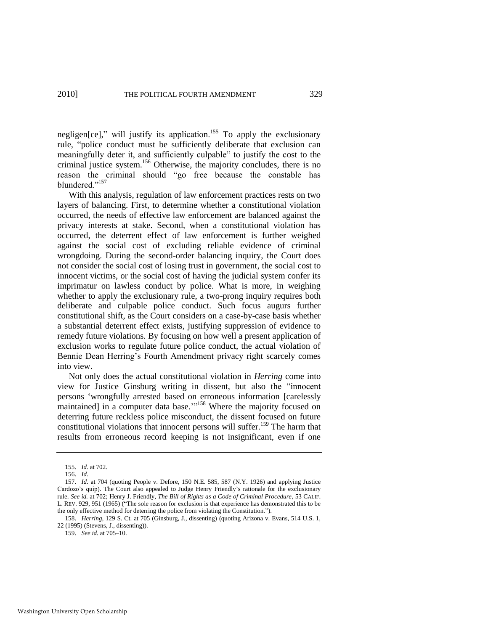negligen[ce]," will justify its application.<sup>155</sup> To apply the exclusionary rule, "police conduct must be sufficiently deliberate that exclusion can meaningfully deter it, and sufficiently culpable" to justify the cost to the criminal justice system.<sup>156</sup> Otherwise, the majority concludes, there is no reason the criminal should "go free because the constable has blundered."<sup>157</sup>

With this analysis, regulation of law enforcement practices rests on two layers of balancing. First, to determine whether a constitutional violation occurred, the needs of effective law enforcement are balanced against the privacy interests at stake. Second, when a constitutional violation has occurred, the deterrent effect of law enforcement is further weighed against the social cost of excluding reliable evidence of criminal wrongdoing. During the second-order balancing inquiry, the Court does not consider the social cost of losing trust in government, the social cost to innocent victims, or the social cost of having the judicial system confer its imprimatur on lawless conduct by police. What is more, in weighing whether to apply the exclusionary rule, a two-prong inquiry requires both deliberate and culpable police conduct. Such focus augurs further constitutional shift, as the Court considers on a case-by-case basis whether a substantial deterrent effect exists, justifying suppression of evidence to remedy future violations. By focusing on how well a present application of exclusion works to regulate future police conduct, the actual violation of Bennie Dean Herring's Fourth Amendment privacy right scarcely comes into view.

Not only does the actual constitutional violation in *Herring* come into view for Justice Ginsburg writing in dissent, but also the "innocent" persons ‗wrongfully arrested based on erroneous information [carelessly maintained] in a computer data base."<sup>158</sup> Where the majority focused on deterring future reckless police misconduct, the dissent focused on future constitutional violations that innocent persons will suffer.<sup>159</sup> The harm that results from erroneous record keeping is not insignificant, even if one

<sup>155.</sup> *Id*. at 702.

<sup>156.</sup> *Id*.

<sup>157.</sup> *Id.* at 704 (quoting People v. Defore, 150 N.E. 585, 587 (N.Y. 1926) and applying Justice Cardozo's quip). The Court also appealed to Judge Henry Friendly's rationale for the exclusionary rule. *See id.* at 702; Henry J. Friendly, *The Bill of Rights as a Code of Criminal Procedure*, 53 CALIF. L. REV. 929, 951 (1965) ("The sole reason for exclusion is that experience has demonstrated this to be the only effective method for deterring the police from violating the Constitution.").

<sup>158.</sup> *Herring*, 129 S. Ct. at 705 (Ginsburg, J., dissenting) (quoting Arizona v. Evans, 514 U.S. 1, 22 (1995) (Stevens, J., dissenting)).

<sup>159.</sup> *See id.* at 705–10.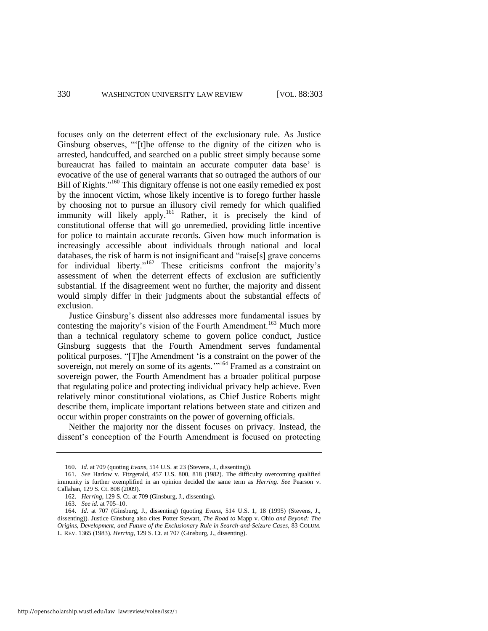focuses only on the deterrent effect of the exclusionary rule. As Justice Ginsburg observes, "[t]he offense to the dignity of the citizen who is arrested, handcuffed, and searched on a public street simply because some bureaucrat has failed to maintain an accurate computer data base' is evocative of the use of general warrants that so outraged the authors of our Bill of Rights."<sup>160</sup> This dignitary offense is not one easily remedied ex post by the innocent victim, whose likely incentive is to forego further hassle by choosing not to pursue an illusory civil remedy for which qualified immunity will likely apply.<sup>161</sup> Rather, it is precisely the kind of constitutional offense that will go unremedied, providing little incentive for police to maintain accurate records. Given how much information is increasingly accessible about individuals through national and local databases, the risk of harm is not insignificant and "raise[s] grave concerns for individual liberty."<sup>162</sup> These criticisms confront the majority's assessment of when the deterrent effects of exclusion are sufficiently substantial. If the disagreement went no further, the majority and dissent would simply differ in their judgments about the substantial effects of exclusion.

Justice Ginsburg's dissent also addresses more fundamental issues by contesting the majority's vision of the Fourth Amendment.<sup>163</sup> Much more than a technical regulatory scheme to govern police conduct, Justice Ginsburg suggests that the Fourth Amendment serves fundamental political purposes. "[T]he Amendment 'is a constraint on the power of the sovereign, not merely on some of its agents.''<sup>164</sup> Framed as a constraint on sovereign power, the Fourth Amendment has a broader political purpose that regulating police and protecting individual privacy help achieve. Even relatively minor constitutional violations, as Chief Justice Roberts might describe them, implicate important relations between state and citizen and occur within proper constraints on the power of governing officials.

Neither the majority nor the dissent focuses on privacy. Instead, the dissent's conception of the Fourth Amendment is focused on protecting

<sup>160.</sup> *Id.* at 709 (quoting *Evans*, 514 U.S. at 23 (Stevens, J., dissenting)).

<sup>161.</sup> *See* Harlow v. Fitzgerald, 457 U.S. 800, 818 (1982). The difficulty overcoming qualified immunity is further exemplified in an opinion decided the same term as *Herring*. *See* Pearson v. Callahan, 129 S. Ct. 808 (2009).

<sup>162.</sup> *Herring*, 129 S. Ct. at 709 (Ginsburg, J., dissenting).

<sup>163.</sup> *See id.* at 705–10.

<sup>164.</sup> *Id*. at 707 (Ginsburg, J., dissenting) (quoting *Evans*, 514 U.S. 1, 18 (1995) (Stevens, J., dissenting)). Justice Ginsburg also cites Potter Stewart, *The Road to* Mapp v. Ohio *and Beyond: The Origins, Development, and Future of the Exclusionary Rule in Search-and-Seizure Cases*, 83 COLUM. L. REV. 1365 (1983). *Herring*, 129 S. Ct. at 707 (Ginsburg, J., dissenting).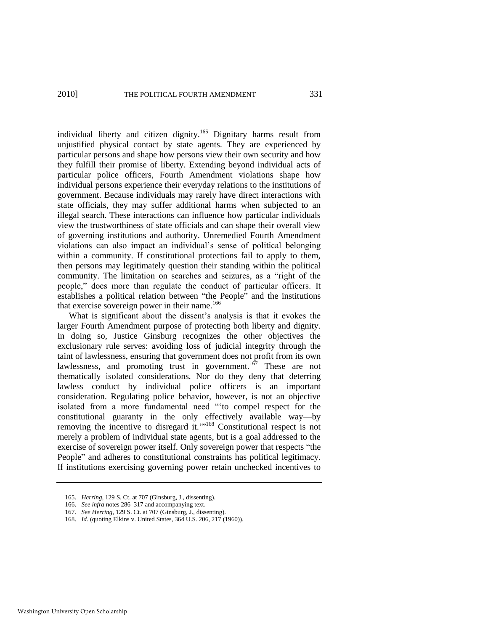individual liberty and citizen dignity.<sup>165</sup> Dignitary harms result from unjustified physical contact by state agents. They are experienced by particular persons and shape how persons view their own security and how they fulfill their promise of liberty. Extending beyond individual acts of particular police officers, Fourth Amendment violations shape how individual persons experience their everyday relations to the institutions of government. Because individuals may rarely have direct interactions with state officials, they may suffer additional harms when subjected to an illegal search. These interactions can influence how particular individuals view the trustworthiness of state officials and can shape their overall view of governing institutions and authority. Unremedied Fourth Amendment violations can also impact an individual's sense of political belonging within a community. If constitutional protections fail to apply to them, then persons may legitimately question their standing within the political community. The limitation on searches and seizures, as a "right of the people," does more than regulate the conduct of particular officers. It establishes a political relation between "the People" and the institutions that exercise sovereign power in their name.<sup>166</sup>

What is significant about the dissent's analysis is that it evokes the larger Fourth Amendment purpose of protecting both liberty and dignity. In doing so, Justice Ginsburg recognizes the other objectives the exclusionary rule serves: avoiding loss of judicial integrity through the taint of lawlessness, ensuring that government does not profit from its own lawlessness, and promoting trust in government.<sup>167</sup> These are not thematically isolated considerations. Nor do they deny that deterring lawless conduct by individual police officers is an important consideration. Regulating police behavior, however, is not an objective isolated from a more fundamental need "to compel respect for the constitutional guaranty in the only effectively available way—by removing the incentive to disregard it."<sup>168</sup> Constitutional respect is not merely a problem of individual state agents, but is a goal addressed to the exercise of sovereign power itself. Only sovereign power that respects "the People" and adheres to constitutional constraints has political legitimacy. If institutions exercising governing power retain unchecked incentives to

166. *See infra* notes [286–](#page-50-0)[317 a](#page-56-0)nd accompanying text.

<sup>165.</sup> *Herring*, 129 S. Ct. at 707 (Ginsburg, J., dissenting).

<sup>167.</sup> *See Herring*, 129 S. Ct. at 707 (Ginsburg, J., dissenting).

<sup>168.</sup> *Id*. (quoting Elkins v. United States, 364 U.S. 206, 217 (1960)).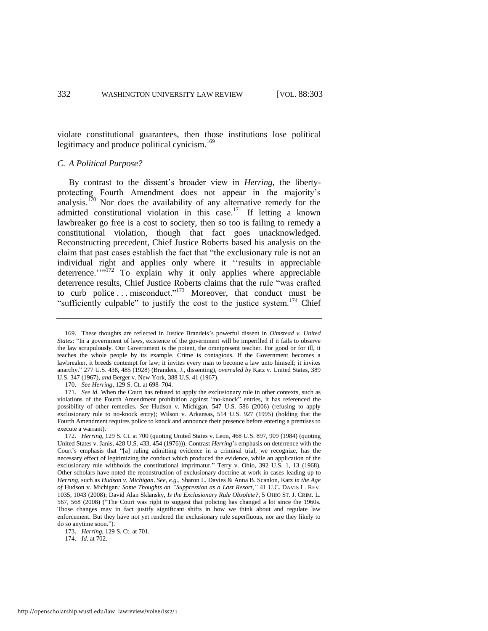violate constitutional guarantees, then those institutions lose political legitimacy and produce political cynicism.<sup>169</sup>

#### *C. A Political Purpose?*

By contrast to the dissent's broader view in *Herring*, the libertyprotecting Fourth Amendment does not appear in the majority's analysis.<sup>170</sup> Nor does the availability of any alternative remedy for the admitted constitutional violation in this case.<sup>171</sup> If letting a known lawbreaker go free is a cost to society, then so too is failing to remedy a constitutional violation, though that fact goes unacknowledged. Reconstructing precedent, Chief Justice Roberts based his analysis on the claim that past cases establish the fact that "the exclusionary rule is not an individual right and applies only where it "results in appreciable deterrence.'"<sup>172</sup> To explain why it only applies where appreciable deterrence results, Chief Justice Roberts claims that the rule "was crafted to curb police ... misconduct."<sup>173</sup> Moreover, that conduct must be "sufficiently culpable" to justify the cost to the justice system.<sup>174</sup> Chief

<sup>169.</sup> These thoughts are reflected in Justice Brandeis's powerful dissent in *Olmstead v. United States*: "In a government of laws, existence of the government will be imperilled if it fails to observe the law scrupulously. Our Government is the potent, the omnipresent teacher. For good or for ill, it teaches the whole people by its example. Crime is contagious. If the Government becomes a lawbreaker, it breeds contempt for law; it invites every man to become a law unto himself; it invites anarchy.‖ 277 U.S. 438, 485 (1928) (Brandeis, J., dissenting), *overruled by* Katz v. United States, 389 U.S. 347 (1967), *and* Berger v. New York, 388 U.S. 41 (1967).

<sup>170.</sup> *See Herring*, 129 S. Ct. at 698–704.

<sup>171.</sup> *See id.* When the Court has refused to apply the exclusionary rule in other contexts, such as violations of the Fourth Amendment prohibition against "no-knock" entries, it has referenced the possibility of other remedies. *See* Hudson v. Michigan, 547 U.S. 586 (2006) (refusing to apply exclusionary rule to no-knock entry); Wilson v. Arkansas, 514 U.S. 927 (1995) (holding that the Fourth Amendment requires police to knock and announce their presence before entering a premises to execute a warrant).

<sup>172.</sup> *Herring*, 129 S. Ct. at 700 (quoting United States v. Leon, 468 U.S. 897, 909 (1984) (quoting United States v. Janis, 428 U.S. 433, 454 (1976))). Contrast *Herring*'s emphasis on deterrence with the Court's emphasis that "[a] ruling admitting evidence in a criminal trial, we recognize, has the necessary effect of legitimizing the conduct which produced the evidence, while an application of the exclusionary rule withholds the constitutional imprimatur." Terry v. Ohio, 392 U.S. 1, 13 (1968). Other scholars have noted the reconstruction of exclusionary doctrine at work in cases leading up to *Herring*, such as *Hudson v. Michigan*. *See, e.g*., Sharon L. Davies & Anna B. Scanlon, Katz *in the Age of* Hudson v. Michigan*: Some Thoughts on "Suppression as a Last Resort*,*"* 41 U.C. DAVIS L. REV. 1035, 1043 (2008); David Alan Sklansky, *Is the Exclusionary Rule Obsolete?*, 5 OHIO ST. J. CRIM. L. 567, 568 (2008) ("The Court was right to suggest that policing has changed a lot since the 1960s. Those changes may in fact justify significant shifts in how we think about and regulate law enforcement. But they have not yet rendered the exclusionary rule superfluous, nor are they likely to do so anytime soon.").

<sup>173.</sup> *Herring*, 129 S. Ct. at 701.

<sup>174.</sup> *Id*. at 702.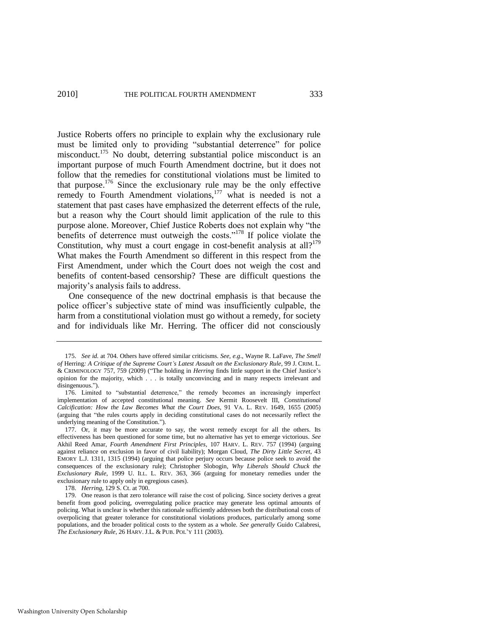Justice Roberts offers no principle to explain why the exclusionary rule must be limited only to providing "substantial deterrence" for police misconduct.<sup>175</sup> No doubt, deterring substantial police misconduct is an important purpose of much Fourth Amendment doctrine, but it does not follow that the remedies for constitutional violations must be limited to that purpose.<sup>176</sup> Since the exclusionary rule may be the only effective remedy to Fourth Amendment violations,<sup>177</sup> what is needed is not a statement that past cases have emphasized the deterrent effects of the rule, but a reason why the Court should limit application of the rule to this purpose alone. Moreover, Chief Justice Roberts does not explain why "the benefits of deterrence must outweigh the costs."<sup>178</sup> If police violate the Constitution, why must a court engage in cost-benefit analysis at all?<sup>179</sup> What makes the Fourth Amendment so different in this respect from the First Amendment, under which the Court does not weigh the cost and benefits of content-based censorship? These are difficult questions the majority's analysis fails to address.

One consequence of the new doctrinal emphasis is that because the police officer's subjective state of mind was insufficiently culpable, the harm from a constitutional violation must go without a remedy, for society and for individuals like Mr. Herring. The officer did not consciously

<sup>175.</sup> *See id.* at 704. Others have offered similar criticisms. *See, e.g*., Wayne R. LaFave, *The Smell of* Herring*: A Critique of the Supreme Court's Latest Assault on the Exclusionary Rule*, 99 J. CRIM. L. & CRIMINOLOGY 757, 759 (2009) ("The holding in *Herring* finds little support in the Chief Justice's opinion for the majority, which . . . is totally unconvincing and in many respects irrelevant and disingenuous.").

<sup>176.</sup> Limited to "substantial deterrence," the remedy becomes an increasingly imperfect implementation of accepted constitutional meaning. *See* Kermit Roosevelt III, *Constitutional Calcification: How the Law Becomes What the Court Does*, 91 VA. L. REV. 1649, 1655 (2005) (arguing that "the rules courts apply in deciding constitutional cases do not necessarily reflect the underlying meaning of the Constitution.").

<sup>177.</sup> Or, it may be more accurate to say, the worst remedy except for all the others. Its effectiveness has been questioned for some time, but no alternative has yet to emerge victorious. *See* Akhil Reed Amar, *Fourth Amendment First Principles*, 107 HARV. L. REV. 757 (1994) (arguing against reliance on exclusion in favor of civil liability); Morgan Cloud, *The Dirty Little Secret*, 43 EMORY L.J. 1311, 1315 (1994) (arguing that police perjury occurs because police seek to avoid the consequences of the exclusionary rule); Christopher Slobogin, *Why Liberals Should Chuck the Exclusionary Rule*, 1999 U. ILL. L. REV. 363, 366 (arguing for monetary remedies under the exclusionary rule to apply only in egregious cases).

<sup>178.</sup> *Herring*, 129 S. Ct. at 700.

<sup>179.</sup> One reason is that zero tolerance will raise the cost of policing. Since society derives a great benefit from good policing, overregulating police practice may generate less optimal amounts of policing. What is unclear is whether this rationale sufficiently addresses both the distributional costs of overpolicing that greater tolerance for constitutional violations produces, particularly among some populations, and the broader political costs to the system as a whole. *See generally* Guido Calabresi, *The Exclusionary Rule*, 26 HARV. J.L. & PUB. POL'Y 111 (2003).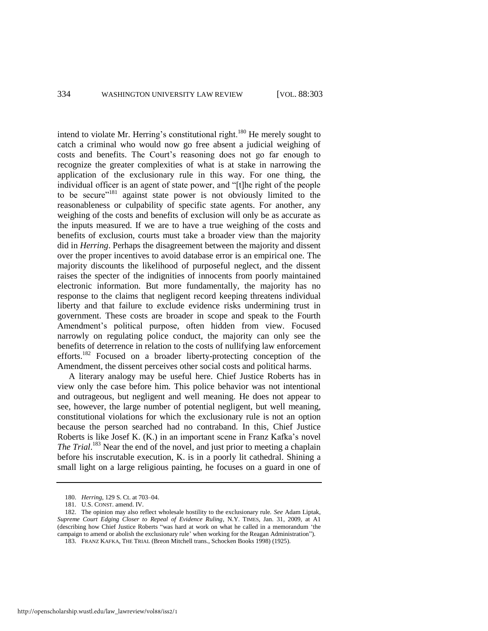intend to violate Mr. Herring's constitutional right.<sup>180</sup> He merely sought to catch a criminal who would now go free absent a judicial weighing of costs and benefits. The Court's reasoning does not go far enough to recognize the greater complexities of what is at stake in narrowing the application of the exclusionary rule in this way. For one thing, the individual officer is an agent of state power, and "[t]he right of the people to be secure<sup>"181</sup> against state power is not obviously limited to the reasonableness or culpability of specific state agents. For another, any weighing of the costs and benefits of exclusion will only be as accurate as the inputs measured. If we are to have a true weighing of the costs and benefits of exclusion, courts must take a broader view than the majority did in *Herring*. Perhaps the disagreement between the majority and dissent over the proper incentives to avoid database error is an empirical one. The majority discounts the likelihood of purposeful neglect, and the dissent raises the specter of the indignities of innocents from poorly maintained electronic information. But more fundamentally, the majority has no response to the claims that negligent record keeping threatens individual liberty and that failure to exclude evidence risks undermining trust in government. These costs are broader in scope and speak to the Fourth Amendment's political purpose, often hidden from view. Focused narrowly on regulating police conduct, the majority can only see the benefits of deterrence in relation to the costs of nullifying law enforcement efforts.<sup>182</sup> Focused on a broader liberty-protecting conception of the Amendment, the dissent perceives other social costs and political harms.

A literary analogy may be useful here. Chief Justice Roberts has in view only the case before him. This police behavior was not intentional and outrageous, but negligent and well meaning. He does not appear to see, however, the large number of potential negligent, but well meaning, constitutional violations for which the exclusionary rule is not an option because the person searched had no contraband. In this, Chief Justice Roberts is like Josef K. (K.) in an important scene in Franz Kafka's novel *The Trial*. <sup>183</sup> Near the end of the novel, and just prior to meeting a chaplain before his inscrutable execution, K. is in a poorly lit cathedral. Shining a small light on a large religious painting, he focuses on a guard in one of

<sup>180.</sup> *Herring*, 129 S. Ct. at 703–04.

<sup>181.</sup> U.S. CONST. amend. IV.

<sup>182.</sup> The opinion may also reflect wholesale hostility to the exclusionary rule. *See* Adam Liptak, *Supreme Court Edging Closer to Repeal of Evidence Ruling*, N.Y. TIMES, Jan. 31, 2009, at A1 (describing how Chief Justice Roberts "was hard at work on what he called in a memorandum 'the campaign to amend or abolish the exclusionary rule' when working for the Reagan Administration"). 183. FRANZ KAFKA, THE TRIAL (Breon Mitchell trans., Schocken Books 1998) (1925).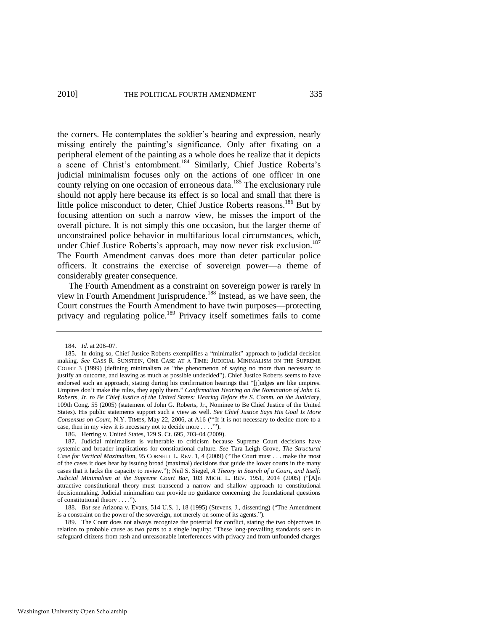2010] THE POLITICAL FOURTH AMENDMENT 335

the corners. He contemplates the soldier's bearing and expression, nearly missing entirely the painting's significance. Only after fixating on a peripheral element of the painting as a whole does he realize that it depicts a scene of Christ's entombment.<sup>184</sup> Similarly, Chief Justice Roberts's judicial minimalism focuses only on the actions of one officer in one county relying on one occasion of erroneous data.<sup>185</sup> The exclusionary rule should not apply here because its effect is so local and small that there is little police misconduct to deter, Chief Justice Roberts reasons.<sup>186</sup> But by focusing attention on such a narrow view, he misses the import of the overall picture. It is not simply this one occasion, but the larger theme of unconstrained police behavior in multifarious local circumstances, which, under Chief Justice Roberts's approach, may now never risk exclusion.<sup>187</sup> The Fourth Amendment canvas does more than deter particular police officers. It constrains the exercise of sovereign power—a theme of considerably greater consequence.

The Fourth Amendment as a constraint on sovereign power is rarely in view in Fourth Amendment jurisprudence.<sup>188</sup> Instead, as we have seen, the Court construes the Fourth Amendment to have twin purposes—protecting privacy and regulating police.<sup>189</sup> Privacy itself sometimes fails to come

<sup>184.</sup> *Id.* at 206–07.

<sup>185.</sup> In doing so, Chief Justice Roberts exemplifies a "minimalist" approach to judicial decision making. *See* CASS R. SUNSTEIN, ONE CASE AT A TIME: JUDICIAL MINIMALISM ON THE SUPREME COURT  $3$  (1999) (defining minimalism as "the phenomenon of saying no more than necessary to justify an outcome, and leaving as much as possible undecided"). Chief Justice Roberts seems to have endorsed such an approach, stating during his confirmation hearings that "[j]udges are like umpires. Umpires don't make the rules, they apply them." *Confirmation Hearing on the Nomination of John G. Roberts, Jr. to Be Chief Justice of the United States: Hearing Before the S. Comm. on the Judiciary*, 109th Cong. 55 (2005) (statement of John G. Roberts, Jr., Nominee to Be Chief Justice of the United States). His public statements support such a view as well. *See Chief Justice Says His Goal Is More*  Consensus on Court, N.Y. TIMES, May 22, 2006, at A16 ("If it is not necessary to decide more to a case, then in my view it is necessary not to decide more  $\dots$ .").

<sup>186.</sup> Herring v. United States, 129 S. Ct. 695, 703–04 (2009).

<sup>187.</sup> Judicial minimalism is vulnerable to criticism because Supreme Court decisions have systemic and broader implications for constitutional culture. *See* Tara Leigh Grove, *The Structural Case for Vertical Maximalism*, 95 CORNELL L. REV. 1, 4 (2009) ("The Court must . . . make the most of the cases it does hear by issuing broad (maximal) decisions that guide the lower courts in the many cases that it lacks the capacity to review."); Neil S. Siegel, *A Theory in Search of a Court, and Itself: Judicial Minimalism at the Supreme Court Bar*, 103 MICH. L. REV. 1951, 2014 (2005) ("[A]n attractive constitutional theory must transcend a narrow and shallow approach to constitutional decisionmaking. Judicial minimalism can provide no guidance concerning the foundational questions of constitutional theory  $\dots$ .").

<sup>188.</sup> *But see* Arizona v. Evans, 514 U.S. 1, 18 (1995) (Stevens, J., dissenting) ("The Amendment is a constraint on the power of the sovereign, not merely on some of its agents.").

<sup>189.</sup> The Court does not always recognize the potential for conflict, stating the two objectives in relation to probable cause as two parts to a single inquiry: "These long-prevailing standards seek to safeguard citizens from rash and unreasonable interferences with privacy and from unfounded charges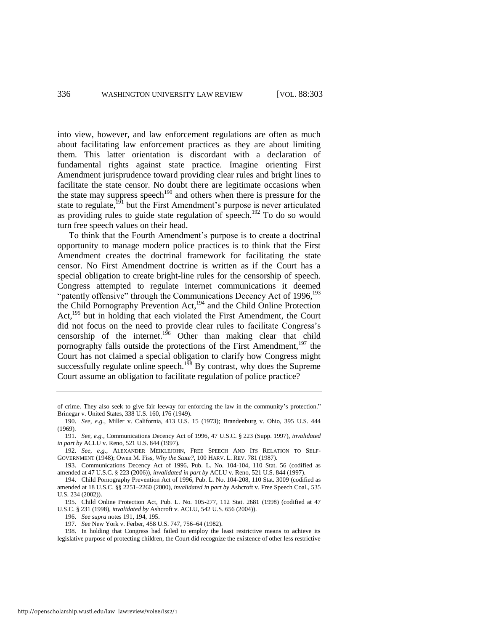into view, however, and law enforcement regulations are often as much about facilitating law enforcement practices as they are about limiting them. This latter orientation is discordant with a declaration of fundamental rights against state practice. Imagine orienting First Amendment jurisprudence toward providing clear rules and bright lines to facilitate the state censor. No doubt there are legitimate occasions when the state may suppress speech<sup>190</sup> and others when there is pressure for the state to regulate,<sup>191</sup> but the First Amendment's purpose is never articulated as providing rules to guide state regulation of speech.<sup>192</sup> To do so would turn free speech values on their head.

<span id="page-34-2"></span><span id="page-34-1"></span><span id="page-34-0"></span>To think that the Fourth Amendment's purpose is to create a doctrinal opportunity to manage modern police practices is to think that the First Amendment creates the doctrinal framework for facilitating the state censor. No First Amendment doctrine is written as if the Court has a special obligation to create bright-line rules for the censorship of speech. Congress attempted to regulate internet communications it deemed "patently offensive" through the Communications Decency Act of 1996,<sup>193</sup> the Child Pornography Prevention Act,<sup>194</sup> and the Child Online Protection Act,<sup>195</sup> but in holding that each violated the First Amendment, the Court did not focus on the need to provide clear rules to facilitate Congress's censorship of the internet.<sup>196</sup> Other than making clear that child pornography falls outside the protections of the First Amendment, $197$  the Court has not claimed a special obligation to clarify how Congress might successfully regulate online speech.<sup>198</sup> By contrast, why does the Supreme Court assume an obligation to facilitate regulation of police practice?

196. *See supra* note[s 191,](#page-34-0) [194,](#page-34-1) [195.](#page-34-2) 

of crime. They also seek to give fair leeway for enforcing the law in the community's protection." Brinegar v. United States, 338 U.S. 160, 176 (1949).

<sup>190.</sup> *See, e.g.*, Miller v. California, 413 U.S. 15 (1973); Brandenburg v. Ohio, 395 U.S. 444 (1969).

<sup>191.</sup> *See, e.g.*, Communications Decency Act of 1996, 47 U.S.C. § 223 (Supp. 1997), *invalidated in part by* ACLU v. Reno, 521 U.S. 844 (1997).

<sup>192.</sup> *See, e.g*., ALEXANDER MEIKLEJOHN, FREE SPEECH AND ITS RELATION TO SELF-GOVERNMENT (1948); Owen M. Fiss, *Why the State?*, 100 HARV. L. REV. 781 (1987).

<sup>193.</sup> Communications Decency Act of 1996, Pub. L. No. 104-104, 110 Stat. 56 (codified as amended at 47 U.S.C. § 223 (2006)), *invalidated in part by* ACLU v. Reno, 521 U.S. 844 (1997).

<sup>194.</sup> Child Pornography Prevention Act of 1996, Pub. L. No. 104-208, 110 Stat. 3009 (codified as amended at 18 U.S.C. §§ 2251–2260 (2000), *invalidated in part by* Ashcroft v. Free Speech Coal., 535 U.S. 234 (2002)).

<sup>195.</sup> Child Online Protection Act, Pub. L. No. 105-277, 112 Stat. 2681 (1998) (codified at 47 U.S.C. § 231 (1998), *invalidated by* Ashcroft v. ACLU, 542 U.S. 656 (2004)).

<sup>197.</sup> *See* New York v. Ferber, 458 U.S. 747, 756–64 (1982).

<sup>198.</sup> In holding that Congress had failed to employ the least restrictive means to achieve its legislative purpose of protecting children, the Court did recognize the existence of other less restrictive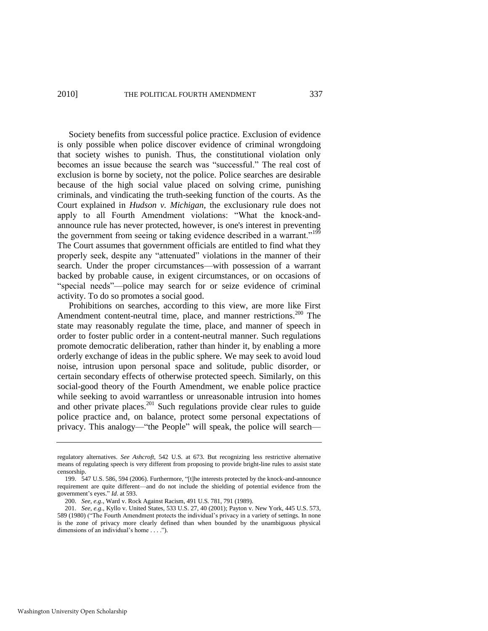Society benefits from successful police practice. Exclusion of evidence is only possible when police discover evidence of criminal wrongdoing that society wishes to punish. Thus, the constitutional violation only becomes an issue because the search was "successful." The real cost of exclusion is borne by society, not the police. Police searches are desirable because of the high social value placed on solving crime, punishing criminals, and vindicating the truth-seeking function of the courts. As the Court explained in *Hudson v. Michigan*, the exclusionary rule does not apply to all Fourth Amendment violations: "What the knock-andannounce rule has never protected, however, is one's interest in preventing the government from seeing or taking evidence described in a warrant."<sup>199</sup> The Court assumes that government officials are entitled to find what they properly seek, despite any "attenuated" violations in the manner of their search. Under the proper circumstances—with possession of a warrant backed by probable cause, in exigent circumstances, or on occasions of "special needs"—police may search for or seize evidence of criminal activity. To do so promotes a social good.

Prohibitions on searches, according to this view, are more like First Amendment content-neutral time, place, and manner restrictions.<sup>200</sup> The state may reasonably regulate the time, place, and manner of speech in order to foster public order in a content-neutral manner. Such regulations promote democratic deliberation, rather than hinder it, by enabling a more orderly exchange of ideas in the public sphere. We may seek to avoid loud noise, intrusion upon personal space and solitude, public disorder, or certain secondary effects of otherwise protected speech. Similarly, on this social-good theory of the Fourth Amendment, we enable police practice while seeking to avoid warrantless or unreasonable intrusion into homes and other private places.<sup>201</sup> Such regulations provide clear rules to guide police practice and, on balance, protect some personal expectations of privacy. This analogy—"the People" will speak, the police will search—

regulatory alternatives. *See Ashcroft*, 542 U.S. at 673. But recognizing less restrictive alternative means of regulating speech is very different from proposing to provide bright-line rules to assist state censorship.

<sup>199. 547</sup> U.S. 586, 594 (2006). Furthermore, "[t]he interests protected by the knock-and-announce requirement are quite different—and do not include the shielding of potential evidence from the government's eyes." *Id.* at 593.

<sup>200.</sup> *See, e.g*., Ward v. Rock Against Racism, 491 U.S. 781, 791 (1989).

<sup>201.</sup> *See, e.g*., Kyllo v. United States, 533 U.S. 27, 40 (2001); Payton v. New York, 445 U.S. 573, 589 (1980) ("The Fourth Amendment protects the individual's privacy in a variety of settings. In none is the zone of privacy more clearly defined than when bounded by the unambiguous physical dimensions of an individual's home  $\dots$ .").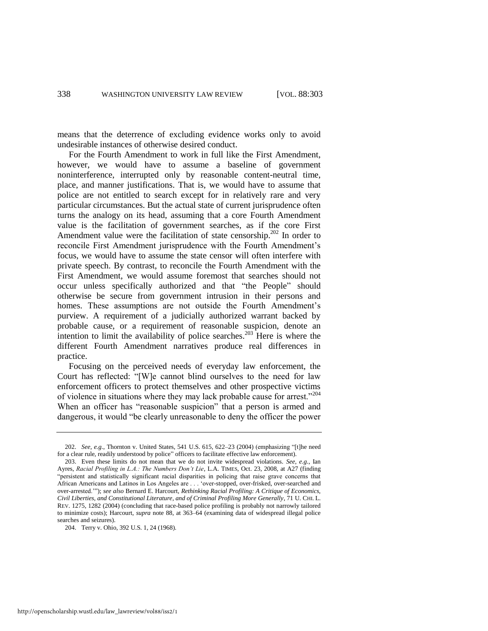means that the deterrence of excluding evidence works only to avoid undesirable instances of otherwise desired conduct.

For the Fourth Amendment to work in full like the First Amendment, however, we would have to assume a baseline of government noninterference, interrupted only by reasonable content-neutral time, place, and manner justifications. That is, we would have to assume that police are not entitled to search except for in relatively rare and very particular circumstances. But the actual state of current jurisprudence often turns the analogy on its head, assuming that a core Fourth Amendment value is the facilitation of government searches, as if the core First Amendment value were the facilitation of state censorship.<sup>202</sup> In order to reconcile First Amendment jurisprudence with the Fourth Amendment's focus, we would have to assume the state censor will often interfere with private speech. By contrast, to reconcile the Fourth Amendment with the First Amendment, we would assume foremost that searches should not occur unless specifically authorized and that "the People" should otherwise be secure from government intrusion in their persons and homes. These assumptions are not outside the Fourth Amendment's purview. A requirement of a judicially authorized warrant backed by probable cause, or a requirement of reasonable suspicion, denote an intention to limit the availability of police searches.<sup>203</sup> Here is where the different Fourth Amendment narratives produce real differences in practice.

Focusing on the perceived needs of everyday law enforcement, the Court has reflected: "[W]e cannot blind ourselves to the need for law enforcement officers to protect themselves and other prospective victims of violence in situations where they may lack probable cause for arrest."<sup>204</sup> When an officer has "reasonable suspicion" that a person is armed and dangerous, it would "be clearly unreasonable to deny the officer the power

<sup>202.</sup> *See, e.g.*, Thornton v. United States, 541 U.S. 615, 622–23 (2004) (emphasizing "[t]he need for a clear rule, readily understood by police" officers to facilitate effective law enforcement).

<sup>203.</sup> Even these limits do not mean that we do not invite widespread violations. *See, e.g*., Ian Ayres, *Racial Profiling in L.A.: The Numbers Don't Lie*, L.A. TIMES, Oct. 23, 2008, at A27 (finding ―persistent and statistically significant racial disparities in policing that raise grave concerns that African Americans and Latinos in Los Angeles are . . . 'over-stopped, over-frisked, over-searched and over-arrested.""); see also Bernard E. Harcourt, *Rethinking Racial Profiling: A Critique of Economics*, *Civil Liberties, and Constitutional Literature, and of Criminal Profiling More Generally*, 71 U. CHI. L. REV. 1275, 1282 (2004) (concluding that race-based police profiling is probably not narrowly tailored to minimize costs); Harcourt, *supra* note [88,](#page-16-0) at 363–64 (examining data of widespread illegal police searches and seizures).

<sup>204.</sup> Terry v. Ohio, 392 U.S. 1, 24 (1968).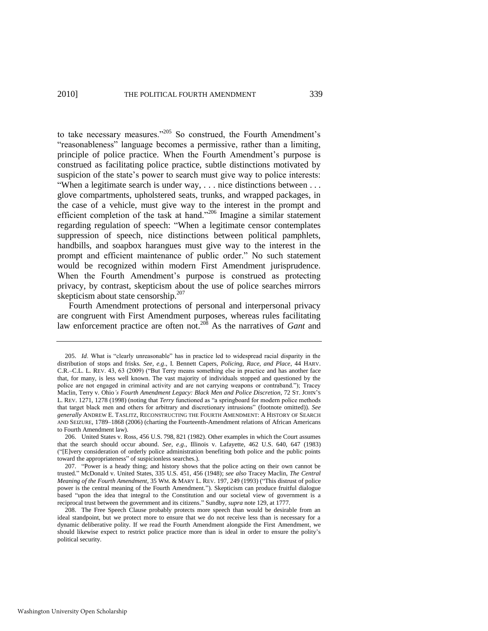<span id="page-37-0"></span>to take necessary measures."<sup>205</sup> So construed, the Fourth Amendment's "reasonableness" language becomes a permissive, rather than a limiting, principle of police practice. When the Fourth Amendment's purpose is construed as facilitating police practice, subtle distinctions motivated by suspicion of the state's power to search must give way to police interests: "When a legitimate search is under way,  $\dots$  nice distinctions between  $\dots$ glove compartments, upholstered seats, trunks, and wrapped packages, in the case of a vehicle, must give way to the interest in the prompt and efficient completion of the task at hand.<sup>3206</sup> Imagine a similar statement regarding regulation of speech: "When a legitimate censor contemplates suppression of speech, nice distinctions between political pamphlets, handbills, and soapbox harangues must give way to the interest in the prompt and efficient maintenance of public order." No such statement would be recognized within modern First Amendment jurisprudence. When the Fourth Amendment's purpose is construed as protecting privacy, by contrast, skepticism about the use of police searches mirrors skepticism about state censorship. $207$ 

Fourth Amendment protections of personal and interpersonal privacy are congruent with First Amendment purposes, whereas rules facilitating law enforcement practice are often not.<sup>208</sup> As the narratives of *Gant* and

<sup>205.</sup> *Id.* What is "clearly unreasonable" has in practice led to widespread racial disparity in the distribution of stops and frisks. *See, e.g*., I. Bennett Capers, *Policing, Race, and Place*, 44 HARV. C.R.–C.L. L. REV. 43, 63 (2009) ("But Terry means something else in practice and has another face that, for many, is less well known. The vast majority of individuals stopped and questioned by the police are not engaged in criminal activity and are not carrying weapons or contraband."); Tracey Maclin, Terry v. Ohio*'s Fourth Amendment Legacy: Black Men and Police Discretion*, 72 ST. JOHN'S L. REV. 1271, 1278 (1998) (noting that *Terry* functioned as "a springboard for modern police methods that target black men and others for arbitrary and discretionary intrusions" (footnote omitted)). See *generally* ANDREW E. TASLITZ, RECONSTRUCTING THE FOURTH AMENDMENT: A HISTORY OF SEARCH AND SEIZURE, 1789–1868 (2006) (charting the Fourteenth-Amendment relations of African Americans to Fourth Amendment law).

<sup>206.</sup> United States v. Ross, 456 U.S. 798, 821 (1982). Other examples in which the Court assumes that the search should occur abound. *See, e.g*., Illinois v. Lafayette, 462 U.S. 640, 647 (1983) (―[E]very consideration of orderly police administration benefiting both police and the public points toward the appropriateness" of suspicionless searches.).

<sup>207. &</sup>quot;Power is a heady thing; and history shows that the police acting on their own cannot be trusted.‖ McDonald v. United States, 335 U.S. 451, 456 (1948); *see also* Tracey Maclin, *The Central Meaning of the Fourth Amendment*, 35 WM. & MARY L. REV. 197, 249 (1993) ("This distrust of police power is the central meaning of the Fourth Amendment."). Skepticism can produce fruitful dialogue based "upon the idea that integral to the Constitution and our societal view of government is a reciprocal trust between the government and its citizens." Sundby, *supra* not[e 129,](#page-23-0) at 1777.

<sup>208.</sup> The Free Speech Clause probably protects more speech than would be desirable from an ideal standpoint, but we protect more to ensure that we do not receive less than is necessary for a dynamic deliberative polity. If we read the Fourth Amendment alongside the First Amendment, we should likewise expect to restrict police practice more than is ideal in order to ensure the polity's political security.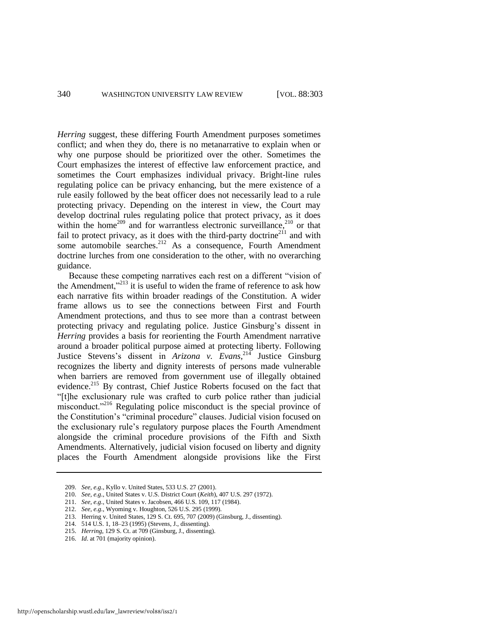*Herring* suggest, these differing Fourth Amendment purposes sometimes conflict; and when they do, there is no metanarrative to explain when or why one purpose should be prioritized over the other. Sometimes the Court emphasizes the interest of effective law enforcement practice, and sometimes the Court emphasizes individual privacy. Bright-line rules regulating police can be privacy enhancing, but the mere existence of a rule easily followed by the beat officer does not necessarily lead to a rule protecting privacy. Depending on the interest in view, the Court may develop doctrinal rules regulating police that protect privacy, as it does within the home<sup>209</sup> and for warrantless electronic surveillance,<sup>210</sup> or that fail to protect privacy, as it does with the third-party doctrine<sup>211</sup> and with some automobile searches.<sup>212</sup> As a consequence, Fourth Amendment doctrine lurches from one consideration to the other, with no overarching guidance.

Because these competing narratives each rest on a different "vision of the Amendment, $v^{213}$  it is useful to widen the frame of reference to ask how each narrative fits within broader readings of the Constitution. A wider frame allows us to see the connections between First and Fourth Amendment protections, and thus to see more than a contrast between protecting privacy and regulating police. Justice Ginsburg's dissent in *Herring* provides a basis for reorienting the Fourth Amendment narrative around a broader political purpose aimed at protecting liberty. Following Justice Stevens's dissent in *Arizona v. Evans*<sup>214</sup> Justice Ginsburg recognizes the liberty and dignity interests of persons made vulnerable when barriers are removed from government use of illegally obtained evidence.<sup>215</sup> By contrast, Chief Justice Roberts focused on the fact that ―[t]he exclusionary rule was crafted to curb police rather than judicial misconduct.<sup>2216</sup> Regulating police misconduct is the special province of the Constitution's "criminal procedure" clauses. Judicial vision focused on the exclusionary rule's regulatory purpose places the Fourth Amendment alongside the criminal procedure provisions of the Fifth and Sixth Amendments. Alternatively, judicial vision focused on liberty and dignity places the Fourth Amendment alongside provisions like the First

214. 514 U.S. 1, 18–23 (1995) (Stevens, J., dissenting).

<sup>209.</sup> *See, e.g*., Kyllo v. United States, 533 U.S. 27 (2001).

<sup>210.</sup> *See, e.g*., United States v. U.S. District Court (*Keith*), 407 U.S. 297 (1972).

<sup>211.</sup> *See, e.g*., United States v. Jacobsen, 466 U.S. 109, 117 (1984).

<sup>212.</sup> *See, e.g*., Wyoming v. Houghton, 526 U.S. 295 (1999).

<sup>213.</sup> Herring v. United States, 129 S. Ct. 695, 707 (2009) (Ginsburg, J., dissenting).

<sup>215.</sup> *Herring*, 129 S. Ct. at 709 (Ginsburg, J., dissenting).

<sup>216.</sup> *Id*. at 701 (majority opinion).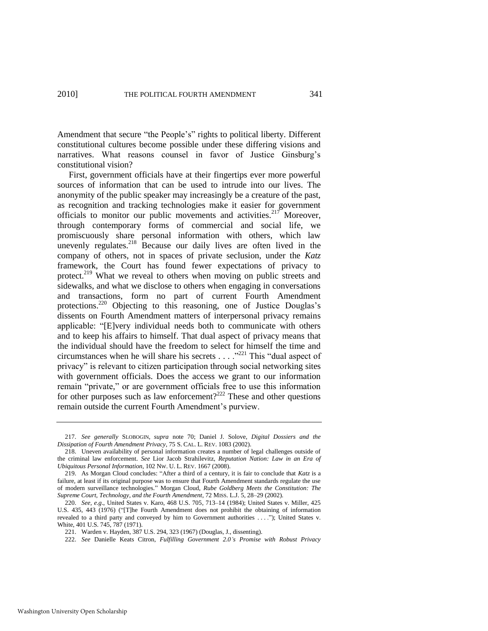Amendment that secure "the People's" rights to political liberty. Different constitutional cultures become possible under these differing visions and narratives. What reasons counsel in favor of Justice Ginsburg's constitutional vision?

First, government officials have at their fingertips ever more powerful sources of information that can be used to intrude into our lives. The anonymity of the public speaker may increasingly be a creature of the past, as recognition and tracking technologies make it easier for government officials to monitor our public movements and activities.<sup>217</sup> Moreover, through contemporary forms of commercial and social life, we promiscuously share personal information with others, which law unevenly regulates.<sup>218</sup> Because our daily lives are often lived in the company of others, not in spaces of private seclusion, under the *Katz* framework, the Court has found fewer expectations of privacy to protect.<sup>219</sup> What we reveal to others when moving on public streets and sidewalks, and what we disclose to others when engaging in conversations and transactions, form no part of current Fourth Amendment protections.<sup>220</sup> Objecting to this reasoning, one of Justice Douglas's dissents on Fourth Amendment matters of interpersonal privacy remains applicable: ―[E]very individual needs both to communicate with others and to keep his affairs to himself. That dual aspect of privacy means that the individual should have the freedom to select for himself the time and circumstances when he will share his secrets  $\dots$  .<sup>221</sup> This "dual aspect of privacy" is relevant to citizen participation through social networking sites with government officials. Does the access we grant to our information remain "private," or are government officials free to use this information for other purposes such as law enforcement?<sup>222</sup> These and other questions remain outside the current Fourth Amendment's purview.

<sup>217.</sup> *See generally* SLOBOGIN, *supra* note [70;](#page-14-0) Daniel J. Solove, *Digital Dossiers and the Dissipation of Fourth Amendment Privacy*, 75 S. CAL. L. REV. 1083 (2002).

<sup>218.</sup> Uneven availability of personal information creates a number of legal challenges outside of the criminal law enforcement. *See* Lior Jacob Strahilevitz, *Reputation Nation: Law in an Era of Ubiquitous Personal Information*, 102 NW. U. L. REV. 1667 (2008).

<sup>219.</sup> As Morgan Cloud concludes: "After a third of a century, it is fair to conclude that *Katz* is a failure, at least if its original purpose was to ensure that Fourth Amendment standards regulate the use of modern surveillance technologies.‖ Morgan Cloud, *Rube Goldberg Meets the Constitution: The Supreme Court, Technology, and the Fourth Amendment*, 72 MISS. L.J. 5, 28–29 (2002).

<sup>220.</sup> *See, e.g*., United States v. Karo, 468 U.S. 705, 713–14 (1984); United States v. Miller, 425 U.S. 435, 443 (1976) ("[T]he Fourth Amendment does not prohibit the obtaining of information revealed to a third party and conveyed by him to Government authorities . . . ."); United States v. White, 401 U.S. 745, 787 (1971).

<sup>221.</sup> Warden v. Hayden, 387 U.S. 294, 323 (1967) (Douglas, J., dissenting).

<sup>222.</sup> *See* Danielle Keats Citron, *Fulfilling Government 2.0's Promise with Robust Privacy*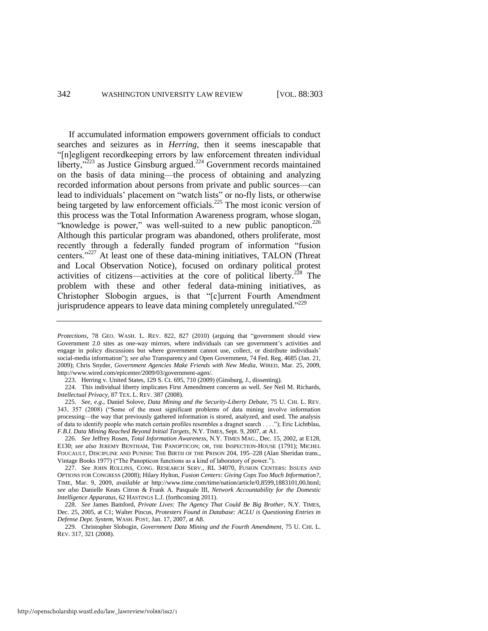If accumulated information empowers government officials to conduct searches and seizures as in *Herring*, then it seems inescapable that ―[n]egligent recordkeeping errors by law enforcement threaten individual liberty, $v^{223}$  as Justice Ginsburg argued.<sup>224</sup> Government records maintained on the basis of data mining—the process of obtaining and analyzing recorded information about persons from private and public sources—can lead to individuals' placement on "watch lists" or no-fly lists, or otherwise being targeted by law enforcement officials.<sup>225</sup> The most iconic version of this process was the Total Information Awareness program, whose slogan, "knowledge is power," was well-suited to a new public panopticon. $226$ Although this particular program was abandoned, others proliferate, most recently through a federally funded program of information "fusion" centers. $227$  At least one of these data-mining initiatives, TALON (Threat and Local Observation Notice), focused on ordinary political protest activities of citizens—activities at the core of political liberty.<sup>228</sup> The problem with these and other federal data-mining initiatives, as Christopher Slobogin argues, is that "[c]urrent Fourth Amendment jurisprudence appears to leave data mining completely unregulated."229

225. *See, e.g*., Daniel Solove, *Data Mining and the Security-Liberty Debate*, 75 U. CHI. L. REV. 343, 357 (2008) ("Some of the most significant problems of data mining involve information processing—the way that previously gathered information is stored, analyzed, and used. The analysis of data to identify people who match certain profiles resembles a dragnet search . . . .‖); Eric Lichtblau, *F.B.I. Data Mining Reached Beyond Initial Targets*, N.Y. TIMES, Sept. 9, 2007, at A1.

226*. See* Jeffrey Rosen, *Total Information Awareness*, N.Y. TIMES MAG., Dec. 15, 2002, at E128, E130; *see also* JEREMY BENTHAM, THE PANOPTICON; OR, THE INSPECTION-HOUSE (1791); MICHEL FOUCAULT, DISCIPLINE AND PUNISH: THE BIRTH OF THE PRISON 204, 195–228 (Alan Sheridan trans., Vintage Books 1977) ("The Panopticon functions as a kind of laboratory of power.").

227. *See* JOHN ROLLINS, CONG. RESEARCH SERV., RL 34070, FUSION CENTERS: ISSUES AND OPTIONS FOR CONGRESS (2008); Hilary Hylton, *Fusion Centers: Giving Cops Too Much Information?*, TIME, Mar. 9, 2009, *available at* http://www.time.com/time/nation/article/0,8599,1883101,00.html; *see also* Danielle Keats Citron & Frank A. Pasquale III, *Network Accountability for the Domestic Intelligence Apparatus*, 62 HASTINGS L.J. (forthcoming 2011).

228. *See* James Bamford, *Private Lives: The Agency That Could Be Big Brother*, N.Y. TIMES, Dec. 25, 2005, at C1; Walter Pincus, *Protesters Found in Database: ACLU is Questioning Entries in Defense Dept. System*, WASH. POST, Jan. 17, 2007, at A8.

229. Christopher Slobogin, *Government Data Mining and the Fourth Amendment*, 75 U. CHI. L. REV. 317, 321 (2008).

*Protections*, 78 GEO. WASH. L. REV. 822, 827 (2010) (arguing that "government should view Government 2.0 sites as one-way mirrors, where individuals can see government's activities and engage in policy discussions but where government cannot use, collect, or distribute individuals' social-media information"); *see also* Transparency and Open Government, 74 Fed. Reg. 4685 (Jan. 21, 2009); Chris Snyder, *Government Agencies Make Friends with New Media*, WIRED, Mar. 25, 2009, http://www.wired.com/epicenter/2009/03/government-agen/.

<sup>223.</sup> Herring v. United States, 129 S. Ct. 695, 710 (2009) (Ginsburg, J., dissenting).

<sup>224.</sup> This individual liberty implicates First Amendment concerns as well. *See* Neil M. Richards, *Intellectual Privacy*, 87 TEX. L. REV. 387 (2008).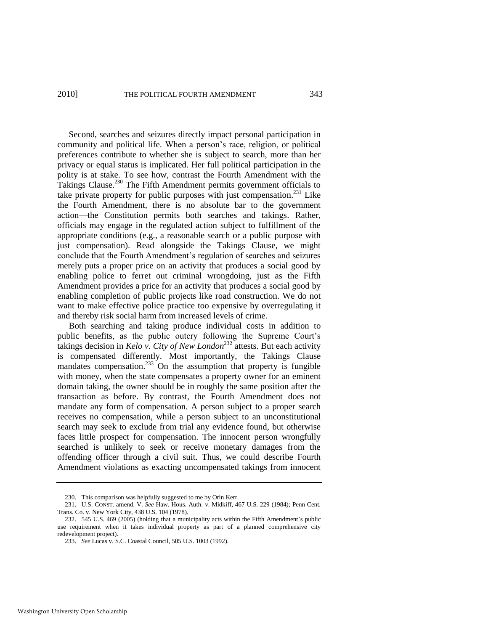Second, searches and seizures directly impact personal participation in community and political life. When a person's race, religion, or political preferences contribute to whether she is subject to search, more than her privacy or equal status is implicated. Her full political participation in the polity is at stake. To see how, contrast the Fourth Amendment with the Takings Clause.<sup>230</sup> The Fifth Amendment permits government officials to take private property for public purposes with just compensation. $^{231}$  Like the Fourth Amendment, there is no absolute bar to the government action—the Constitution permits both searches and takings. Rather, officials may engage in the regulated action subject to fulfillment of the appropriate conditions (e.g., a reasonable search or a public purpose with just compensation). Read alongside the Takings Clause, we might conclude that the Fourth Amendment's regulation of searches and seizures merely puts a proper price on an activity that produces a social good by enabling police to ferret out criminal wrongdoing, just as the Fifth Amendment provides a price for an activity that produces a social good by enabling completion of public projects like road construction. We do not want to make effective police practice too expensive by overregulating it and thereby risk social harm from increased levels of crime.

Both searching and taking produce individual costs in addition to public benefits, as the public outcry following the Supreme Court's takings decision in *Kelo v. City of New London*<sup>232</sup> attests. But each activity is compensated differently. Most importantly, the Takings Clause mandates compensation. $233$  On the assumption that property is fungible with money, when the state compensates a property owner for an eminent domain taking, the owner should be in roughly the same position after the transaction as before. By contrast, the Fourth Amendment does not mandate any form of compensation. A person subject to a proper search receives no compensation, while a person subject to an unconstitutional search may seek to exclude from trial any evidence found, but otherwise faces little prospect for compensation. The innocent person wrongfully searched is unlikely to seek or receive monetary damages from the offending officer through a civil suit. Thus, we could describe Fourth Amendment violations as exacting uncompensated takings from innocent

<sup>230.</sup> This comparison was helpfully suggested to me by Orin Kerr.

<sup>231.</sup> U.S. CONST. amend. V. *See* Haw. Hous. Auth. v. Midkiff, 467 U.S. 229 (1984); Penn Cent. Trans. Co. v. New York City, 438 U.S. 104 (1978).

<sup>232. 545</sup> U.S. 469 (2005) (holding that a municipality acts within the Fifth Amendment's public use requirement when it takes individual property as part of a planned comprehensive city redevelopment project).

<sup>233.</sup> *See* Lucas v. S.C. Coastal Council, 505 U.S. 1003 (1992).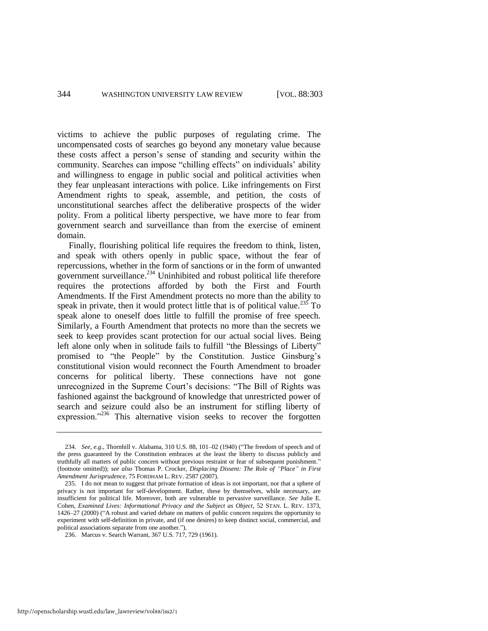victims to achieve the public purposes of regulating crime. The uncompensated costs of searches go beyond any monetary value because these costs affect a person's sense of standing and security within the community. Searches can impose "chilling effects" on individuals' ability and willingness to engage in public social and political activities when they fear unpleasant interactions with police. Like infringements on First Amendment rights to speak, assemble, and petition, the costs of unconstitutional searches affect the deliberative prospects of the wider polity. From a political liberty perspective, we have more to fear from government search and surveillance than from the exercise of eminent domain.

Finally, flourishing political life requires the freedom to think, listen, and speak with others openly in public space, without the fear of repercussions, whether in the form of sanctions or in the form of unwanted government surveillance. $^{234}$  Uninhibited and robust political life therefore requires the protections afforded by both the First and Fourth Amendments. If the First Amendment protects no more than the ability to speak in private, then it would protect little that is of political value.<sup>235</sup> To speak alone to oneself does little to fulfill the promise of free speech. Similarly, a Fourth Amendment that protects no more than the secrets we seek to keep provides scant protection for our actual social lives. Being left alone only when in solitude fails to fulfill "the Blessings of Liberty" promised to "the People" by the Constitution. Justice Ginsburg's constitutional vision would reconnect the Fourth Amendment to broader concerns for political liberty. These connections have not gone unrecognized in the Supreme Court's decisions: "The Bill of Rights was fashioned against the background of knowledge that unrestricted power of search and seizure could also be an instrument for stifling liberty of expression."<sup>236</sup> This alternative vision seeks to recover the forgotten

<sup>234.</sup> *See, e.g.*, Thornhill v. Alabama, 310 U.S. 88, 101–02 (1940) ("The freedom of speech and of the press guaranteed by the Constitution embraces at the least the liberty to discuss publicly and truthfully all matters of public concern without previous restraint or fear of subsequent punishment." (footnote omitted)); *see also* Thomas P. Crocker, *Displacing Dissent: The Role of "Place" in First Amendment Jurisprudence*, 75 FORDHAM L. REV. 2587 (2007).

<sup>235.</sup> I do not mean to suggest that private formation of ideas is not important, nor that a sphere of privacy is not important for self-development. Rather, these by themselves, while necessary, are insufficient for political life. Moreover, both are vulnerable to pervasive surveillance. *See* Julie E. Cohen, *Examined Lives: Informational Privacy and the Subject as Object*, 52 STAN. L. REV. 1373, 1426–27 (2000) ("A robust and varied debate on matters of public concern requires the opportunity to experiment with self-definition in private, and (if one desires) to keep distinct social, commercial, and political associations separate from one another.").

<sup>236.</sup> Marcus v. Search Warrant, 367 U.S. 717, 729 (1961).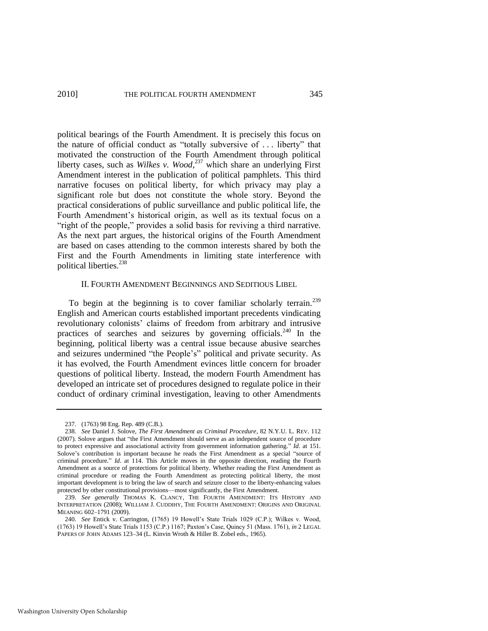political bearings of the Fourth Amendment. It is precisely this focus on the nature of official conduct as "totally subversive of  $\dots$  liberty" that motivated the construction of the Fourth Amendment through political liberty cases, such as *Wilkes v. Wood*, <sup>237</sup> which share an underlying First Amendment interest in the publication of political pamphlets. This third narrative focuses on political liberty, for which privacy may play a significant role but does not constitute the whole story. Beyond the practical considerations of public surveillance and public political life, the Fourth Amendment's historical origin, as well as its textual focus on a "right of the people," provides a solid basis for reviving a third narrative. As the next part argues, the historical origins of the Fourth Amendment are based on cases attending to the common interests shared by both the First and the Fourth Amendments in limiting state interference with political liberties.<sup>238</sup>

### <span id="page-43-0"></span>II. FOURTH AMENDMENT BEGINNINGS AND SEDITIOUS LIBEL

To begin at the beginning is to cover familiar scholarly terrain.<sup>239</sup> English and American courts established important precedents vindicating revolutionary colonists' claims of freedom from arbitrary and intrusive practices of searches and seizures by governing officials.<sup>240</sup> In the beginning, political liberty was a central issue because abusive searches and seizures undermined "the People's" political and private security. As it has evolved, the Fourth Amendment evinces little concern for broader questions of political liberty. Instead, the modern Fourth Amendment has developed an intricate set of procedures designed to regulate police in their conduct of ordinary criminal investigation, leaving to other Amendments

<sup>237. (1763) 98</sup> Eng. Rep. 489 (C.B.).

<sup>238.</sup> *See* Daniel J. Solove, *The First Amendment as Criminal Procedure*, 82 N.Y.U. L. REV. 112 (2007). Solove argues that "the First Amendment should serve as an independent source of procedure to protect expressive and associational activity from government information gathering." *Id.* at 151. Solove's contribution is important because he reads the First Amendment as a special "source of criminal procedure." *Id.* at 114. This Article moves in the opposite direction, reading the Fourth Amendment as a source of protections for political liberty. Whether reading the First Amendment as criminal procedure or reading the Fourth Amendment as protecting political liberty, the most important development is to bring the law of search and seizure closer to the liberty-enhancing values protected by other constitutional provisions—most significantly, the First Amendment.

<sup>239.</sup> *See generally* THOMAS K. CLANCY, THE FOURTH AMENDMENT: ITS HISTORY AND INTERPRETATION (2008); WILLIAM J. CUDDIHY, THE FOURTH AMENDMENT: ORIGINS AND ORIGINAL MEANING 602–1791 (2009).

<sup>240.</sup> *See* Entick v. Carrington, (1765) 19 Howell's State Trials 1029 (C.P.); Wilkes v. Wood, (1763) 19 Howell's State Trials 1153 (C.P.) 1167; Paxton's Case, Quincy 51 (Mass. 1761), *in* 2 LEGAL PAPERS OF JOHN ADAMS 123–34 (L. Kinvin Wroth & Hiller B. Zobel eds., 1965).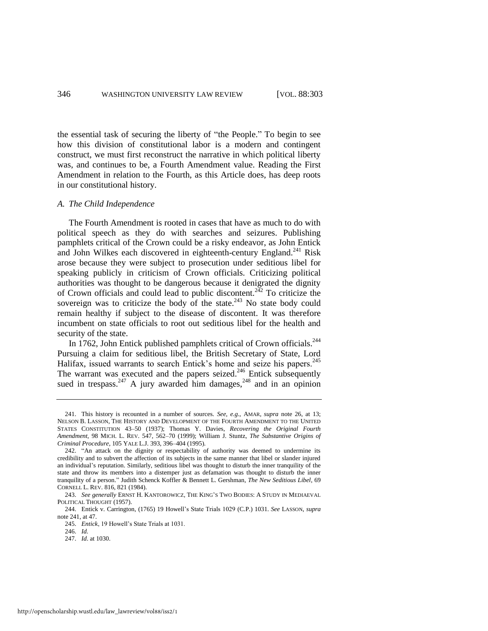the essential task of securing the liberty of "the People." To begin to see how this division of constitutional labor is a modern and contingent construct, we must first reconstruct the narrative in which political liberty was, and continues to be, a Fourth Amendment value. Reading the First Amendment in relation to the Fourth, as this Article does, has deep roots in our constitutional history.

#### *A. The Child Independence*

<span id="page-44-0"></span>The Fourth Amendment is rooted in cases that have as much to do with political speech as they do with searches and seizures. Publishing pamphlets critical of the Crown could be a risky endeavor, as John Entick and John Wilkes each discovered in eighteenth-century England.<sup>241</sup> Risk arose because they were subject to prosecution under seditious libel for speaking publicly in criticism of Crown officials. Criticizing political authorities was thought to be dangerous because it denigrated the dignity of Crown officials and could lead to public discontent.<sup>242</sup> To criticize the sovereign was to criticize the body of the state.<sup>243</sup> No state body could remain healthy if subject to the disease of discontent. It was therefore incumbent on state officials to root out seditious libel for the health and security of the state.

In 1762, John Entick published pamphlets critical of Crown officials.<sup>244</sup> Pursuing a claim for seditious libel, the British Secretary of State, Lord Halifax, issued warrants to search Entick's home and seize his papers.<sup>245</sup> The warrant was executed and the papers seized.<sup>246</sup> Entick subsequently sued in trespass.<sup>247</sup> A jury awarded him damages,<sup>248</sup> and in an opinion

<sup>241.</sup> This history is recounted in a number of sources. *See, e.g*., AMAR, *supra* note [26,](#page-6-0) at 13; NELSON B. LASSON, THE HISTORY AND DEVELOPMENT OF THE FOURTH AMENDMENT TO THE UNITED STATES CONSTITUTION 43–50 (1937); Thomas Y. Davies, *Recovering the Original Fourth Amendment*, 98 MICH. L. REV. 547, 562–70 (1999); William J. Stuntz, *The Substantive Origins of Criminal Procedure*, 105 YALE L.J. 393, 396–404 (1995).

<sup>242. &</sup>quot;An attack on the dignity or respectability of authority was deemed to undermine its credibility and to subvert the affection of its subjects in the same manner that libel or slander injured an individual's reputation. Similarly, seditious libel was thought to disturb the inner tranquility of the state and throw its members into a distemper just as defamation was thought to disturb the inner tranquility of a person.‖ Judith Schenck Koffler & Bennett L. Gershman, *The New Seditious Libel*, 69 CORNELL L. REV. 816, 821 (1984).

<sup>243.</sup> *See generally* ERNST H. KANTOROWICZ, THE KING'S TWO BODIES: A STUDY IN MEDIAEVAL POLITICAL THOUGHT (1957).

<sup>244.</sup> Entick v. Carrington, (1765) 19 Howell's State Trials 1029 (C.P.) 1031. *See* LASSON, *supra* note [241,](#page-44-0) at 47.

<sup>245.</sup> *Entick*, 19 Howell's State Trials at 1031.

<sup>246.</sup> *Id.* 

<sup>247.</sup> *Id*. at 1030.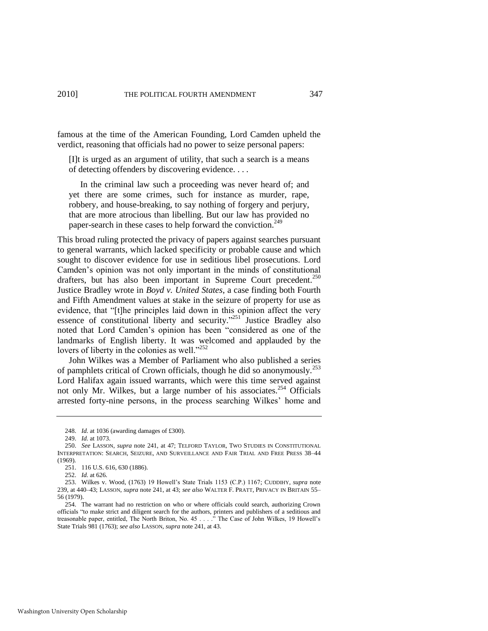famous at the time of the American Founding, Lord Camden upheld the verdict, reasoning that officials had no power to seize personal papers:

[I]t is urged as an argument of utility, that such a search is a means of detecting offenders by discovering evidence. . . .

 In the criminal law such a proceeding was never heard of; and yet there are some crimes, such for instance as murder, rape, robbery, and house-breaking, to say nothing of forgery and perjury, that are more atrocious than libelling. But our law has provided no paper-search in these cases to help forward the conviction.<sup>249</sup>

This broad ruling protected the privacy of papers against searches pursuant to general warrants, which lacked specificity or probable cause and which sought to discover evidence for use in seditious libel prosecutions. Lord Camden's opinion was not only important in the minds of constitutional drafters, but has also been important in Supreme Court precedent.<sup>250</sup> Justice Bradley wrote in *Boyd v. United States*, a case finding both Fourth and Fifth Amendment values at stake in the seizure of property for use as evidence, that "[t]he principles laid down in this opinion affect the very essence of constitutional liberty and security."<sup>251</sup> Justice Bradley also noted that Lord Camden's opinion has been "considered as one of the landmarks of English liberty. It was welcomed and applauded by the lovers of liberty in the colonies as well." $252$ 

John Wilkes was a Member of Parliament who also published a series of pamphlets critical of Crown officials, though he did so anonymously.<sup>253</sup> Lord Halifax again issued warrants, which were this time served against not only Mr. Wilkes, but a large number of his associates.<sup>254</sup> Officials arrested forty-nine persons, in the process searching Wilkes' home and

<sup>248.</sup> *Id.* at 1036 (awarding damages of £300).

<sup>249.</sup> *Id.* at 1073.

<sup>250.</sup> *See* LASSON, *supra* note [241,](#page-44-0) at 47; TELFORD TAYLOR, TWO STUDIES IN CONSTITUTIONAL INTERPRETATION: SEARCH, SEIZURE, AND SURVEILLANCE AND FAIR TRIAL AND FREE PRESS 38–44 (1969).

<sup>251. 116</sup> U.S. 616, 630 (1886).

<sup>252.</sup> *Id.* at 626.

<sup>253.</sup> Wilkes v. Wood, (1763) 19 Howell's State Trials 1153 (C.P.) 1167; CUDDIHY, *supra* note [239,](#page-43-0) at 440–43; LASSON, *supra* note [241,](#page-44-0) at 43; *see also* WALTER F. PRATT, PRIVACY IN BRITAIN 55– 56 (1979).

<sup>254.</sup> The warrant had no restriction on who or where officials could search, authorizing Crown officials "to make strict and diligent search for the authors, printers and publishers of a seditious and treasonable paper, entitled, The North Briton, No. 45 . . . . " The Case of John Wilkes, 19 Howell's State Trials 981 (1763); *see also* LASSON, *supra* not[e 241,](#page-44-0) at 43.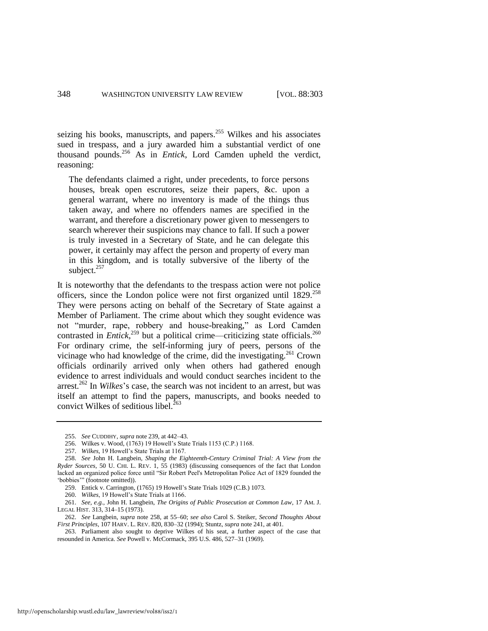seizing his books, manuscripts, and papers.<sup>255</sup> Wilkes and his associates sued in trespass, and a jury awarded him a substantial verdict of one thousand pounds.<sup>256</sup> As in *Entick*, Lord Camden upheld the verdict, reasoning:

The defendants claimed a right, under precedents, to force persons houses, break open escrutores, seize their papers, &c. upon a general warrant, where no inventory is made of the things thus taken away, and where no offenders names are specified in the warrant, and therefore a discretionary power given to messengers to search wherever their suspicions may chance to fall. If such a power is truly invested in a Secretary of State, and he can delegate this power, it certainly may affect the person and property of every man in this kingdom, and is totally subversive of the liberty of the subject.<sup>257</sup>

<span id="page-46-0"></span>It is noteworthy that the defendants to the trespass action were not police officers, since the London police were not first organized until  $1829$ <sup>258</sup> They were persons acting on behalf of the Secretary of State against a Member of Parliament. The crime about which they sought evidence was not "murder, rape, robbery and house-breaking," as Lord Camden contrasted in *Entick*,<sup>259</sup> but a political crime—criticizing state officials.<sup>260</sup> For ordinary crime, the self-informing jury of peers, persons of the vicinage who had knowledge of the crime, did the investigating.<sup>261</sup> Crown officials ordinarily arrived only when others had gathered enough evidence to arrest individuals and would conduct searches incident to the arrest.<sup>262</sup> In *Wilkes*'s case, the search was not incident to an arrest, but was itself an attempt to find the papers, manuscripts, and books needed to convict Wilkes of seditious libel. $263$ 

<sup>255.</sup> *See* CUDDIHY, *supra* not[e 239,](#page-43-0) at 442–43.

<sup>256.</sup> Wilkes v. Wood, (1763) 19 Howell's State Trials 1153 (C.P.) 1168.

<sup>257.</sup> *Wilkes*, 19 Howell's State Trials at 1167.

<sup>258.</sup> *See* John H. Langbein, *Shaping the Eighteenth-Century Criminal Trial: A View from the Ryder Sources*, 50 U. CHI. L. REV. 1, 55 (1983) (discussing consequences of the fact that London lacked an organized police force until "Sir Robert Peel's Metropolitan Police Act of 1829 founded the 'bobbies'" (footnote omitted)).

<sup>259.</sup> Entick v. Carrington, (1765) 19 Howell's State Trials 1029 (C.B.) 1073.

<sup>260.</sup> *Wilkes*, 19 Howell's State Trials at 1166.

<sup>261.</sup> *See, e.g.*, John H. Langbein, *The Origins of Public Prosecution at Common Law*, 17 AM. J. LEGAL HIST. 313, 314–15 (1973).

<sup>262.</sup> *See* Langbein, *supra* note [258,](#page-46-0) at 55–60; *see also* Carol S. Steiker, *Second Thoughts About First Principles*, 107 HARV. L. REV. 820, 830–32 (1994); Stuntz, *supra* not[e 241,](#page-44-0) at 401.

<sup>263.</sup> Parliament also sought to deprive Wilkes of his seat, a further aspect of the case that resounded in America. *See* Powell v. McCormack, 395 U.S. 486, 527–31 (1969).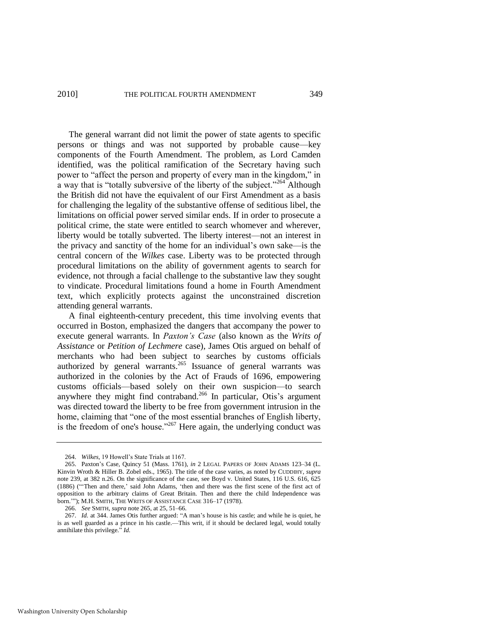The general warrant did not limit the power of state agents to specific persons or things and was not supported by probable cause—key components of the Fourth Amendment. The problem, as Lord Camden identified, was the political ramification of the Secretary having such power to "affect the person and property of every man in the kingdom," in a way that is "totally subversive of the liberty of the subject."<sup>264</sup> Although the British did not have the equivalent of our First Amendment as a basis for challenging the legality of the substantive offense of seditious libel, the limitations on official power served similar ends. If in order to prosecute a political crime, the state were entitled to search whomever and wherever, liberty would be totally subverted. The liberty interest—not an interest in the privacy and sanctity of the home for an individual's own sake—is the central concern of the *Wilkes* case. Liberty was to be protected through procedural limitations on the ability of government agents to search for evidence, not through a facial challenge to the substantive law they sought to vindicate. Procedural limitations found a home in Fourth Amendment text, which explicitly protects against the unconstrained discretion attending general warrants.

<span id="page-47-0"></span>A final eighteenth-century precedent, this time involving events that occurred in Boston, emphasized the dangers that accompany the power to execute general warrants. In *Paxton's Case* (also known as the *Writs of Assistance* or *Petition of Lechmere* case), James Otis argued on behalf of merchants who had been subject to searches by customs officials authorized by general warrants.<sup>265</sup> Issuance of general warrants was authorized in the colonies by the Act of Frauds of 1696, empowering customs officials—based solely on their own suspicion—to search anywhere they might find contraband.<sup>266</sup> In particular, Otis's argument was directed toward the liberty to be free from government intrusion in the home, claiming that "one of the most essential branches of English liberty, is the freedom of one's house." $267$  Here again, the underlying conduct was

<sup>264.</sup> *Wilkes*, 19 Howell's State Trials at 1167.

<sup>265.</sup> Paxton's Case, Quincy 51 (Mass. 1761), *in* 2 LEGAL PAPERS OF JOHN ADAMS 123–34 (L. Kinvin Wroth & Hiller B. Zobel eds., 1965). The title of the case varies, as noted by CUDDIHY, *supra* note [239,](#page-43-0) at 382 n.26. On the significance of the case, see Boyd v. United States, 116 U.S. 616, 625 (1886) ("Then and there,' said John Adams, 'then and there was the first scene of the first act of opposition to the arbitrary claims of Great Britain. Then and there the child Independence was born.""); M.H. SMITH, THE WRITS OF ASSISTANCE CASE 316-17 (1978).

<sup>266.</sup> *See* SMITH, *supra* not[e 265,](#page-47-0) at 25, 51–66.

<sup>267.</sup> *Id.* at 344. James Otis further argued: "A man's house is his castle; and while he is quiet, he is as well guarded as a prince in his castle.—This writ, if it should be declared legal, would totally annihilate this privilege." *Id.*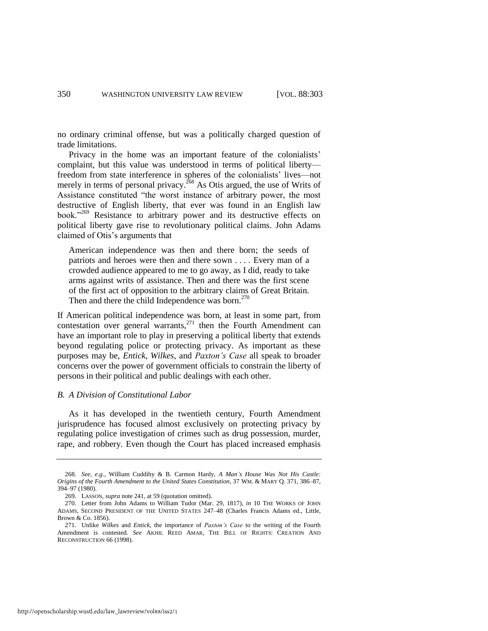no ordinary criminal offense, but was a politically charged question of trade limitations.

Privacy in the home was an important feature of the colonialists' complaint, but this value was understood in terms of political liberty freedom from state interference in spheres of the colonialists' lives—not merely in terms of personal privacy.<sup>268</sup> As Otis argued, the use of Writs of Assistance constituted "the worst instance of arbitrary power, the most destructive of English liberty, that ever was found in an English law book."<sup>269</sup> Resistance to arbitrary power and its destructive effects on political liberty gave rise to revolutionary political claims. John Adams claimed of Otis's arguments that

American independence was then and there born; the seeds of patriots and heroes were then and there sown . . . . Every man of a crowded audience appeared to me to go away, as I did, ready to take arms against writs of assistance. Then and there was the first scene of the first act of opposition to the arbitrary claims of Great Britain. Then and there the child Independence was born.<sup>270</sup>

If American political independence was born, at least in some part, from contestation over general warrants, $^{271}$  then the Fourth Amendment can have an important role to play in preserving a political liberty that extends beyond regulating police or protecting privacy. As important as these purposes may be, *Entick*, *Wilkes*, and *Paxton's Case* all speak to broader concerns over the power of government officials to constrain the liberty of persons in their political and public dealings with each other.

# *B. A Division of Constitutional Labor*

As it has developed in the twentieth century, Fourth Amendment jurisprudence has focused almost exclusively on protecting privacy by regulating police investigation of crimes such as drug possession, murder, rape, and robbery. Even though the Court has placed increased emphasis

<sup>268.</sup> *See, e.g.*, William Cuddihy & B. Carmon Hardy, *A Man's House Was Not His Castle: Origins of the Fourth Amendment to the United States Constitution*, 37 WM. & MARY Q. 371, 386–87, 394–97 (1980).

<sup>269.</sup> LASSON, *supra* not[e 241,](#page-44-0) at 59 (quotation omitted).

<sup>270.</sup> Letter from John Adams to William Tudor (Mar. 29, 1817), *in* 10 THE WORKS OF JOHN ADAMS, SECOND PRESIDENT OF THE UNITED STATES 247–48 (Charles Francis Adams ed., Little, Brown & Co. 1856).

<sup>271.</sup> Unlike *Wilkes* and *Entick*, the importance of *Paxton's Case* to the writing of the Fourth Amendment is contested. *See* AKHIL REED AMAR, THE BILL OF RIGHTS: CREATION AND RECONSTRUCTION 66 (1998).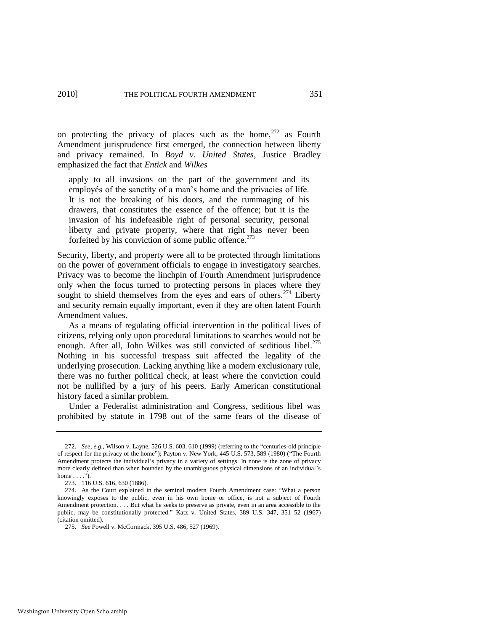on protecting the privacy of places such as the home,  $272$  as Fourth Amendment jurisprudence first emerged, the connection between liberty and privacy remained. In *Boyd v. United States*, Justice Bradley emphasized the fact that *Entick* and *Wilkes*

apply to all invasions on the part of the government and its employés of the sanctity of a man's home and the privacies of life. It is not the breaking of his doors, and the rummaging of his drawers, that constitutes the essence of the offence; but it is the invasion of his indefeasible right of personal security, personal liberty and private property, where that right has never been forfeited by his conviction of some public offence. $273$ 

Security, liberty, and property were all to be protected through limitations on the power of government officials to engage in investigatory searches. Privacy was to become the linchpin of Fourth Amendment jurisprudence only when the focus turned to protecting persons in places where they sought to shield themselves from the eyes and ears of others.<sup>274</sup> Liberty and security remain equally important, even if they are often latent Fourth Amendment values.

As a means of regulating official intervention in the political lives of citizens, relying only upon procedural limitations to searches would not be enough. After all, John Wilkes was still convicted of seditious libel.<sup>275</sup> Nothing in his successful trespass suit affected the legality of the underlying prosecution. Lacking anything like a modern exclusionary rule, there was no further political check, at least where the conviction could not be nullified by a jury of his peers. Early American constitutional history faced a similar problem.

Under a Federalist administration and Congress, seditious libel was prohibited by statute in 1798 out of the same fears of the disease of

<sup>272.</sup> *See, e.g.*, Wilson v. Layne, 526 U.S. 603, 610 (1999) (referring to the "centuries-old principle of respect for the privacy of the home"); Payton v. New York, 445 U.S. 573, 589 (1980) ("The Fourth Amendment protects the individual's privacy in a variety of settings. In none is the zone of privacy more clearly defined than when bounded by the unambiguous physical dimensions of an individual's home  $\dots$ .").

<sup>273. 116</sup> U.S. 616, 630 (1886).

<sup>274.</sup> As the Court explained in the seminal modern Fourth Amendment case: "What a person knowingly exposes to the public, even in his own home or office, is not a subject of Fourth Amendment protection. . . . But what he seeks to preserve as private, even in an area accessible to the public, may be constitutionally protected." Katz v. United States, 389 U.S. 347, 351-52 (1967) (citation omitted).

<sup>275.</sup> *See* Powell v. McCormack, 395 U.S. 486, 527 (1969).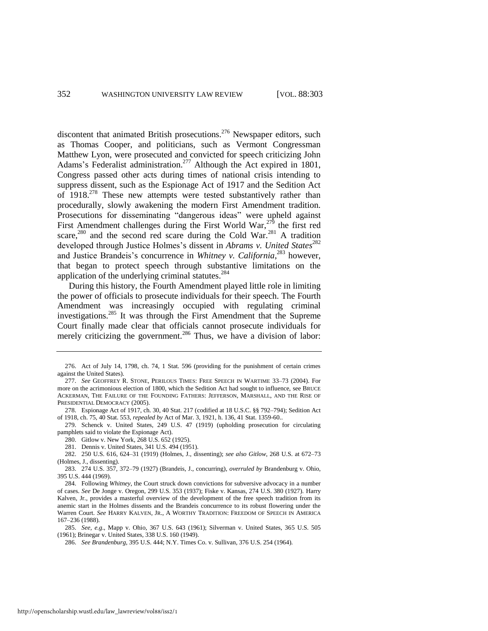discontent that animated British prosecutions.<sup>276</sup> Newspaper editors, such as Thomas Cooper, and politicians, such as Vermont Congressman Matthew Lyon, were prosecuted and convicted for speech criticizing John Adams's Federalist administration.<sup>277</sup> Although the Act expired in 1801, Congress passed other acts during times of national crisis intending to suppress dissent, such as the Espionage Act of 1917 and the Sedition Act of 1918<sup>278</sup> These new attempts were tested substantively rather than procedurally, slowly awakening the modern First Amendment tradition. Prosecutions for disseminating "dangerous ideas" were upheld against First Amendment challenges during the First World War,<sup>279</sup> the first red scare,<sup>280</sup> and the second red scare during the Cold War.<sup>281</sup> A tradition developed through Justice Holmes's dissent in *Abrams v. United States*<sup>282</sup> and Justice Brandeis's concurrence in *Whitney v. California*, <sup>283</sup> however, that began to protect speech through substantive limitations on the application of the underlying criminal statutes.<sup>284</sup>

During this history, the Fourth Amendment played little role in limiting the power of officials to prosecute individuals for their speech. The Fourth Amendment was increasingly occupied with regulating criminal investigations.<sup>285</sup> It was through the First Amendment that the Supreme Court finally made clear that officials cannot prosecute individuals for merely criticizing the government.<sup>286</sup> Thus, we have a division of labor:

- 278. Espionage Act of 1917, ch. 30, 40 Stat. 217 (codified at 18 U.S.C. §§ 792–794); Sedition Act of 1918, ch. 75, 40 Stat. 553, *repealed by* Act of Mar. 3, 1921, h. 136, 41 Stat. 1359-60..
- 279. Schenck v. United States, 249 U.S. 47 (1919) (upholding prosecution for circulating pamphlets said to violate the Espionage Act).

281. Dennis v. United States, 341 U.S. 494 (1951).

285. *See, e.g*., Mapp v. Ohio, 367 U.S. 643 (1961); Silverman v. United States, 365 U.S. 505 (1961); Brinegar v. United States, 338 U.S. 160 (1949).

<sup>276.</sup> Act of July 14, 1798, ch. 74, 1 Stat. 596 (providing for the punishment of certain crimes against the United States).

<sup>277.</sup> *See* GEOFFREY R. STONE, PERILOUS TIMES: FREE SPEECH IN WARTIME 33–73 (2004). For more on the acrimonious election of 1800, which the Sedition Act had sought to influence, see BRUCE ACKERMAN, THE FAILURE OF THE FOUNDING FATHERS: JEFFERSON, MARSHALL, AND THE RISE OF PRESIDENTIAL DEMOCRACY (2005).

<sup>280.</sup> Gitlow v. New York, 268 U.S. 652 (1925).

<sup>282. 250</sup> U.S. 616, 624–31 (1919) (Holmes, J., dissenting); *see also Gitlow*, 268 U.S. at 672–73 (Holmes, J., dissenting).

<sup>283. 274</sup> U.S. 357, 372–79 (1927) (Brandeis, J., concurring), *overruled by* Brandenburg v. Ohio, 395 U.S. 444 (1969).

<sup>284.</sup> Following *Whitney*, the Court struck down convictions for subversive advocacy in a number of cases. *See* De Jonge v. Oregon, 299 U.S. 353 (1937); Fiske v. Kansas, 274 U.S. 380 (1927). Harry Kalven, Jr., provides a masterful overview of the development of the free speech tradition from its anemic start in the Holmes dissents and the Brandeis concurrence to its robust flowering under the Warren Court. *See* HARRY KALVEN, JR., A WORTHY TRADITION: FREEDOM OF SPEECH IN AMERICA 167–236 (1988).

<sup>286.</sup> *See Brandenburg*, 395 U.S. 444; N.Y. Times Co. v. Sullivan, 376 U.S. 254 (1964).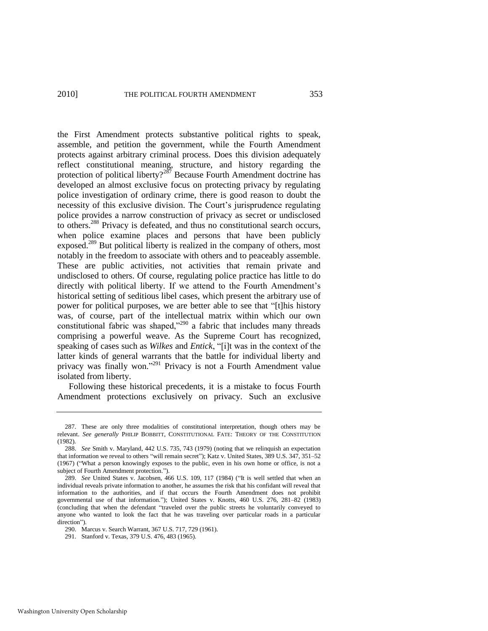### 2010] THE POLITICAL FOURTH AMENDMENT 353

the First Amendment protects substantive political rights to speak, assemble, and petition the government, while the Fourth Amendment protects against arbitrary criminal process. Does this division adequately reflect constitutional meaning, structure, and history regarding the protection of political liberty? $2^{87}$  Because Fourth Amendment doctrine has developed an almost exclusive focus on protecting privacy by regulating police investigation of ordinary crime, there is good reason to doubt the necessity of this exclusive division. The Court's jurisprudence regulating police provides a narrow construction of privacy as secret or undisclosed to others.<sup>288</sup> Privacy is defeated, and thus no constitutional search occurs, when police examine places and persons that have been publicly exposed.<sup>289</sup> But political liberty is realized in the company of others, most notably in the freedom to associate with others and to peaceably assemble. These are public activities, not activities that remain private and undisclosed to others. Of course, regulating police practice has little to do directly with political liberty. If we attend to the Fourth Amendment's historical setting of seditious libel cases, which present the arbitrary use of power for political purposes, we are better able to see that "[t]his history was, of course, part of the intellectual matrix within which our own constitutional fabric was shaped, $2290$  a fabric that includes many threads comprising a powerful weave. As the Supreme Court has recognized, speaking of cases such as *Wilkes* and *Entick*, "[i]t was in the context of the latter kinds of general warrants that the battle for individual liberty and privacy was finally won."<sup>291</sup> Privacy is not a Fourth Amendment value isolated from liberty.

Following these historical precedents, it is a mistake to focus Fourth Amendment protections exclusively on privacy. Such an exclusive

<sup>287.</sup> These are only three modalities of constitutional interpretation, though others may be relevant. *See generally* PHILIP BOBBITT, CONSTITUTIONAL FATE: THEORY OF THE CONSTITUTION (1982).

<sup>288.</sup> *See* Smith v. Maryland, 442 U.S. 735, 743 (1979) (noting that we relinquish an expectation that information we reveal to others "will remain secret"); Katz v. United States, 389 U.S. 347, 351–52 (1967) ("What a person knowingly exposes to the public, even in his own home or office, is not a subject of Fourth Amendment protection.").

<sup>289.</sup> *See* United States v. Jacobsen, 466 U.S. 109, 117 (1984) ("It is well settled that when an individual reveals private information to another, he assumes the risk that his confidant will reveal that information to the authorities, and if that occurs the Fourth Amendment does not prohibit governmental use of that information."); United States v. Knotts, 460 U.S. 276, 281-82 (1983) (concluding that when the defendant ―traveled over the public streets he voluntarily conveyed to anyone who wanted to look the fact that he was traveling over particular roads in a particular direction").

<sup>290.</sup> Marcus v. Search Warrant, 367 U.S. 717, 729 (1961).

<sup>291.</sup> Stanford v. Texas, 379 U.S. 476, 483 (1965).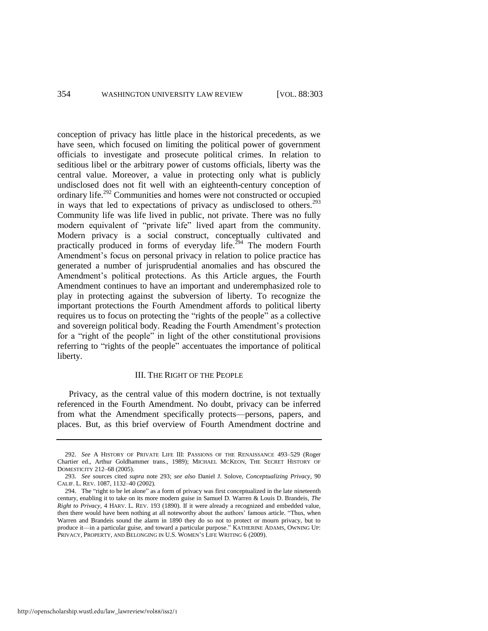conception of privacy has little place in the historical precedents, as we have seen, which focused on limiting the political power of government officials to investigate and prosecute political crimes. In relation to seditious libel or the arbitrary power of customs officials, liberty was the central value. Moreover, a value in protecting only what is publicly undisclosed does not fit well with an eighteenth-century conception of ordinary life.<sup>292</sup> Communities and homes were not constructed or occupied in ways that led to expectations of privacy as undisclosed to others.<sup>293</sup> Community life was life lived in public, not private. There was no fully modern equivalent of "private life" lived apart from the community. Modern privacy is a social construct, conceptually cultivated and practically produced in forms of everyday life.<sup>294</sup> The modern Fourth Amendment's focus on personal privacy in relation to police practice has generated a number of jurisprudential anomalies and has obscured the Amendment's political protections. As this Article argues, the Fourth Amendment continues to have an important and underemphasized role to play in protecting against the subversion of liberty. To recognize the important protections the Fourth Amendment affords to political liberty requires us to focus on protecting the "rights of the people" as a collective and sovereign political body. Reading the Fourth Amendment's protection for a "right of the people" in light of the other constitutional provisions referring to "rights of the people" accentuates the importance of political liberty.

## <span id="page-52-0"></span>III. THE RIGHT OF THE PEOPLE

Privacy, as the central value of this modern doctrine, is not textually referenced in the Fourth Amendment. No doubt, privacy can be inferred from what the Amendment specifically protects—persons, papers, and places. But, as this brief overview of Fourth Amendment doctrine and

<sup>292.</sup> *See* A HISTORY OF PRIVATE LIFE III: PASSIONS OF THE RENAISSANCE 493–529 (Roger Chartier ed., Arthur Goldhammer trans., 1989); MICHAEL MCKEON, THE SECRET HISTORY OF DOMESTICITY 212–68 (2005).

<sup>293.</sup> *See* sources cited *supra* note [293;](#page-52-0) *see also* Daniel J. Solove, *Conceptualizing Privacy*, 90 CALIF. L. REV. 1087, 1132–40 (2002).

<sup>294.</sup> The "right to be let alone" as a form of privacy was first conceptualized in the late nineteenth century, enabling it to take on its more modern guise in Samuel D. Warren & Louis D. Brandeis, *The Right to Privacy*, 4 HARV. L. REV. 193 (1890). If it were already a recognized and embedded value, then there would have been nothing at all noteworthy about the authors' famous article. "Thus, when Warren and Brandeis sound the alarm in 1890 they do so not to protect or mourn privacy, but to produce it—in a particular guise, and toward a particular purpose." KATHERINE ADAMS, OWNING UP: PRIVACY, PROPERTY, AND BELONGING IN U.S. WOMEN'S LIFE WRITING 6 (2009).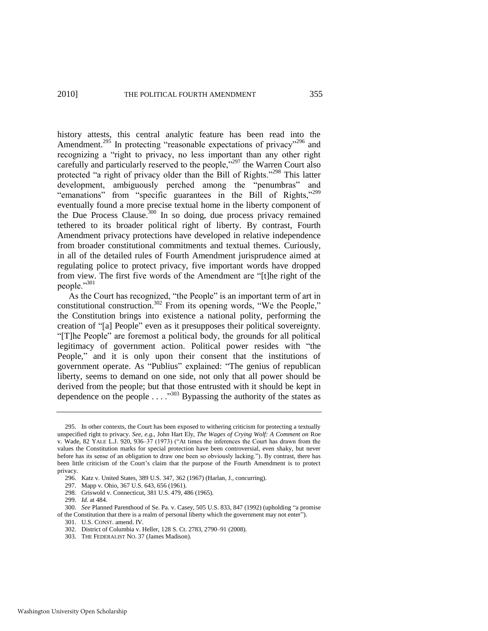history attests, this central analytic feature has been read into the Amendment.<sup>295</sup> In protecting "reasonable expectations of privacy"<sup>296</sup> and recognizing a "right to privacy, no less important than any other right carefully and particularly reserved to the people," $297$  the Warren Court also protected "a right of privacy older than the Bill of Rights."<sup>298</sup> This latter development, ambiguously perched among the "penumbras" and "emanations" from "specific guarantees in the Bill of Rights," $299$ eventually found a more precise textual home in the liberty component of the Due Process Clause. $300$  In so doing, due process privacy remained tethered to its broader political right of liberty. By contrast, Fourth Amendment privacy protections have developed in relative independence from broader constitutional commitments and textual themes. Curiously, in all of the detailed rules of Fourth Amendment jurisprudence aimed at regulating police to protect privacy, five important words have dropped from view. The first five words of the Amendment are "[t]he right of the people."301

As the Court has recognized, "the People" is an important term of art in constitutional construction.<sup>302</sup> From its opening words, "We the People," the Constitution brings into existence a national polity, performing the creation of "[a] People" even as it presupposes their political sovereignty. ―[T]he People‖ are foremost a political body, the grounds for all political legitimacy of government action. Political power resides with "the People," and it is only upon their consent that the institutions of government operate. As "Publius" explained: "The genius of republican liberty, seems to demand on one side, not only that all power should be derived from the people; but that those entrusted with it should be kept in dependence on the people  $\ldots$ .<sup>303</sup> Bypassing the authority of the states as

299. *Id.* at 484.

301. U.S. CONST. amend. IV.

<sup>295.</sup> In other contexts, the Court has been exposed to withering criticism for protecting a textually unspecified right to privacy. *See, e.g.*, John Hart Ely, *The Wages of Crying Wolf: A Comment on* Roe v. Wade, 82 YALE L.J. 920, 936–37 (1973) ("At times the inferences the Court has drawn from the values the Constitution marks for special protection have been controversial, even shaky, but never before has its sense of an obligation to draw one been so obviously lacking."). By contrast, there has been little criticism of the Court's claim that the purpose of the Fourth Amendment is to protect privacy.

<sup>296.</sup> Katz v. United States, 389 U.S. 347, 362 (1967) (Harlan, J., concurring).

<sup>297.</sup> Mapp v. Ohio, 367 U.S. 643, 656 (1961).

<sup>298.</sup> Griswold v. Connecticut, 381 U.S. 479, 486 (1965).

<sup>300.</sup> *See* Planned Parenthood of Se. Pa. v. Casey, 505 U.S. 833, 847 (1992) (upholding "a promise of the Constitution that there is a realm of personal liberty which the government may not enter").

<sup>302.</sup> District of Columbia v. Heller, 128 S. Ct. 2783, 2790–91 (2008).

<sup>303.</sup> THE FEDERALIST NO. 37 (James Madison).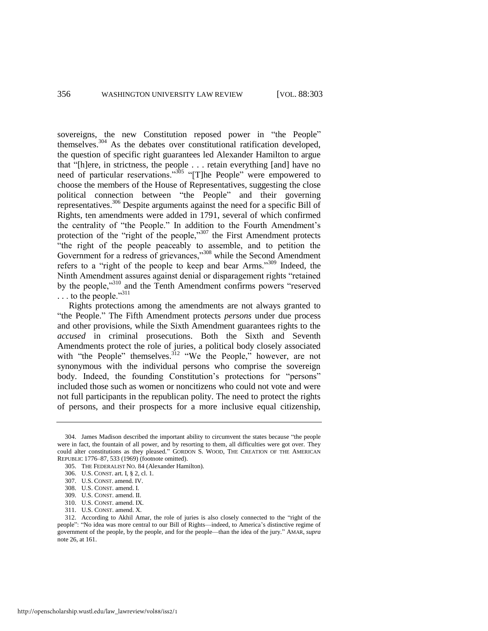sovereigns, the new Constitution reposed power in "the People" themselves.<sup>304</sup> As the debates over constitutional ratification developed, the question of specific right guarantees led Alexander Hamilton to argue that "[h]ere, in strictness, the people . . . retain everything [and] have no need of particular reservations."<sup>305</sup> "[T]he People" were empowered to choose the members of the House of Representatives, suggesting the close political connection between "the People" and their governing representatives.<sup>306</sup> Despite arguments against the need for a specific Bill of Rights, ten amendments were added in 1791, several of which confirmed the centrality of "the People." In addition to the Fourth Amendment's protection of the "right of the people," $307$  the First Amendment protects "the right of the people peaceably to assemble, and to petition the Government for a redress of grievances," $308$  while the Second Amendment refers to a "right of the people to keep and bear Arms."<sup>309</sup> Indeed, the Ninth Amendment assures against denial or disparagement rights "retained" by the people,<sup>310</sup> and the Tenth Amendment confirms powers "reserved"  $\ldots$  to the people."<sup>311</sup>

Rights protections among the amendments are not always granted to "the People." The Fifth Amendment protects *persons* under due process and other provisions, while the Sixth Amendment guarantees rights to the *accused* in criminal prosecutions. Both the Sixth and Seventh Amendments protect the role of juries, a political body closely associated with "the People" themselves.<sup>312</sup> "We the People," however, are not synonymous with the individual persons who comprise the sovereign body. Indeed, the founding Constitution's protections for "persons" included those such as women or noncitizens who could not vote and were not full participants in the republican polity. The need to protect the rights of persons, and their prospects for a more inclusive equal citizenship,

<sup>304.</sup> James Madison described the important ability to circumvent the states because "the people were in fact, the fountain of all power, and by resorting to them, all difficulties were got over. They could alter constitutions as they pleased." GORDON S. WOOD, THE CREATION OF THE AMERICAN REPUBLIC 1776–87, 533 (1969) (footnote omitted).

<sup>305.</sup> THE FEDERALIST NO. 84 (Alexander Hamilton).

<sup>306.</sup> U.S. CONST. art. I, § 2, cl. 1.

<sup>307.</sup> U.S. CONST. amend. IV.

<sup>308.</sup> U.S. CONST. amend. I.

<sup>309.</sup> U.S. CONST. amend. II.

<sup>310.</sup> U.S. CONST. amend. IX.

<sup>311.</sup> U.S. CONST. amend. X.

<sup>312.</sup> According to Akhil Amar, the role of juries is also closely connected to the "right of the people": "No idea was more central to our Bill of Rights—indeed, to America's distinctive regime of government of the people, by the people, and for the people—than the idea of the jury.‖ AMAR, *supra* note 26, at 161.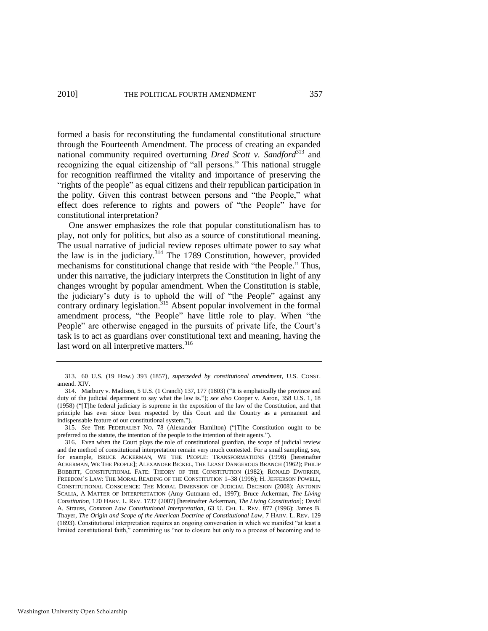formed a basis for reconstituting the fundamental constitutional structure through the Fourteenth Amendment. The process of creating an expanded national community required overturning *Dred Scott v. Sandford*<sup>313</sup> and recognizing the equal citizenship of "all persons." This national struggle for recognition reaffirmed the vitality and importance of preserving the "rights of the people" as equal citizens and their republican participation in the polity. Given this contrast between persons and "the People," what effect does reference to rights and powers of "the People" have for constitutional interpretation?

One answer emphasizes the role that popular constitutionalism has to play, not only for politics, but also as a source of constitutional meaning. The usual narrative of judicial review reposes ultimate power to say what the law is in the judiciary.<sup>314</sup> The 1789 Constitution, however, provided mechanisms for constitutional change that reside with "the People." Thus, under this narrative, the judiciary interprets the Constitution in light of any changes wrought by popular amendment. When the Constitution is stable, the judiciary's duty is to uphold the will of "the People" against any contrary ordinary legislation.<sup>315</sup> Absent popular involvement in the formal amendment process, "the People" have little role to play. When "the People" are otherwise engaged in the pursuits of private life, the Court's task is to act as guardians over constitutional text and meaning, having the last word on all interpretive matters.<sup>316</sup>

<span id="page-55-0"></span><sup>313. 60</sup> U.S. (19 How.) 393 (1857), *superseded by constitutional amendment*, U.S. CONST. amend. XIV.

<sup>314.</sup> Marbury v. Madison, 5 U.S. (1 Cranch) 137, 177 (1803) ("It is emphatically the province and duty of the judicial department to say what the law is."); *see also* Cooper v. Aaron, 358 U.S. 1, 18 (1958) ("[T]he federal judiciary is supreme in the exposition of the law of the Constitution, and that principle has ever since been respected by this Court and the Country as a permanent and indispensable feature of our constitutional system.").

<sup>315.</sup> See THE FEDERALIST NO. 78 (Alexander Hamilton) ("[T]he Constitution ought to be preferred to the statute, the intention of the people to the intention of their agents.").

<sup>316.</sup> Even when the Court plays the role of constitutional guardian, the scope of judicial review and the method of constitutional interpretation remain very much contested. For a small sampling, see, for example, BRUCE ACKERMAN, WE THE PEOPLE: TRANSFORMATIONS (1998) [hereinafter ACKERMAN, WE THE PEOPLE]; ALEXANDER BICKEL, THE LEAST DANGEROUS BRANCH (1962); PHILIP BOBBITT, CONSTITUTIONAL FATE: THEORY OF THE CONSTITUTION (1982); RONALD DWORKIN, FREEDOM'S LAW: THE MORAL READING OF THE CONSTITUTION 1–38 (1996); H. JEFFERSON POWELL, CONSTITUTIONAL CONSCIENCE: THE MORAL DIMENSION OF JUDICIAL DECISION (2008); ANTONIN SCALIA, A MATTER OF INTERPRETATION (Amy Gutmann ed., 1997); Bruce Ackerman, *The Living Constitution*, 120 HARV. L. REV. 1737 (2007) [hereinafter Ackerman, *The Living Constitution*]; David A. Strauss, *Common Law Constitutional Interpretation*, 63 U. CHI. L. REV. 877 (1996); James B. Thayer, *The Origin and Scope of the American Doctrine of Constitutional Law*, 7 HARV. L. REV. 129 (1893). Constitutional interpretation requires an ongoing conversation in which we manifest "at least a limited constitutional faith," committing us "not to closure but only to a process of becoming and to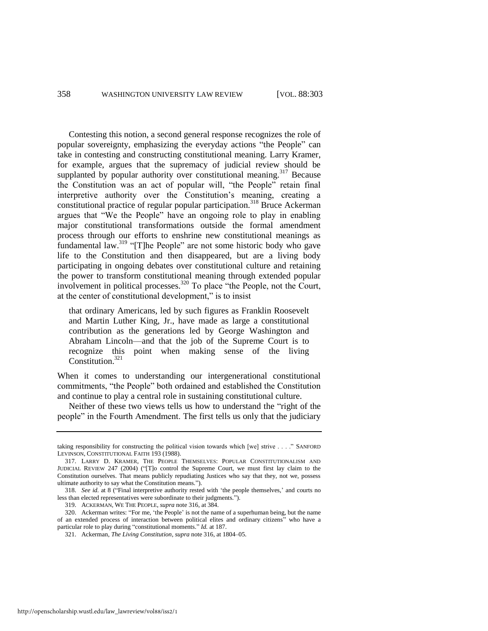Contesting this notion, a second general response recognizes the role of popular sovereignty, emphasizing the everyday actions "the People" can take in contesting and constructing constitutional meaning. Larry Kramer, for example, argues that the supremacy of judicial review should be supplanted by popular authority over constitutional meaning.<sup>317</sup> Because the Constitution was an act of popular will, "the People" retain final interpretive authority over the Constitution's meaning, creating a constitutional practice of regular popular participation.<sup>318</sup> Bruce Ackerman argues that "We the People" have an ongoing role to play in enabling major constitutional transformations outside the formal amendment process through our efforts to enshrine new constitutional meanings as fundamental law. $319$  "[T]he People" are not some historic body who gave life to the Constitution and then disappeared, but are a living body participating in ongoing debates over constitutional culture and retaining the power to transform constitutional meaning through extended popular involvement in political processes.<sup>320</sup> To place "the People, not the Court, at the center of constitutional development," is to insist

that ordinary Americans, led by such figures as Franklin Roosevelt and Martin Luther King, Jr., have made as large a constitutional contribution as the generations led by George Washington and Abraham Lincoln—and that the job of the Supreme Court is to recognize this point when making sense of the living Constitution.<sup>321</sup>

When it comes to understanding our intergenerational constitutional commitments, "the People" both ordained and established the Constitution and continue to play a central role in sustaining constitutional culture.

Neither of these two views tells us how to understand the "right of the people" in the Fourth Amendment. The first tells us only that the judiciary

taking responsibility for constructing the political vision towards which [we] strive . . . . " SANFORD LEVINSON, CONSTITUTIONAL FAITH 193 (1988).

<sup>317.</sup> LARRY D. KRAMER, THE PEOPLE THEMSELVES: POPULAR CONSTITUTIONALISM AND JUDICIAL REVIEW 247 (2004) ("[T]o control the Supreme Court, we must first lay claim to the Constitution ourselves. That means publicly repudiating Justices who say that they, not we, possess ultimate authority to say what the Constitution means.").

<sup>318.</sup> *See id.* at 8 ("Final interpretive authority rested with 'the people themselves,' and courts no less than elected representatives were subordinate to their judgments.").

<sup>319.</sup> ACKERMAN, WE THE PEOPLE, *supra* note [316,](#page-55-0) at 384.

<sup>320.</sup> Ackerman writes: "For me, 'the People' is not the name of a superhuman being, but the name of an extended process of interaction between political elites and ordinary citizens" who have a particular role to play during "constitutional moments." *Id.* at 187.

<sup>321.</sup> Ackerman, *The Living Constitution*, *supra* not[e 316,](#page-55-0) at 1804–05.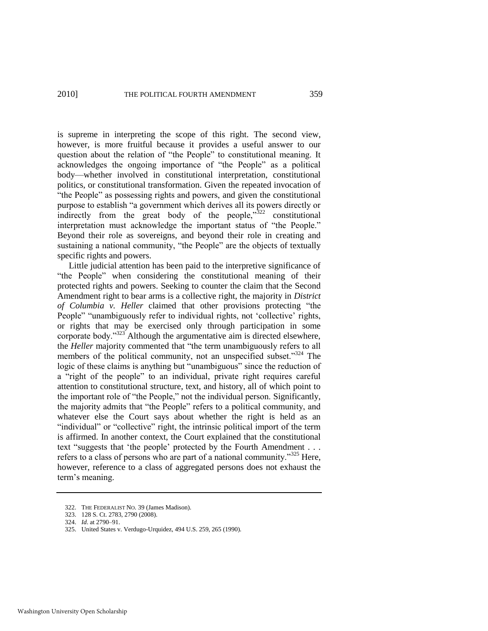is supreme in interpreting the scope of this right. The second view, however, is more fruitful because it provides a useful answer to our question about the relation of "the People" to constitutional meaning. It acknowledges the ongoing importance of "the People" as a political body—whether involved in constitutional interpretation, constitutional politics, or constitutional transformation. Given the repeated invocation of "the People" as possessing rights and powers, and given the constitutional purpose to establish "a government which derives all its powers directly or indirectly from the great body of the people, $322$  constitutional interpretation must acknowledge the important status of "the People." Beyond their role as sovereigns, and beyond their role in creating and sustaining a national community, "the People" are the objects of textually specific rights and powers.

Little judicial attention has been paid to the interpretive significance of "the People" when considering the constitutional meaning of their protected rights and powers. Seeking to counter the claim that the Second Amendment right to bear arms is a collective right, the majority in *District of Columbia v. Heller* claimed that other provisions protecting "the People" "unambiguously refer to individual rights, not 'collective' rights, or rights that may be exercised only through participation in some corporate body." $323$  Although the argumentative aim is directed elsewhere, the *Heller* majority commented that "the term unambiguously refers to all members of the political community, not an unspecified subset. $324$  The logic of these claims is anything but "unambiguous" since the reduction of a "right of the people" to an individual, private right requires careful attention to constitutional structure, text, and history, all of which point to the important role of "the People," not the individual person. Significantly, the majority admits that "the People" refers to a political community, and whatever else the Court says about whether the right is held as an "individual" or "collective" right, the intrinsic political import of the term is affirmed. In another context, the Court explained that the constitutional text "suggests that 'the people' protected by the Fourth Amendment . . . refers to a class of persons who are part of a national community.<sup>325</sup> Here, however, reference to a class of aggregated persons does not exhaust the term's meaning.

<sup>322.</sup> THE FEDERALIST NO. 39 (James Madison).

<sup>323. 128</sup> S. Ct. 2783, 2790 (2008).

<sup>324.</sup> *Id*. at 2790–91.

<sup>325.</sup> United States v. Verdugo-Urquidez, 494 U.S. 259, 265 (1990).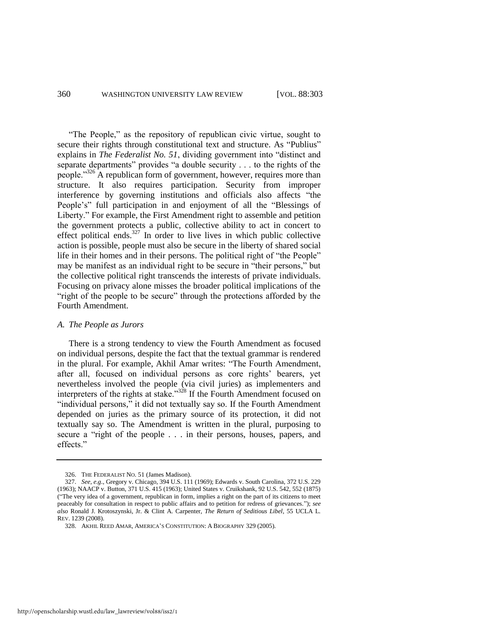"The People," as the repository of republican civic virtue, sought to secure their rights through constitutional text and structure. As "Publius" explains in *The Federalist No. 51*, dividing government into "distinct and separate departments" provides "a double security . . . to the rights of the people.<sup>3326</sup> A republican form of government, however, requires more than structure. It also requires participation. Security from improper interference by governing institutions and officials also affects "the People's" full participation in and enjoyment of all the "Blessings of Liberty." For example, the First Amendment right to assemble and petition the government protects a public, collective ability to act in concert to effect political ends. $327$  In order to live lives in which public collective action is possible, people must also be secure in the liberty of shared social life in their homes and in their persons. The political right of "the People" may be manifest as an individual right to be secure in "their persons," but the collective political right transcends the interests of private individuals. Focusing on privacy alone misses the broader political implications of the "right of the people to be secure" through the protections afforded by the Fourth Amendment.

## *A. The People as Jurors*

There is a strong tendency to view the Fourth Amendment as focused on individual persons, despite the fact that the textual grammar is rendered in the plural. For example, Akhil Amar writes: "The Fourth Amendment, after all, focused on individual persons as core rights' bearers, yet nevertheless involved the people (via civil juries) as implementers and interpreters of the rights at stake.<sup>328</sup> If the Fourth Amendment focused on "individual persons," it did not textually say so. If the Fourth Amendment depended on juries as the primary source of its protection, it did not textually say so. The Amendment is written in the plural, purposing to secure a "right of the people . . . in their persons, houses, papers, and effects."

<sup>326.</sup> THE FEDERALIST NO. 51 (James Madison).

<sup>327.</sup> *See, e.g*., Gregory v. Chicago, 394 U.S. 111 (1969); Edwards v. South Carolina, 372 U.S. 229 (1963); NAACP v. Button, 371 U.S. 415 (1963); United States v. Cruikshank, 92 U.S. 542, 552 (1875) (―The very idea of a government, republican in form, implies a right on the part of its citizens to meet peaceably for consultation in respect to public affairs and to petition for redress of grievances.‖); *see also* Ronald J. Krotoszynski, Jr. & Clint A. Carpenter, *The Return of Seditious Libel*, 55 UCLA L. REV. 1239 (2008).

<sup>328.</sup> AKHIL REED AMAR, AMERICA'S CONSTITUTION: A BIOGRAPHY 329 (2005).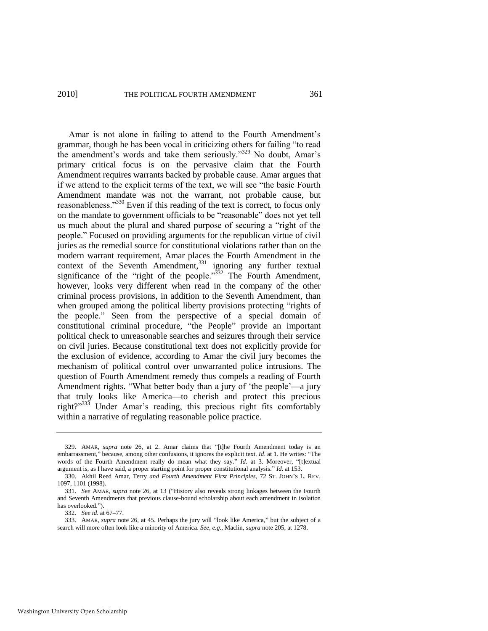Amar is not alone in failing to attend to the Fourth Amendment's grammar, though he has been vocal in criticizing others for failing "to read the amendment's words and take them seriously."<sup>329</sup> No doubt, Amar's primary critical focus is on the pervasive claim that the Fourth Amendment requires warrants backed by probable cause. Amar argues that if we attend to the explicit terms of the text, we will see "the basic Fourth" Amendment mandate was not the warrant, not probable cause, but reasonableness."<sup>330</sup> Even if this reading of the text is correct, to focus only on the mandate to government officials to be "reasonable" does not yet tell us much about the plural and shared purpose of securing a "right of the people.‖ Focused on providing arguments for the republican virtue of civil juries as the remedial source for constitutional violations rather than on the modern warrant requirement, Amar places the Fourth Amendment in the context of the Seventh Amendment,  $331$  ignoring any further textual significance of the "right of the people." $332$  The Fourth Amendment, however, looks very different when read in the company of the other criminal process provisions, in addition to the Seventh Amendment, than when grouped among the political liberty provisions protecting "rights of the people." Seen from the perspective of a special domain of constitutional criminal procedure, "the People" provide an important political check to unreasonable searches and seizures through their service on civil juries. Because constitutional text does not explicitly provide for the exclusion of evidence, according to Amar the civil jury becomes the mechanism of political control over unwarranted police intrusions. The question of Fourth Amendment remedy thus compels a reading of Fourth Amendment rights. "What better body than a jury of 'the people'—a jury that truly looks like America—to cherish and protect this precious right?" $333$  Under Amar's reading, this precious right fits comfortably within a narrative of regulating reasonable police practice.

332. *See id*. at 67–77.

<sup>329.</sup> AMAR, *supra* note 26, at 2. Amar claims that "[t]he Fourth Amendment today is an embarrassment," because, among other confusions, it ignores the explicit text. *Id*. at 1. He writes: "The words of the Fourth Amendment really do mean what they say." Id. at 3. Moreover, "[t]extual argument is, as I have said, a proper starting point for proper constitutional analysis." *Id.* at 153.

<sup>330.</sup> Akhil Reed Amar, Terry *and Fourth Amendment First Principles*, 72 ST. JOHN'S L. REV. 1097, 1101 (1998).

<sup>331.</sup> See AMAR, *supra* note 26, at 13 ("History also reveals strong linkages between the Fourth and Seventh Amendments that previous clause-bound scholarship about each amendment in isolation has overlooked.").

<sup>333.</sup> AMAR, *supra* note 26, at 45. Perhaps the jury will "look like America," but the subject of a search will more often look like a minority of America. *See, e.g.*, Maclin, *supra* not[e 205,](#page-37-0) at 1278.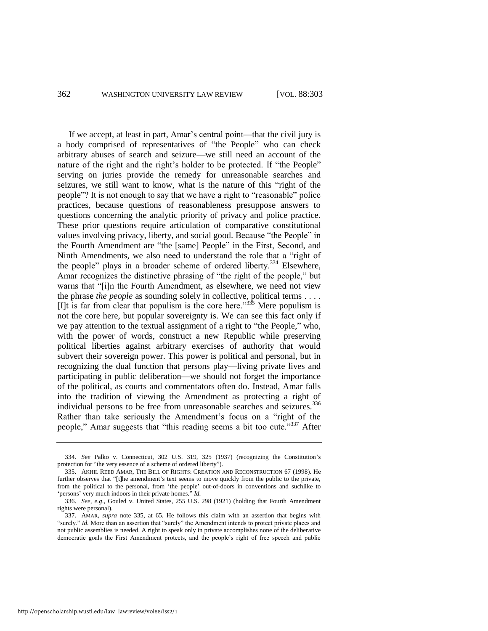If we accept, at least in part, Amar's central point—that the civil jury is a body comprised of representatives of "the People" who can check arbitrary abuses of search and seizure—we still need an account of the nature of the right and the right's holder to be protected. If "the People" serving on juries provide the remedy for unreasonable searches and seizures, we still want to know, what is the nature of this "right of the people<sup>"?</sup> It is not enough to say that we have a right to "reasonable" police practices, because questions of reasonableness presuppose answers to questions concerning the analytic priority of privacy and police practice. These prior questions require articulation of comparative constitutional values involving privacy, liberty, and social good. Because "the People" in the Fourth Amendment are "the [same] People" in the First, Second, and Ninth Amendments, we also need to understand the role that a "right of the people" plays in a broader scheme of ordered liberty.<sup>334</sup> Elsewhere, Amar recognizes the distinctive phrasing of "the right of the people," but warns that "[i]n the Fourth Amendment, as elsewhere, we need not view the phrase *the people* as sounding solely in collective, political terms . . . . [I]t is far from clear that populism is the core here.<sup>335</sup> Mere populism is not the core here, but popular sovereignty is. We can see this fact only if we pay attention to the textual assignment of a right to "the People," who, with the power of words, construct a new Republic while preserving political liberties against arbitrary exercises of authority that would subvert their sovereign power. This power is political and personal, but in recognizing the dual function that persons play—living private lives and participating in public deliberation—we should not forget the importance of the political, as courts and commentators often do. Instead, Amar falls into the tradition of viewing the Amendment as protecting a right of individual persons to be free from unreasonable searches and seizures.<sup>336</sup> Rather than take seriously the Amendment's focus on a "right of the people," Amar suggests that "this reading seems a bit too cute."<sup>337</sup> After

<span id="page-60-0"></span><sup>334.</sup> *See* Palko v. Connecticut, 302 U.S. 319, 325 (1937) (recognizing the Constitution's protection for "the very essence of a scheme of ordered liberty").

<sup>335.</sup> AKHIL REED AMAR, THE BILL OF RIGHTS: CREATION AND RECONSTRUCTION 67 (1998). He further observes that "[t]he amendment's text seems to move quickly from the public to the private, from the political to the personal, from 'the people' out-of-doors in conventions and suchlike to 'persons' very much indoors in their private homes." *Id*.

<sup>336.</sup> *See, e.g*., Gouled v. United States, 255 U.S. 298 (1921) (holding that Fourth Amendment rights were personal).

<sup>337.</sup> AMAR, *supra* note [335,](#page-60-0) at 65. He follows this claim with an assertion that begins with "surely." *Id.* More than an assertion that "surely" the Amendment intends to protect private places and not public assemblies is needed. A right to speak only in private accomplishes none of the deliberative democratic goals the First Amendment protects, and the people's right of free speech and public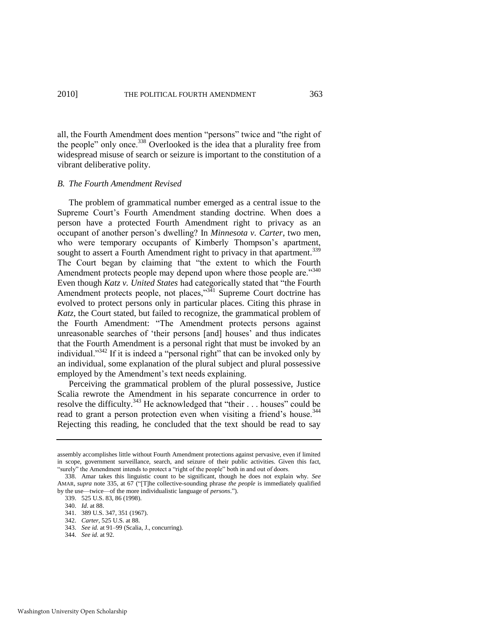all, the Fourth Amendment does mention "persons" twice and "the right of the people" only once.<sup>338</sup> Overlooked is the idea that a plurality free from widespread misuse of search or seizure is important to the constitution of a vibrant deliberative polity.

### *B. The Fourth Amendment Revised*

The problem of grammatical number emerged as a central issue to the Supreme Court's Fourth Amendment standing doctrine. When does a person have a protected Fourth Amendment right to privacy as an occupant of another person's dwelling? In *Minnesota v. Carter*, two men, who were temporary occupants of Kimberly Thompson's apartment, sought to assert a Fourth Amendment right to privacy in that apartment.<sup>339</sup> The Court began by claiming that "the extent to which the Fourth" Amendment protects people may depend upon where those people are."<sup>340</sup> Even though *Katz v. United States* had categorically stated that "the Fourth Amendment protects people, not places," $3\overline{4}1$  Supreme Court doctrine has evolved to protect persons only in particular places. Citing this phrase in *Katz*, the Court stated, but failed to recognize, the grammatical problem of the Fourth Amendment: "The Amendment protects persons against unreasonable searches of 'their persons [and] houses' and thus indicates that the Fourth Amendment is a personal right that must be invoked by an individual." $342$  If it is indeed a "personal right" that can be invoked only by an individual, some explanation of the plural subject and plural possessive employed by the Amendment's text needs explaining.

Perceiving the grammatical problem of the plural possessive, Justice Scalia rewrote the Amendment in his separate concurrence in order to resolve the difficulty.<sup>343</sup> He acknowledged that "their  $\dots$  houses" could be read to grant a person protection even when visiting a friend's house.<sup>344</sup> Rejecting this reading, he concluded that the text should be read to say

344. *See id.* at 92.

assembly accomplishes little without Fourth Amendment protections against pervasive, even if limited in scope, government surveillance, search, and seizure of their public activities. Given this fact, "surely" the Amendment intends to protect a "right of the people" both in and out of doors.

<sup>338.</sup> Amar takes this linguistic count to be significant, though he does not explain why. *See*  AMAR, *supra* note 335, at 67 ("[T]he collective-sounding phrase *the people* is immediately qualified by the use—twice—of the more individualistic language of *persons*.‖).

<sup>339. 525</sup> U.S. 83, 86 (1998).

<sup>340.</sup> *Id*. at 88.

<sup>341. 389</sup> U.S. 347, 351 (1967).

<sup>342.</sup> *Carter*, 525 U.S. at 88.

<sup>343.</sup> *See id.* at 91–99 (Scalia, J., concurring).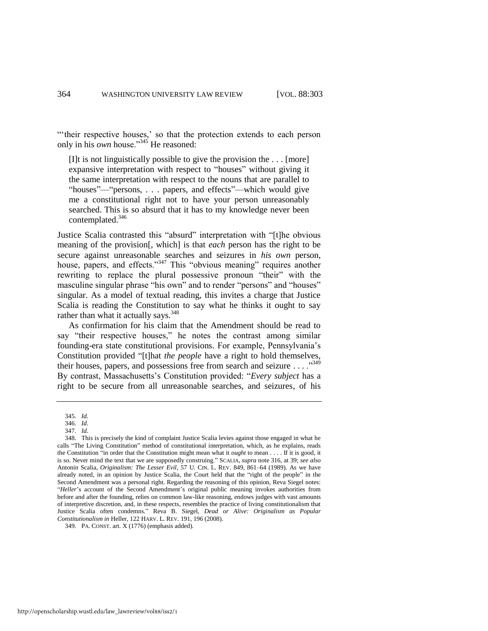"their respective houses,' so that the protection extends to each person only in his *own* house.<sup>345</sup> He reasoned:

[I]t is not linguistically possible to give the provision the . . . [more] expansive interpretation with respect to "houses" without giving it the same interpretation with respect to the nouns that are parallel to "houses"—"persons, . . . papers, and effects"—which would give me a constitutional right not to have your person unreasonably searched. This is so absurd that it has to my knowledge never been contemplated.<sup>346</sup>

Justice Scalia contrasted this "absurd" interpretation with "[t]he obvious meaning of the provision[, which] is that *each* person has the right to be secure against unreasonable searches and seizures in *his own* person, house, papers, and effects."<sup>347</sup> This "obvious meaning" requires another rewriting to replace the plural possessive pronoun "their" with the masculine singular phrase "his own" and to render "persons" and "houses" singular. As a model of textual reading, this invites a charge that Justice Scalia is reading the Constitution to say what he thinks it ought to say rather than what it actually says.<sup>348</sup>

As confirmation for his claim that the Amendment should be read to say "their respective houses," he notes the contrast among similar founding-era state constitutional provisions. For example, Pennsylvania's Constitution provided "[t]hat *the people* have a right to hold themselves, their houses, papers, and possessions free from search and seizure  $\dots$ <sup>349</sup> By contrast, Massachusetts's Constitution provided: "Every subject has a right to be secure from all unreasonable searches, and seizures, of his

<sup>345.</sup> *Id.* 

<sup>346.</sup> *Id*.

<sup>347.</sup> *Id*.

<sup>348.</sup> This is precisely the kind of complaint Justice Scalia levies against those engaged in what he calls "The Living Constitution" method of constitutional interpretation, which, as he explains, reads the Constitution "in order that the Constitution might mean what it *ought* to mean . . . . If it is good, it is so. Never mind the text that we are supposedly construing.‖ SCALIA, *supra* note [316,](#page-55-0) at 39; *see also* Antonin Scalia, *Originalism: The Lesser Evil*, 57 U. CIN. L. REV. 849, 861–64 (1989). As we have already noted, in an opinion by Justice Scalia, the Court held that the "right of the people" in the Second Amendment was a personal right. Regarding the reasoning of this opinion, Reva Siegel notes: "Heller's account of the Second Amendment's original public meaning invokes authorities from before and after the founding, relies on common law-like reasoning, endows judges with vast amounts of interpretive discretion, and, in these respects, resembles the practice of living constitutionalism that Justice Scalia often condemns.‖ Reva B. Siegel, *Dead or Alive: Originalism as Popular Constitutionalism in* Heller, 122 HARV. L. REV. 191, 196 (2008).

<sup>349.</sup> PA. CONST. art. X (1776) (emphasis added).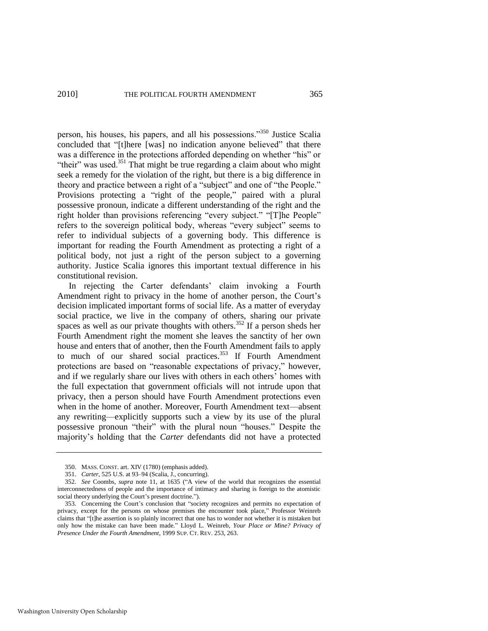person, his houses, his papers, and all his possessions.<sup>350</sup> Justice Scalia concluded that "[t]here [was] no indication anyone believed" that there was a difference in the protections afforded depending on whether "his" or "their" was used.<sup>351</sup> That might be true regarding a claim about who might seek a remedy for the violation of the right, but there is a big difference in theory and practice between a right of a "subject" and one of "the People." Provisions protecting a "right of the people," paired with a plural possessive pronoun, indicate a different understanding of the right and the right holder than provisions referencing "every subject." "[T]he People" refers to the sovereign political body, whereas "every subject" seems to refer to individual subjects of a governing body. This difference is important for reading the Fourth Amendment as protecting a right of a political body, not just a right of the person subject to a governing authority. Justice Scalia ignores this important textual difference in his constitutional revision.

In rejecting the Carter defendants' claim invoking a Fourth Amendment right to privacy in the home of another person, the Court's decision implicated important forms of social life. As a matter of everyday social practice, we live in the company of others, sharing our private spaces as well as our private thoughts with others.<sup>352</sup> If a person sheds her Fourth Amendment right the moment she leaves the sanctity of her own house and enters that of another, then the Fourth Amendment fails to apply to much of our shared social practices.<sup>353</sup> If Fourth Amendment protections are based on "reasonable expectations of privacy," however, and if we regularly share our lives with others in each others' homes with the full expectation that government officials will not intrude upon that privacy, then a person should have Fourth Amendment protections even when in the home of another. Moreover, Fourth Amendment text—absent any rewriting—explicitly supports such a view by its use of the plural possessive pronoun "their" with the plural noun "houses." Despite the majority's holding that the *Carter* defendants did not have a protected

<sup>350.</sup> MASS. CONST. art. XIV (1780) (emphasis added).

<sup>351.</sup> *Carter*, 525 U.S. at 93–94 (Scalia, J., concurring).

<sup>352.</sup> *See* Coombs, *supra* note 11, at 1635 ("A view of the world that recognizes the essential interconnectedness of people and the importance of intimacy and sharing is foreign to the atomistic social theory underlying the Court's present doctrine.").

<sup>353.</sup> Concerning the Court's conclusion that "society recognizes and permits no expectation of privacy, except for the persons on whose premises the encounter took place," Professor Weinreb claims that "[t]he assertion is so plainly incorrect that one has to wonder not whether it is mistaken but only how the mistake can have been made.‖ Lloyd L. Weinreb, *Your Place or Mine? Privacy of Presence Under the Fourth Amendment*, 1999 SUP. CT. REV. 253, 263.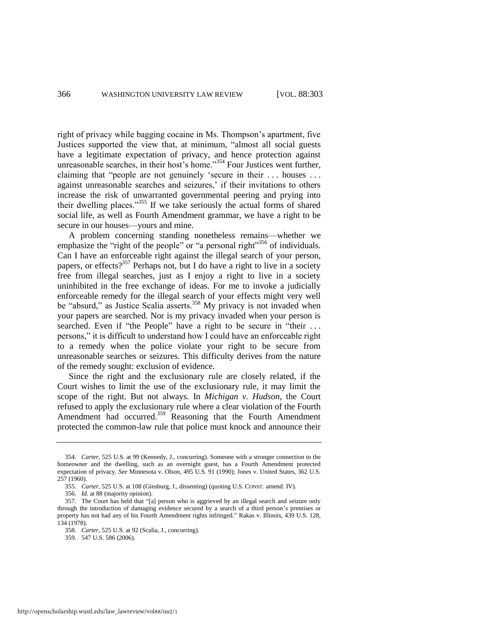right of privacy while bagging cocaine in Ms. Thompson's apartment, five Justices supported the view that, at minimum, "almost all social guests have a legitimate expectation of privacy, and hence protection against unreasonable searches, in their host's home.<sup>354</sup> Four Justices went further, claiming that "people are not genuinely 'secure in their  $\dots$  houses  $\dots$ against unreasonable searches and seizures,' if their invitations to others increase the risk of unwarranted governmental peering and prying into their dwelling places."<sup>355</sup> If we take seriously the actual forms of shared social life, as well as Fourth Amendment grammar, we have a right to be secure in our houses—yours and mine.

A problem concerning standing nonetheless remains—whether we emphasize the "right of the people" or "a personal right"<sup>356</sup> of individuals. Can I have an enforceable right against the illegal search of your person, papers, or effects? $357$  Perhaps not, but I do have a right to live in a society free from illegal searches, just as I enjoy a right to live in a society uninhibited in the free exchange of ideas. For me to invoke a judicially enforceable remedy for the illegal search of your effects might very well be "absurd," as Justice Scalia asserts.<sup>358</sup> My privacy is not invaded when your papers are searched. Nor is my privacy invaded when your person is searched. Even if "the People" have a right to be secure in "their ... persons," it is difficult to understand how I could have an enforceable right to a remedy when the police violate your right to be secure from unreasonable searches or seizures. This difficulty derives from the nature of the remedy sought: exclusion of evidence.

Since the right and the exclusionary rule are closely related, if the Court wishes to limit the use of the exclusionary rule, it may limit the scope of the right. But not always. In *Michigan v. Hudson*, the Court refused to apply the exclusionary rule where a clear violation of the Fourth Amendment had occurred.<sup>359</sup> Reasoning that the Fourth Amendment protected the common-law rule that police must knock and announce their

<sup>354.</sup> *Carter*, 525 U.S. at 99 (Kennedy, J., concurring). Someone with a stronger connection to the homeowner and the dwelling, such as an overnight guest, has a Fourth Amendment protected expectation of privacy. *See* Minnesota v. Olson, 495 U.S. 91 (1990); Jones v. United States, 362 U.S. 257 (1960).

<sup>355.</sup> *Carter*, 525 U.S. at 108 (Ginsburg, J., dissenting) (quoting U.S. CONST. amend. IV).

<sup>356.</sup> *Id.* at 88 (majority opinion).

<sup>357.</sup> The Court has held that "[a] person who is aggrieved by an illegal search and seizure only through the introduction of damaging evidence secured by a search of a third person's premises or property has not had any of his Fourth Amendment rights infringed." Rakas v. Illinois, 439 U.S. 128, 134 (1978).

<sup>358.</sup> *Carter*, 525 U.S. at 92 (Scalia, J., concurring).

<sup>359. 547</sup> U.S. 586 (2006).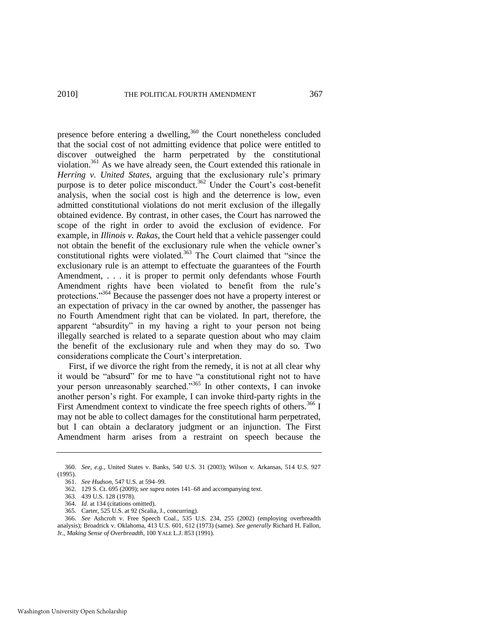presence before entering a dwelling,<sup>360</sup> the Court nonetheless concluded that the social cost of not admitting evidence that police were entitled to discover outweighed the harm perpetrated by the constitutional violation.<sup>361</sup> As we have already seen, the Court extended this rationale in *Herring v. United States*, arguing that the exclusionary rule's primary purpose is to deter police misconduct.<sup>362</sup> Under the Court's cost-benefit analysis, when the social cost is high and the deterrence is low, even admitted constitutional violations do not merit exclusion of the illegally obtained evidence. By contrast, in other cases, the Court has narrowed the scope of the right in order to avoid the exclusion of evidence. For example, in *Illinois v. Rakas*, the Court held that a vehicle passenger could not obtain the benefit of the exclusionary rule when the vehicle owner's constitutional rights were violated. $363$  The Court claimed that "since the exclusionary rule is an attempt to effectuate the guarantees of the Fourth Amendment, . . . it is proper to permit only defendants whose Fourth Amendment rights have been violated to benefit from the rule's protections."<sup>364</sup> Because the passenger does not have a property interest or an expectation of privacy in the car owned by another, the passenger has no Fourth Amendment right that can be violated. In part, therefore, the apparent "absurdity" in my having a right to your person not being illegally searched is related to a separate question about who may claim the benefit of the exclusionary rule and when they may do so. Two considerations complicate the Court's interpretation.

First, if we divorce the right from the remedy, it is not at all clear why it would be "absurd" for me to have "a constitutional right not to have your person unreasonably searched."<sup>365</sup> In other contexts, I can invoke another person's right. For example, I can invoke third-party rights in the First Amendment context to vindicate the free speech rights of others.<sup>366</sup> I may not be able to collect damages for the constitutional harm perpetrated, but I can obtain a declaratory judgment or an injunction. The First Amendment harm arises from a restraint on speech because the

<sup>360.</sup> *See, e.g.*, United States v. Banks, 540 U.S. 31 (2003); Wilson v. Arkansas, 514 U.S. 927 (1995).

<sup>361.</sup> *See Hudson*, 547 U.S. at 594–99.

<sup>362. 129</sup> S. Ct. 695 (2009); *see supra* notes 141–68 and accompanying text.

<sup>363. 439</sup> U.S. 128 (1978).

<sup>364.</sup> *Id*. at 134 (citations omitted).

<sup>365.</sup> Carter, 525 U.S. at 92 (Scalia, J., concurring).

<sup>366.</sup> *See* Ashcroft v. Free Speech Coal., 535 U.S. 234, 255 (2002) (employing overbreadth analysis); Broadrick v. Oklahoma, 413 U.S. 601, 612 (1973) (same). *See generally* Richard H. Fallon, Jr., *Making Sense of Overbreadth*, 100 YALE L.J. 853 (1991).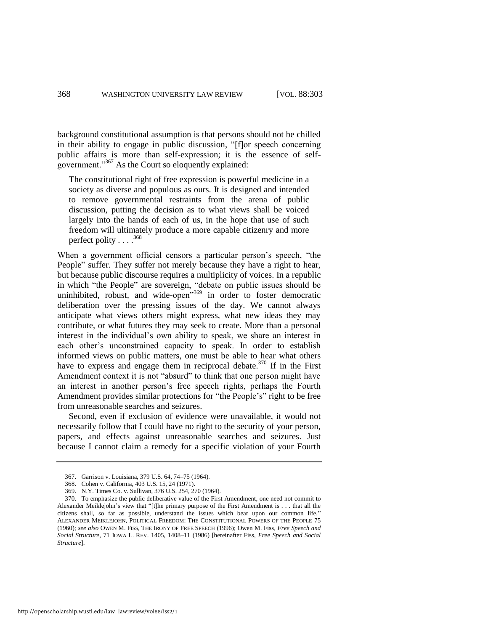background constitutional assumption is that persons should not be chilled in their ability to engage in public discussion, "[f]or speech concerning public affairs is more than self-expression; it is the essence of selfgovernment." $367$  As the Court so eloquently explained:

The constitutional right of free expression is powerful medicine in a society as diverse and populous as ours. It is designed and intended to remove governmental restraints from the arena of public discussion, putting the decision as to what views shall be voiced largely into the hands of each of us, in the hope that use of such freedom will ultimately produce a more capable citizenry and more perfect polity . . . .<sup>368</sup>

When a government official censors a particular person's speech, "the People" suffer. They suffer not merely because they have a right to hear, but because public discourse requires a multiplicity of voices. In a republic in which "the People" are sovereign, "debate on public issues should be uninhibited, robust, and wide-open<sup>3569</sup> in order to foster democratic deliberation over the pressing issues of the day. We cannot always anticipate what views others might express, what new ideas they may contribute, or what futures they may seek to create. More than a personal interest in the individual's own ability to speak, we share an interest in each other's unconstrained capacity to speak. In order to establish informed views on public matters, one must be able to hear what others have to express and engage them in reciprocal debate.<sup>370</sup> If in the First Amendment context it is not "absurd" to think that one person might have an interest in another person's free speech rights, perhaps the Fourth Amendment provides similar protections for "the People's" right to be free from unreasonable searches and seizures.

<span id="page-66-0"></span>Second, even if exclusion of evidence were unavailable, it would not necessarily follow that I could have no right to the security of your person, papers, and effects against unreasonable searches and seizures. Just because I cannot claim a remedy for a specific violation of your Fourth

<sup>367.</sup> Garrison v. Louisiana, 379 U.S. 64, 74–75 (1964).

<sup>368.</sup> Cohen v. California, 403 U.S. 15, 24 (1971).

<sup>369.</sup> N.Y. Times Co. v. Sullivan, 376 U.S. 254, 270 (1964).

<sup>370.</sup> To emphasize the public deliberative value of the First Amendment, one need not commit to Alexander Meiklejohn's view that "[t]he primary purpose of the First Amendment is . . . that all the citizens shall, so far as possible, understand the issues which bear upon our common life." ALEXANDER MEIKLEJOHN, POLITICAL FREEDOM: THE CONSTITUTIONAL POWERS OF THE PEOPLE 75 (1960); *see also* OWEN M. FISS, THE IRONY OF FREE SPEECH (1996); Owen M. Fiss, *Free Speech and Social Structure*, 71 IOWA L. REV. 1405, 1408–11 (1986) [hereinafter Fiss, *Free Speech and Social Structure*].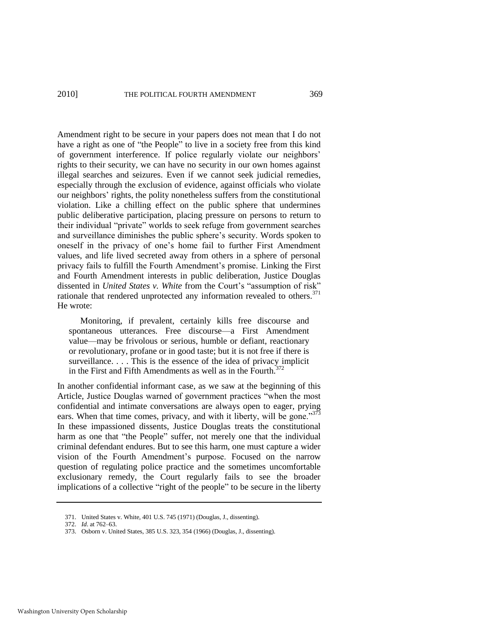Amendment right to be secure in your papers does not mean that I do not have a right as one of "the People" to live in a society free from this kind of government interference. If police regularly violate our neighbors' rights to their security, we can have no security in our own homes against illegal searches and seizures. Even if we cannot seek judicial remedies, especially through the exclusion of evidence, against officials who violate our neighbors' rights, the polity nonetheless suffers from the constitutional violation. Like a chilling effect on the public sphere that undermines public deliberative participation, placing pressure on persons to return to their individual "private" worlds to seek refuge from government searches and surveillance diminishes the public sphere's security. Words spoken to oneself in the privacy of one's home fail to further First Amendment values, and life lived secreted away from others in a sphere of personal privacy fails to fulfill the Fourth Amendment's promise. Linking the First and Fourth Amendment interests in public deliberation, Justice Douglas dissented in *United States v. White from the Court's "assumption of risk"* rationale that rendered unprotected any information revealed to others. $371$ He wrote:

 Monitoring, if prevalent, certainly kills free discourse and spontaneous utterances. Free discourse—a First Amendment value—may be frivolous or serious, humble or defiant, reactionary or revolutionary, profane or in good taste; but it is not free if there is surveillance. . . . This is the essence of the idea of privacy implicit in the First and Fifth Amendments as well as in the Fourth. $372$ 

In another confidential informant case, as we saw at the beginning of this Article, Justice Douglas warned of government practices "when the most confidential and intimate conversations are always open to eager, prying ears. When that time comes, privacy, and with it liberty, will be gone.<sup>373</sup> In these impassioned dissents, Justice Douglas treats the constitutional harm as one that "the People" suffer, not merely one that the individual criminal defendant endures. But to see this harm, one must capture a wider vision of the Fourth Amendment's purpose. Focused on the narrow question of regulating police practice and the sometimes uncomfortable exclusionary remedy, the Court regularly fails to see the broader implications of a collective "right of the people" to be secure in the liberty

<sup>371.</sup> United States v. White, 401 U.S. 745 (1971) (Douglas, J., dissenting).

<sup>372.</sup> *Id*. at 762–63.

<sup>373.</sup> Osborn v. United States, 385 U.S. 323, 354 (1966) (Douglas, J., dissenting).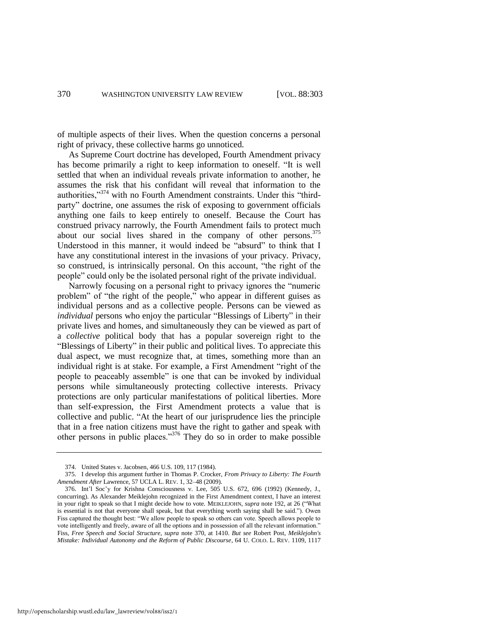of multiple aspects of their lives. When the question concerns a personal right of privacy, these collective harms go unnoticed.

As Supreme Court doctrine has developed, Fourth Amendment privacy has become primarily a right to keep information to oneself. "It is well settled that when an individual reveals private information to another, he assumes the risk that his confidant will reveal that information to the authorities,  $374$  with no Fourth Amendment constraints. Under this "thirdparty" doctrine, one assumes the risk of exposing to government officials anything one fails to keep entirely to oneself. Because the Court has construed privacy narrowly, the Fourth Amendment fails to protect much about our social lives shared in the company of other persons.<sup>375</sup> Understood in this manner, it would indeed be "absurd" to think that I have any constitutional interest in the invasions of your privacy. Privacy, so construed, is intrinsically personal. On this account, "the right of the people" could only be the isolated personal right of the private individual.

<span id="page-68-0"></span>Narrowly focusing on a personal right to privacy ignores the "numeric problem" of "the right of the people," who appear in different guises as individual persons and as a collective people. Persons can be viewed as *individual* persons who enjoy the particular "Blessings of Liberty" in their private lives and homes, and simultaneously they can be viewed as part of a *collective* political body that has a popular sovereign right to the "Blessings of Liberty" in their public and political lives. To appreciate this dual aspect, we must recognize that, at times, something more than an individual right is at stake. For example, a First Amendment "right of the people to peaceably assemble" is one that can be invoked by individual persons while simultaneously protecting collective interests. Privacy protections are only particular manifestations of political liberties. More than self-expression, the First Amendment protects a value that is collective and public. "At the heart of our jurisprudence lies the principle that in a free nation citizens must have the right to gather and speak with other persons in public places.<sup>376</sup> They do so in order to make possible

<sup>374.</sup> United States v. Jacobsen, 466 U.S. 109, 117 (1984).

<sup>375.</sup> I develop this argument further in Thomas P. Crocker, *From Privacy to Liberty: The Fourth Amendment After* Lawrence, 57 UCLA L. REV. 1, 32–48 (2009).

<sup>376.</sup> Int'l Soc'y for Krishna Consciousness v. Lee, 505 U.S. 672, 696 (1992) (Kennedy, J., concurring). As Alexander Meiklejohn recognized in the First Amendment context, I have an interest in your right to speak so that I might decide how to vote. MEIKLEJOHN, *supra* note [192,](#page-34-0) at 26 ("What is essential is not that everyone shall speak, but that everything worth saying shall be said."). Owen Fiss captured the thought best: "We allow people to speak so others can vote. Speech allows people to vote intelligently and freely, aware of all the options and in possession of all the relevant information. Fiss, *Free Speech and Social Structure*, *supra* note [370,](#page-66-0) at 1410. *But see* Robert Post, *Meiklejohn's Mistake: Individual Autonomy and the Reform of Public Discourse*, 64 U. COLO. L. REV. 1109, 1117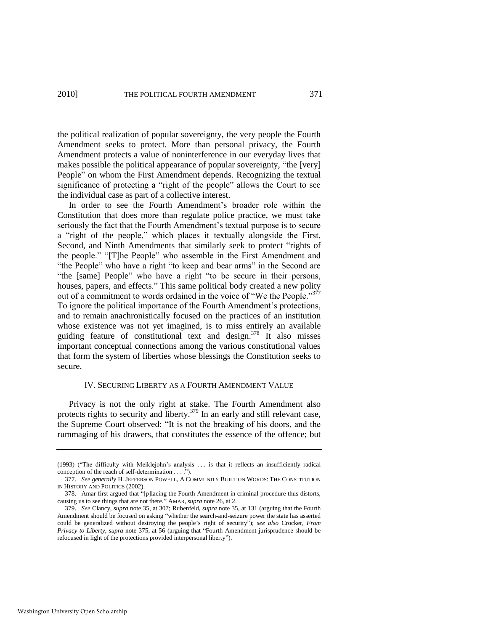the political realization of popular sovereignty, the very people the Fourth Amendment seeks to protect. More than personal privacy, the Fourth Amendment protects a value of noninterference in our everyday lives that makes possible the political appearance of popular sovereignty, "the [very] People" on whom the First Amendment depends. Recognizing the textual significance of protecting a "right of the people" allows the Court to see the individual case as part of a collective interest.

In order to see the Fourth Amendment's broader role within the Constitution that does more than regulate police practice, we must take seriously the fact that the Fourth Amendment's textual purpose is to secure a "right of the people," which places it textually alongside the First, Second, and Ninth Amendments that similarly seek to protect "rights of the people." "[T]he People" who assemble in the First Amendment and "the People" who have a right "to keep and bear arms" in the Second are "the [same] People" who have a right "to be secure in their persons, houses, papers, and effects." This same political body created a new polity out of a commitment to words ordained in the voice of "We the People."<sup>377</sup> To ignore the political importance of the Fourth Amendment's protections, and to remain anachronistically focused on the practices of an institution whose existence was not yet imagined, is to miss entirely an available guiding feature of constitutional text and design.<sup>378</sup> It also misses important conceptual connections among the various constitutional values that form the system of liberties whose blessings the Constitution seeks to secure.

### IV. SECURING LIBERTY AS A FOURTH AMENDMENT VALUE

Privacy is not the only right at stake. The Fourth Amendment also protects rights to security and liberty.<sup>379</sup> In an early and still relevant case, the Supreme Court observed: "It is not the breaking of his doors, and the rummaging of his drawers, that constitutes the essence of the offence; but

<sup>(1993) (&</sup>quot;The difficulty with Meiklejohn's analysis . . . is that it reflects an insufficiently radical conception of the reach of self-determination . . . .").

<sup>377.</sup> *See generally* H. JEFFERSON POWELL, A COMMUNITY BUILT ON WORDS: THE CONSTITUTION IN HISTORY AND POLITICS (2002).

<sup>378.</sup> Amar first argued that "[p]lacing the Fourth Amendment in criminal procedure thus distorts, causing us to see things that are not there.<sup>"</sup> AMAR, *supra* note 26, at 2.

<sup>379.</sup> *See* Clancy, *supra* note 35, at 307; Rubenfeld, *supra* note 35, at 131 (arguing that the Fourth Amendment should be focused on asking "whether the search-and-seizure power the state has asserted could be generalized without destroying the people's right of security"); see also Crocker, *From Privacy to Liberty, supra* note [375,](#page-68-0) at 56 (arguing that "Fourth Amendment jurisprudence should be refocused in light of the protections provided interpersonal liberty").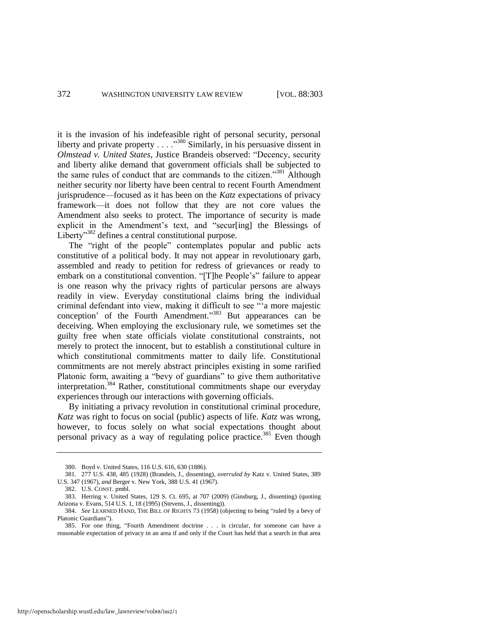it is the invasion of his indefeasible right of personal security, personal liberty and private property  $\ldots$ .  $\frac{380}{2}$  Similarly, in his persuasive dissent in *Olmstead v. United States, Justice Brandeis observed: "Decency, security* and liberty alike demand that government officials shall be subjected to the same rules of conduct that are commands to the citizen.<sup>381</sup> Although neither security nor liberty have been central to recent Fourth Amendment jurisprudence—focused as it has been on the *Katz* expectations of privacy framework—it does not follow that they are not core values the Amendment also seeks to protect. The importance of security is made explicit in the Amendment's text, and "secur[ing] the Blessings of Liberty<sup>382</sup> defines a central constitutional purpose.

The "right of the people" contemplates popular and public acts constitutive of a political body. It may not appear in revolutionary garb, assembled and ready to petition for redress of grievances or ready to embark on a constitutional convention. "[T]he People's" failure to appear is one reason why the privacy rights of particular persons are always readily in view. Everyday constitutional claims bring the individual criminal defendant into view, making it difficult to see "'a more majestic conception' of the Fourth Amendment."<sup>383</sup> But appearances can be deceiving. When employing the exclusionary rule, we sometimes set the guilty free when state officials violate constitutional constraints, not merely to protect the innocent, but to establish a constitutional culture in which constitutional commitments matter to daily life. Constitutional commitments are not merely abstract principles existing in some rarified Platonic form, awaiting a "bevy of guardians" to give them authoritative interpretation.<sup>384</sup> Rather, constitutional commitments shape our everyday experiences through our interactions with governing officials.

By initiating a privacy revolution in constitutional criminal procedure, *Katz* was right to focus on social (public) aspects of life. *Katz* was wrong, however, to focus solely on what social expectations thought about personal privacy as a way of regulating police practice.<sup>385</sup> Even though

<sup>380.</sup> Boyd v. United States, 116 U.S. 616, 630 (1886).

<sup>381. 277</sup> U.S. 438, 485 (1928) (Brandeis, J., dissenting), *overruled by* Katz v. United States, 389 U.S. 347 (1967), *and* Berger v. New York, 388 U.S. 41 (1967).

<sup>382.</sup> U.S. CONST. pmbl.

<sup>383.</sup> Herring v. United States, 129 S. Ct. 695, at 707 (2009) (Ginsburg, J., dissenting) (quoting Arizona v. Evans, 514 U.S. 1, 18 (1995) (Stevens, J., dissenting)).

<sup>384.</sup> *See* LEARNED HAND, THE BILL OF RIGHTS 73 (1958) (objecting to being "ruled by a bevy of Platonic Guardians").

<sup>385.</sup> For one thing, "Fourth Amendment doctrine . . . is circular, for someone can have a reasonable expectation of privacy in an area if and only if the Court has held that a search in that area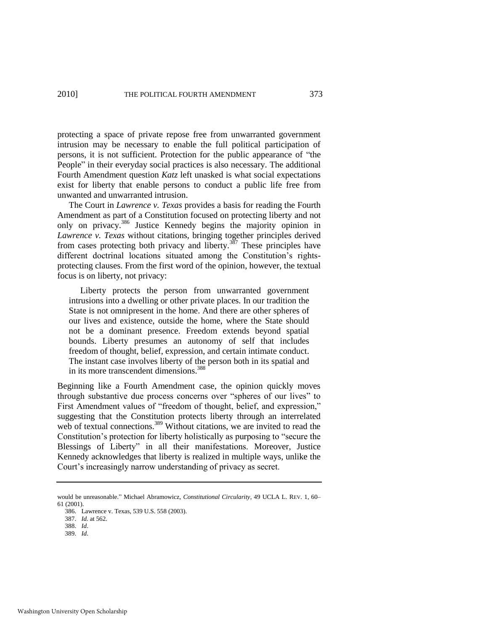protecting a space of private repose free from unwarranted government intrusion may be necessary to enable the full political participation of persons, it is not sufficient. Protection for the public appearance of "the People" in their everyday social practices is also necessary. The additional Fourth Amendment question *Katz* left unasked is what social expectations exist for liberty that enable persons to conduct a public life free from unwanted and unwarranted intrusion.

The Court in *Lawrence v. Texas* provides a basis for reading the Fourth Amendment as part of a Constitution focused on protecting liberty and not only on privacy.<sup>386</sup> Justice Kennedy begins the majority opinion in *Lawrence v. Texas* without citations, bringing together principles derived from cases protecting both privacy and liberty.<sup>387</sup> These principles have different doctrinal locations situated among the Constitution's rightsprotecting clauses. From the first word of the opinion, however, the textual focus is on liberty, not privacy:

 Liberty protects the person from unwarranted government intrusions into a dwelling or other private places. In our tradition the State is not omnipresent in the home. And there are other spheres of our lives and existence, outside the home, where the State should not be a dominant presence. Freedom extends beyond spatial bounds. Liberty presumes an autonomy of self that includes freedom of thought, belief, expression, and certain intimate conduct. The instant case involves liberty of the person both in its spatial and in its more transcendent dimensions.<sup>388</sup>

Beginning like a Fourth Amendment case, the opinion quickly moves through substantive due process concerns over "spheres of our lives" to First Amendment values of "freedom of thought, belief, and expression," suggesting that the Constitution protects liberty through an interrelated web of textual connections.<sup>389</sup> Without citations, we are invited to read the Constitution's protection for liberty holistically as purposing to "secure the Blessings of Liberty" in all their manifestations. Moreover, Justice Kennedy acknowledges that liberty is realized in multiple ways, unlike the Court's increasingly narrow understanding of privacy as secret.

would be unreasonable." Michael Abramowicz, *Constitutional Circularity*, 49 UCLA L. REV. 1, 60– 61 (2001).

<sup>386.</sup> Lawrence v. Texas, 539 U.S. 558 (2003).

<sup>387.</sup> *Id.* at 562.

<sup>388.</sup> *Id*.

<sup>389.</sup> *Id*.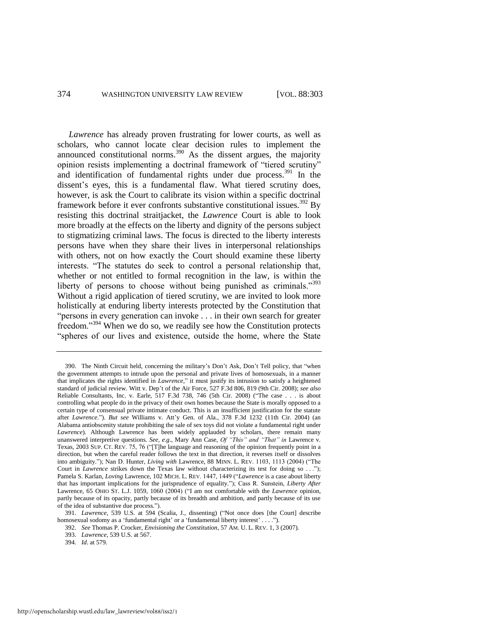*Lawrence* has already proven frustrating for lower courts, as well as scholars, who cannot locate clear decision rules to implement the announced constitutional norms.<sup>390</sup> As the dissent argues, the majority opinion resists implementing a doctrinal framework of "tiered scrutiny" and identification of fundamental rights under due process.<sup>391</sup> In the dissent's eyes, this is a fundamental flaw. What tiered scrutiny does, however, is ask the Court to calibrate its vision within a specific doctrinal framework before it ever confronts substantive constitutional issues.<sup>392</sup> By resisting this doctrinal straitjacket, the *Lawrence* Court is able to look more broadly at the effects on the liberty and dignity of the persons subject to stigmatizing criminal laws. The focus is directed to the liberty interests persons have when they share their lives in interpersonal relationships with others, not on how exactly the Court should examine these liberty interests. "The statutes do seek to control a personal relationship that, whether or not entitled to formal recognition in the law, is within the liberty of persons to choose without being punished as criminals."<sup>393</sup> Without a rigid application of tiered scrutiny, we are invited to look more holistically at enduring liberty interests protected by the Constitution that "persons in every generation can invoke . . . in their own search for greater freedom."<sup>394</sup> When we do so, we readily see how the Constitution protects "spheres of our lives and existence, outside the home, where the State

<sup>390.</sup> The Ninth Circuit held, concerning the military's Don't Ask, Don't Tell policy, that "when the government attempts to intrude upon the personal and private lives of homosexuals, in a manner that implicates the rights identified in *Lawrence*," it must justify its intrusion to satisfy a heightened standard of judicial review. Witt v. Dep't of the Air Force, 527 F.3d 806, 819 (9th Cir. 2008); *see also* Reliable Consultants, Inc. v. Earle, 517 F.3d 738, 746 (5th Cir. 2008) ("The case . . . is about controlling what people do in the privacy of their own homes because the State is morally opposed to a certain type of consensual private intimate conduct. This is an insufficient justification for the statute after *Lawrence.*"). *But see* Williams v. Att'y Gen. of Ala., 378 F.3d 1232 (11th Cir. 2004) (an Alabama antiobscenity statute prohibiting the sale of sex toys did not violate a fundamental right under *Lawrence*). Although Lawrence has been widely applauded by scholars, there remain many unanswered interpretive questions. *See, e.g*., Mary Ann Case, *Of "This" and "That" in* Lawrence v. Texas, 2003 SUP. CT. REV. 75, 76 ("[T]he language and reasoning of the opinion frequently point in a direction, but when the careful reader follows the text in that direction, it reverses itself or dissolves into ambiguity."); Nan D. Hunter, *Living with* Lawrence, 88 MINN. L. REV. 1103, 1113 (2004) ("The Court in *Lawrence* strikes down the Texas law without characterizing its test for doing so . . ."); Pamela S. Karlan, *Loving Lawrence*, 102 MICH. L. REV. 1447, 1449 ("Lawrence is a case about liberty that has important implications for the jurisprudence of equality.‖); Cass R. Sunstein, *Liberty After*  Lawrence, 65 OHIO ST. L.J. 1059, 1060 (2004) ("I am not comfortable with the *Lawrence* opinion, partly because of its opacity, partly because of its breadth and ambition, and partly because of its use of the idea of substantive due process.‖).

<sup>391.</sup> *Lawrence*, 539 U.S. at 594 (Scalia, J., dissenting) ("Not once does [the Court] describe homosexual sodomy as a 'fundamental right' or a 'fundamental liberty interest' . . . .").

<sup>392.</sup> *See* Thomas P. Crocker, *Envisioning the Constitution*, 57 AM. U. L. REV. 1, 3 (2007).

<sup>393.</sup> *Lawrence*, 539 U.S. at 567.

<sup>394.</sup> *Id*. at 579.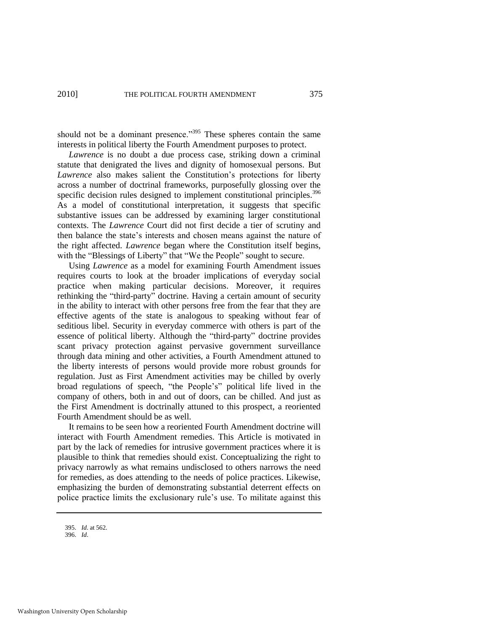should not be a dominant presence. $395$  These spheres contain the same interests in political liberty the Fourth Amendment purposes to protect.

*Lawrence* is no doubt a due process case, striking down a criminal statute that denigrated the lives and dignity of homosexual persons. But *Lawrence* also makes salient the Constitution's protections for liberty across a number of doctrinal frameworks, purposefully glossing over the specific decision rules designed to implement constitutional principles.<sup>396</sup> As a model of constitutional interpretation, it suggests that specific substantive issues can be addressed by examining larger constitutional contexts. The *Lawrence* Court did not first decide a tier of scrutiny and then balance the state's interests and chosen means against the nature of the right affected. *Lawrence* began where the Constitution itself begins, with the "Blessings of Liberty" that "We the People" sought to secure.

Using *Lawrence* as a model for examining Fourth Amendment issues requires courts to look at the broader implications of everyday social practice when making particular decisions. Moreover, it requires rethinking the "third-party" doctrine. Having a certain amount of security in the ability to interact with other persons free from the fear that they are effective agents of the state is analogous to speaking without fear of seditious libel. Security in everyday commerce with others is part of the essence of political liberty. Although the "third-party" doctrine provides scant privacy protection against pervasive government surveillance through data mining and other activities, a Fourth Amendment attuned to the liberty interests of persons would provide more robust grounds for regulation. Just as First Amendment activities may be chilled by overly broad regulations of speech, "the People's" political life lived in the company of others, both in and out of doors, can be chilled. And just as the First Amendment is doctrinally attuned to this prospect, a reoriented Fourth Amendment should be as well.

It remains to be seen how a reoriented Fourth Amendment doctrine will interact with Fourth Amendment remedies. This Article is motivated in part by the lack of remedies for intrusive government practices where it is plausible to think that remedies should exist. Conceptualizing the right to privacy narrowly as what remains undisclosed to others narrows the need for remedies, as does attending to the needs of police practices. Likewise, emphasizing the burden of demonstrating substantial deterrent effects on police practice limits the exclusionary rule's use. To militate against this

<sup>395.</sup> *Id*. at 562.

<sup>396.</sup> *Id*.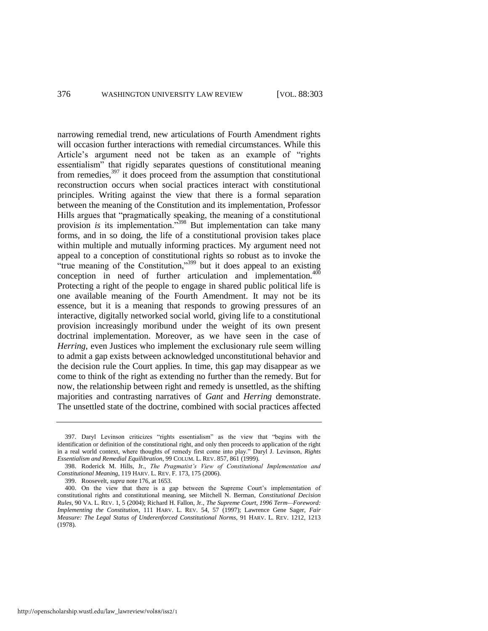narrowing remedial trend, new articulations of Fourth Amendment rights will occasion further interactions with remedial circumstances. While this Article's argument need not be taken as an example of "rights" essentialism" that rigidly separates questions of constitutional meaning from remedies,<sup>397</sup> it does proceed from the assumption that constitutional reconstruction occurs when social practices interact with constitutional principles. Writing against the view that there is a formal separation between the meaning of the Constitution and its implementation, Professor Hills argues that "pragmatically speaking, the meaning of a constitutional provision *is* its implementation."<sup>398</sup> But implementation can take many forms, and in so doing, the life of a constitutional provision takes place within multiple and mutually informing practices. My argument need not appeal to a conception of constitutional rights so robust as to invoke the ―true meaning of the Constitution,‖<sup>399</sup> but it does appeal to an existing conception in need of further articulation and implementation.<sup>400</sup> Protecting a right of the people to engage in shared public political life is one available meaning of the Fourth Amendment. It may not be its essence, but it is a meaning that responds to growing pressures of an interactive, digitally networked social world, giving life to a constitutional provision increasingly moribund under the weight of its own present doctrinal implementation. Moreover, as we have seen in the case of *Herring*, even Justices who implement the exclusionary rule seem willing to admit a gap exists between acknowledged unconstitutional behavior and the decision rule the Court applies. In time, this gap may disappear as we come to think of the right as extending no further than the remedy. But for now, the relationship between right and remedy is unsettled, as the shifting majorities and contrasting narratives of *Gant* and *Herring* demonstrate. The unsettled state of the doctrine, combined with social practices affected

<sup>397.</sup> Daryl Levinson criticizes "rights essentialism" as the view that "begins with the identification or definition of the constitutional right, and only then proceeds to application of the right in a real world context, where thoughts of remedy first come into play." Daryl J. Levinson, *Rights Essentialism and Remedial Equilibration*, 99 COLUM. L. REV. 857, 861 (1999).

<sup>398.</sup> Roderick M. Hills, Jr., *The Pragmatist's View of Constitutional Implementation and Constitutional Meaning*, 119 HARV. L. REV. F. 173, 175 (2006).

<sup>399.</sup> Roosevelt, *supra* not[e 176,](#page-31-0) at 1653.

<sup>400.</sup> On the view that there is a gap between the Supreme Court's implementation of constitutional rights and constitutional meaning, see Mitchell N. Berman, *Constitutional Decision Rules*, 90 VA. L. REV. 1, 5 (2004); Richard H. Fallon, Jr., *The Supreme Court, 1996 Term—Foreword: Implementing the Constitution*, 111 HARV. L. REV. 54, 57 (1997); Lawrence Gene Sager, *Fair Measure: The Legal Status of Underenforced Constitutional Norms*, 91 HARV. L. REV. 1212, 1213 (1978).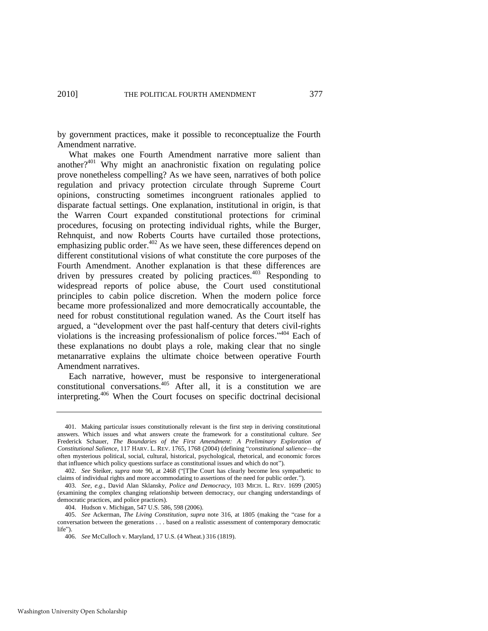by government practices, make it possible to reconceptualize the Fourth Amendment narrative.

What makes one Fourth Amendment narrative more salient than another?<sup>401</sup> Why might an anachronistic fixation on regulating police prove nonetheless compelling? As we have seen, narratives of both police regulation and privacy protection circulate through Supreme Court opinions, constructing sometimes incongruent rationales applied to disparate factual settings. One explanation, institutional in origin, is that the Warren Court expanded constitutional protections for criminal procedures, focusing on protecting individual rights, while the Burger, Rehnquist, and now Roberts Courts have curtailed those protections, emphasizing public order.<sup>402</sup> As we have seen, these differences depend on different constitutional visions of what constitute the core purposes of the Fourth Amendment. Another explanation is that these differences are driven by pressures created by policing practices.<sup>403</sup> Responding to widespread reports of police abuse, the Court used constitutional principles to cabin police discretion. When the modern police force became more professionalized and more democratically accountable, the need for robust constitutional regulation waned. As the Court itself has argued, a "development over the past half-century that deters civil-rights violations is the increasing professionalism of police forces."<sup>404</sup> Each of these explanations no doubt plays a role, making clear that no single metanarrative explains the ultimate choice between operative Fourth Amendment narratives.

Each narrative, however, must be responsive to intergenerational constitutional conversations.<sup>405</sup> After all, it is a constitution we are interpreting.<sup>406</sup> When the Court focuses on specific doctrinal decisional

<sup>401.</sup> Making particular issues constitutionally relevant is the first step in deriving constitutional answers. Which issues and what answers create the framework for a constitutional culture. *See* Frederick Schauer, *The Boundaries of the First Amendment: A Preliminary Exploration of Constitutional Salience*, 117 HARV. L. REV. 1765, 1768 (2004) (defining ―*constitutional salience*—the often mysterious political, social, cultural, historical, psychological, rhetorical, and economic forces that influence which policy questions surface as constitutional issues and which do not").

<sup>402.</sup> *See* Steiker, *supra* note 90, at 2468 ("[T]he Court has clearly become less sympathetic to claims of individual rights and more accommodating to assertions of the need for public order.").

<sup>403.</sup> *See, e.g.*, David Alan Sklansky, *Police and Democracy*, 103 MICH. L. REV. 1699 (2005) (examining the complex changing relationship between democracy, our changing understandings of democratic practices, and police practices).

<sup>404.</sup> Hudson v. Michigan, 547 U.S. 586, 598 (2006).

<sup>405.</sup> *See* Ackerman, *The Living Constitution*, *supra* note [316,](#page-55-0) at 1805 (making the "case for a conversation between the generations . . . based on a realistic assessment of contemporary democratic life").

<sup>406.</sup> *See* McCulloch v. Maryland, 17 U.S. (4 Wheat.) 316 (1819).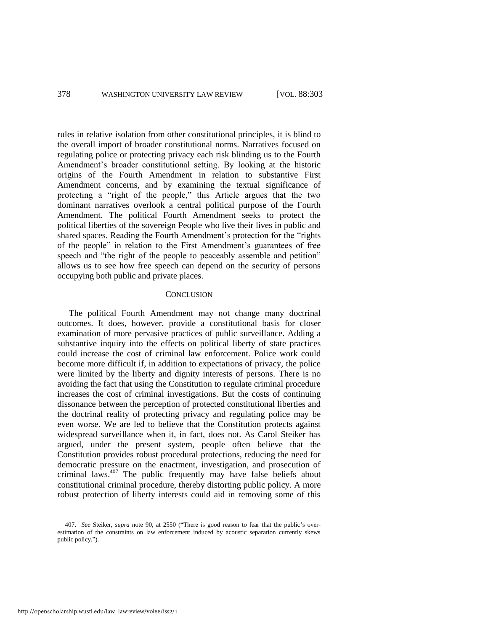rules in relative isolation from other constitutional principles, it is blind to the overall import of broader constitutional norms. Narratives focused on regulating police or protecting privacy each risk blinding us to the Fourth Amendment's broader constitutional setting. By looking at the historic origins of the Fourth Amendment in relation to substantive First Amendment concerns, and by examining the textual significance of protecting a "right of the people," this Article argues that the two dominant narratives overlook a central political purpose of the Fourth Amendment. The political Fourth Amendment seeks to protect the political liberties of the sovereign People who live their lives in public and shared spaces. Reading the Fourth Amendment's protection for the "rights" of the people" in relation to the First Amendment's guarantees of free speech and "the right of the people to peaceably assemble and petition" allows us to see how free speech can depend on the security of persons occupying both public and private places.

## **CONCLUSION**

The political Fourth Amendment may not change many doctrinal outcomes. It does, however, provide a constitutional basis for closer examination of more pervasive practices of public surveillance. Adding a substantive inquiry into the effects on political liberty of state practices could increase the cost of criminal law enforcement. Police work could become more difficult if, in addition to expectations of privacy, the police were limited by the liberty and dignity interests of persons. There is no avoiding the fact that using the Constitution to regulate criminal procedure increases the cost of criminal investigations. But the costs of continuing dissonance between the perception of protected constitutional liberties and the doctrinal reality of protecting privacy and regulating police may be even worse. We are led to believe that the Constitution protects against widespread surveillance when it, in fact, does not. As Carol Steiker has argued, under the present system, people often believe that the Constitution provides robust procedural protections, reducing the need for democratic pressure on the enactment, investigation, and prosecution of criminal laws. $407$  The public frequently may have false beliefs about constitutional criminal procedure, thereby distorting public policy. A more robust protection of liberty interests could aid in removing some of this

<sup>407.</sup> *See Steiker, supra* note [90,](#page-17-0) at 2550 ("There is good reason to fear that the public's overestimation of the constraints on law enforcement induced by acoustic separation currently skews public policy.").